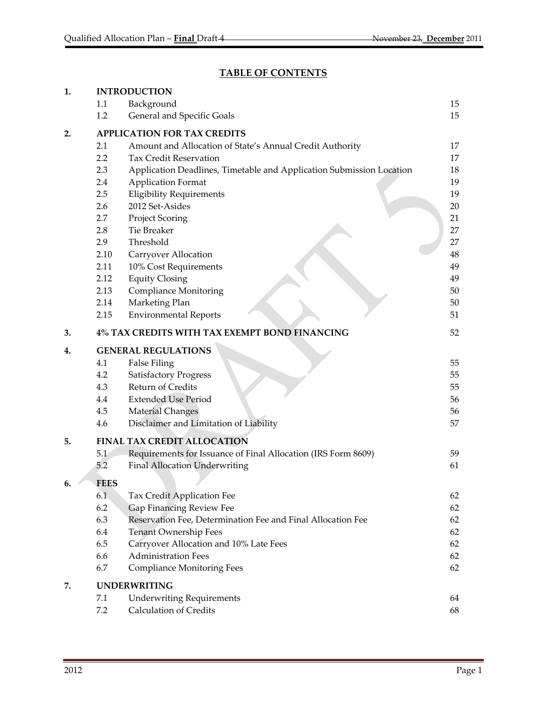# **TABLE OF CONTENTS**

| 1. | <b>INTRODUCTION</b>                                                         |    |  |  |  |
|----|-----------------------------------------------------------------------------|----|--|--|--|
|    | Background<br>1.1                                                           | 15 |  |  |  |
|    | General and Specific Goals<br>1.2                                           | 15 |  |  |  |
| 2. | <b>APPLICATION FOR TAX CREDITS</b>                                          |    |  |  |  |
|    | 2.1<br>Amount and Allocation of State's Annual Credit Authority             | 17 |  |  |  |
|    | 2.2<br><b>Tax Credit Reservation</b>                                        | 17 |  |  |  |
|    | 2.3<br>Application Deadlines, Timetable and Application Submission Location | 18 |  |  |  |
|    | 2.4<br><b>Application Format</b>                                            | 19 |  |  |  |
|    | 2.5<br><b>Eligibility Requirements</b>                                      | 19 |  |  |  |
|    | 2012 Set-Asides<br>2.6                                                      | 20 |  |  |  |
|    | 2.7<br><b>Project Scoring</b>                                               | 21 |  |  |  |
|    | 2.8<br><b>Tie Breaker</b>                                                   | 27 |  |  |  |
|    | 2.9<br>Threshold                                                            | 27 |  |  |  |
|    | 2.10<br>Carryover Allocation                                                | 48 |  |  |  |
|    | 10% Cost Requirements<br>2.11                                               | 49 |  |  |  |
|    | 2.12<br><b>Equity Closing</b>                                               | 49 |  |  |  |
|    | <b>Compliance Monitoring</b><br>2.13                                        | 50 |  |  |  |
|    | Marketing Plan<br>2.14                                                      | 50 |  |  |  |
|    | <b>Environmental Reports</b><br>2.15                                        | 51 |  |  |  |
| 3. | 4% TAX CREDITS WITH TAX EXEMPT BOND FINANCING                               | 52 |  |  |  |
| 4. | <b>GENERAL REGULATIONS</b>                                                  |    |  |  |  |
|    | <b>False Filing</b><br>4.1                                                  | 55 |  |  |  |
|    | 4.2<br><b>Satisfactory Progress</b>                                         | 55 |  |  |  |
|    | Return of Credits<br>4.3                                                    | 55 |  |  |  |
|    | <b>Extended Use Period</b><br>4.4                                           | 56 |  |  |  |
|    | <b>Material Changes</b><br>4.5                                              | 56 |  |  |  |
|    | Disclaimer and Limitation of Liability<br>4.6                               | 57 |  |  |  |
| 5. | <b>FINAL TAX CREDIT ALLOCATION</b>                                          |    |  |  |  |
|    | 5.1<br>Requirements for Issuance of Final Allocation (IRS Form 8609)        | 59 |  |  |  |
|    | 5.2<br><b>Final Allocation Underwriting</b>                                 | 61 |  |  |  |
| 6. | <b>FEES</b>                                                                 |    |  |  |  |
|    | 6.1<br>Tax Credit Application Fee                                           | 62 |  |  |  |
|    | 6.2<br><b>Gap Financing Review Fee</b>                                      | 62 |  |  |  |
|    | 6.3<br>Reservation Fee, Determination Fee and Final Allocation Fee          | 62 |  |  |  |
|    | 6.4<br><b>Tenant Ownership Fees</b>                                         | 62 |  |  |  |
|    | 6.5<br>Carryover Allocation and 10% Late Fees                               | 62 |  |  |  |
|    | <b>Administration Fees</b><br>6.6                                           | 62 |  |  |  |
|    | 6.7<br><b>Compliance Monitoring Fees</b>                                    | 62 |  |  |  |
| 7. | <b>UNDERWRITING</b>                                                         |    |  |  |  |
|    | 7.1<br><b>Underwriting Requirements</b>                                     | 64 |  |  |  |
|    | <b>Calculation of Credits</b><br>7.2                                        | 68 |  |  |  |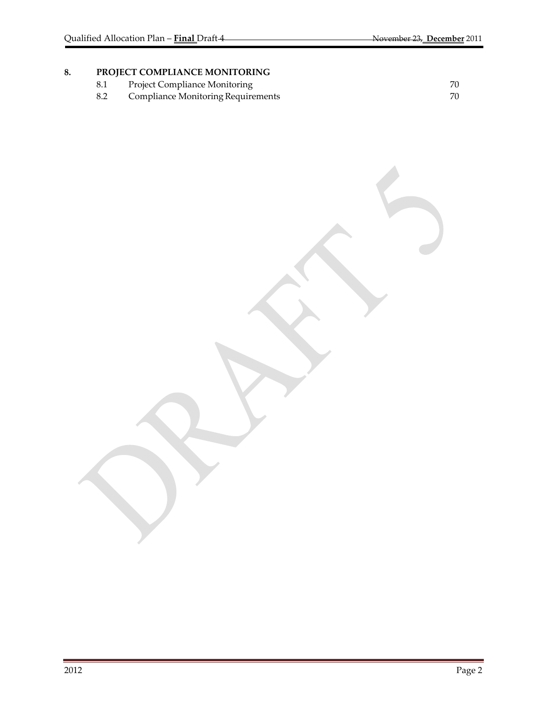# 8. **PROJECT COMPLIANCE MONITORING**<br>8.1 Project Compliance Monitoring

- 
- 8.1 Project Compliance Monitoring<br>
8.2 Compliance Monitoring Requirements<br>
20 Compliance Monitoring Requirements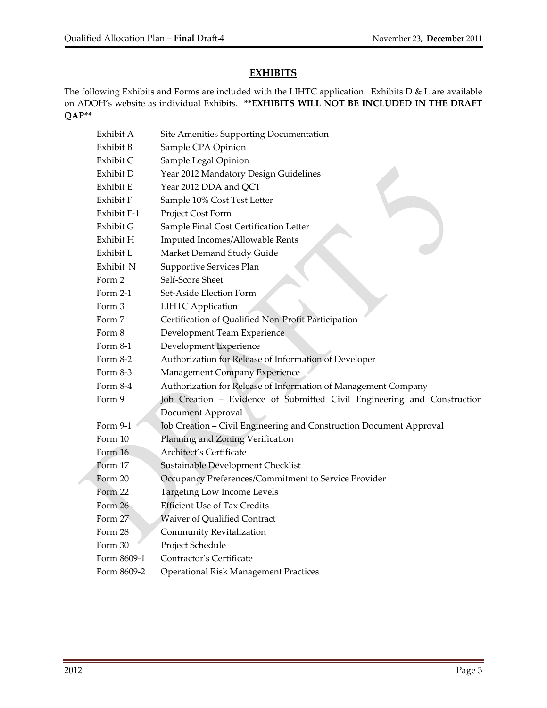## **EXHIBITS**

The following Exhibits and Forms are included with the LIHTC application. Exhibits D & L are available on ADOH's website as individual Exhibits. **\*\*EXHIBITS WILL NOT BE INCLUDED IN THE DRAFT QAP\*\***

| Exhibit A   | Site Amenities Supporting Documentation                                 |
|-------------|-------------------------------------------------------------------------|
| Exhibit B   | Sample CPA Opinion                                                      |
| Exhibit C   | Sample Legal Opinion                                                    |
| Exhibit D   | Year 2012 Mandatory Design Guidelines                                   |
| Exhibit E   | Year 2012 DDA and QCT                                                   |
| Exhibit F   | Sample 10% Cost Test Letter                                             |
| Exhibit F-1 | Project Cost Form                                                       |
| Exhibit G   | Sample Final Cost Certification Letter                                  |
| Exhibit H   | Imputed Incomes/Allowable Rents                                         |
| Exhibit L   | Market Demand Study Guide                                               |
| Exhibit N   | Supportive Services Plan                                                |
| Form 2      | Self-Score Sheet                                                        |
| Form $2-1$  | Set-Aside Election Form                                                 |
| Form 3      | <b>LIHTC</b> Application                                                |
| Form 7      | Certification of Qualified Non-Profit Participation                     |
| Form 8      | Development Team Experience                                             |
| Form 8-1    | Development Experience                                                  |
| Form 8-2    | Authorization for Release of Information of Developer                   |
| Form 8-3    | Management Company Experience                                           |
| Form 8-4    | Authorization for Release of Information of Management Company          |
| Form 9      | Job Creation - Evidence of Submitted Civil Engineering and Construction |
|             | Document Approval                                                       |
| Form 9-1    | Job Creation - Civil Engineering and Construction Document Approval     |
| Form 10     | Planning and Zoning Verification                                        |
| Form 16     | Architect's Certificate                                                 |
| Form 17     | Sustainable Development Checklist                                       |
| Form 20     | Occupancy Preferences/Commitment to Service Provider                    |
| Form 22     | <b>Targeting Low Income Levels</b>                                      |
| Form 26     | <b>Efficient Use of Tax Credits</b>                                     |
| Form 27     | Waiver of Qualified Contract                                            |
| Form 28     | Community Revitalization                                                |
| Form 30     | Project Schedule                                                        |
| Form 8609-1 | Contractor's Certificate                                                |
| Form 8609-2 | <b>Operational Risk Management Practices</b>                            |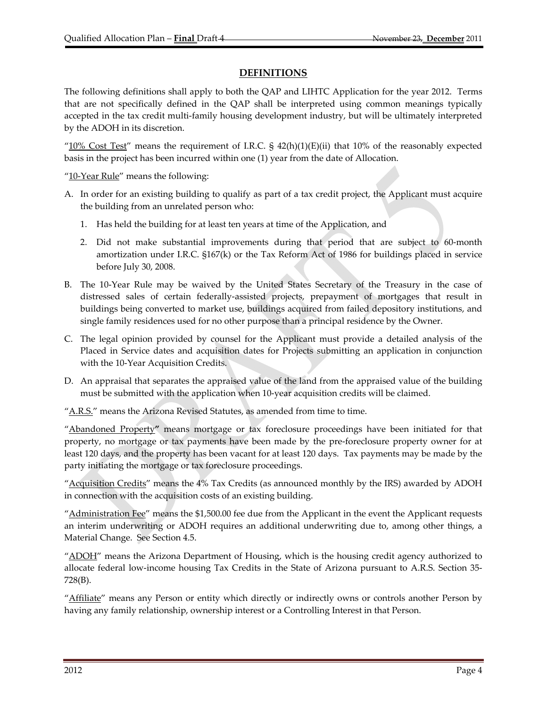## **DEFINITIONS**

The following definitions shall apply to both the QAP and LIHTC Application for the year 2012. Terms that are not specifically defined in the QAP shall be interpreted using common meanings typically accepted in the tax credit multi‐family housing development industry, but will be ultimately interpreted by the ADOH in its discretion.

" $10\%$  Cost Test" means the requirement of I.R.C. §  $42(h)(1)(E)(ii)$  that 10% of the reasonably expected basis in the project has been incurred within one (1) year from the date of Allocation.

"10-Year Rule" means the following:

- A. In order for an existing building to qualify as part of a tax credit project, the Applicant must acquire the building from an unrelated person who:
	- 1. Has held the building for at least ten years at time of the Application, and
	- 2. Did not make substantial improvements during that period that are subject to 60-month amortization under I.R.C. §167(k) or the Tax Reform Act of 1986 for buildings placed in service before July 30, 2008.
- B. The 10‐Year Rule may be waived by the United States Secretary of the Treasury in the case of distressed sales of certain federally‐assisted projects, prepayment of mortgages that result in buildings being converted to market use, buildings acquired from failed depository institutions, and single family residences used for no other purpose than a principal residence by the Owner.
- C. The legal opinion provided by counsel for the Applicant must provide a detailed analysis of the Placed in Service dates and acquisition dates for Projects submitting an application in conjunction with the 10‐Year Acquisition Credits.
- D. An appraisal that separates the appraised value of the land from the appraised value of the building must be submitted with the application when 10‐year acquisition credits will be claimed.

"A.R.S." means the Arizona Revised Statutes, as amended from time to time.

"Abandoned Property**"** means mortgage or tax foreclosure proceedings have been initiated for that property, no mortgage or tax payments have been made by the pre‐foreclosure property owner for at least 120 days, and the property has been vacant for at least 120 days. Tax payments may be made by the party initiating the mortgage or tax foreclosure proceedings.

"Acquisition Credits" means the 4% Tax Credits (as announced monthly by the IRS) awarded by ADOH in connection with the acquisition costs of an existing building.

"<u>Administration Fee</u>" means the \$1,500.00 fee due from the Applicant in the event the Applicant requests an interim underwriting or ADOH requires an additional underwriting due to, among other things, a Material Change. See Section 4.5.

"ADOH" means the Arizona Department of Housing, which is the housing credit agency authorized to allocate federal low‐income housing Tax Credits in the State of Arizona pursuant to A.R.S. Section 35‐ 728(B).

"Affiliate" means any Person or entity which directly or indirectly owns or controls another Person by having any family relationship, ownership interest or a Controlling Interest in that Person.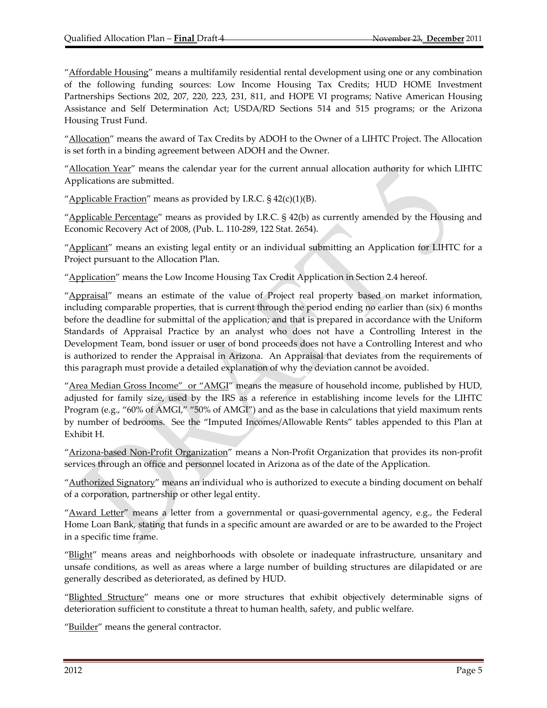"Affordable Housing" means a multifamily residential rental development using one or any combination of the following funding sources: Low Income Housing Tax Credits; HUD HOME Investment Partnerships Sections 202, 207, 220, 223, 231, 811, and HOPE VI programs; Native American Housing Assistance and Self Determination Act; USDA/RD Sections 514 and 515 programs; or the Arizona Housing Trust Fund.

"Allocation" means the award of Tax Credits by ADOH to the Owner of a LIHTC Project. The Allocation is set forth in a binding agreement between ADOH and the Owner.

"Allocation Year" means the calendar year for the current annual allocation authority for which LIHTC Applications are submitted.

"Applicable Fraction" means as provided by I.R.C.  $\frac{542(c)(1)}{B}$ .

"Applicable Percentage" means as provided by I.R.C.  $\S$  42(b) as currently amended by the Housing and Economic Recovery Act of 2008, (Pub. L. 110‐289, 122 Stat. 2654).

"Applicant" means an existing legal entity or an individual submitting an Application for LIHTC for a Project pursuant to the Allocation Plan.

"Application" means the Low Income Housing Tax Credit Application in Section 2.4 hereof.

"Appraisal" means an estimate of the value of Project real property based on market information, including comparable properties, that is current through the period ending no earlier than (six) 6 months before the deadline for submittal of the application; and that is prepared in accordance with the Uniform Standards of Appraisal Practice by an analyst who does not have a Controlling Interest in the Development Team, bond issuer or user of bond proceeds does not have a Controlling Interest and who is authorized to render the Appraisal in Arizona. An Appraisal that deviates from the requirements of this paragraph must provide a detailed explanation of why the deviation cannot be avoided.

"Area Median Gross Income" or "AMGI" means the measure of household income, published by HUD, adjusted for family size, used by the IRS as a reference in establishing income levels for the LIHTC Program (e.g., "60% of AMGI," "50% of AMGI") and as the base in calculations that yield maximum rents by number of bedrooms. See the "Imputed Incomes/Allowable Rents" tables appended to this Plan at Exhibit H.

"Arizona-based Non-Profit Organization" means a Non-Profit Organization that provides its non-profit services through an office and personnel located in Arizona as of the date of the Application.

"Authorized Signatory" means an individual who is authorized to execute a binding document on behalf of a corporation, partnership or other legal entity.

"Award Letter" means a letter from a governmental or quasi-governmental agency, e.g., the Federal Home Loan Bank, stating that funds in a specific amount are awarded or are to be awarded to the Project in a specific time frame.

"Blight" means areas and neighborhoods with obsolete or inadequate infrastructure, unsanitary and unsafe conditions, as well as areas where a large number of building structures are dilapidated or are generally described as deteriorated, as defined by HUD.

"Blighted Structure" means one or more structures that exhibit objectively determinable signs of deterioration sufficient to constitute a threat to human health, safety, and public welfare.

"Builder" means the general contractor.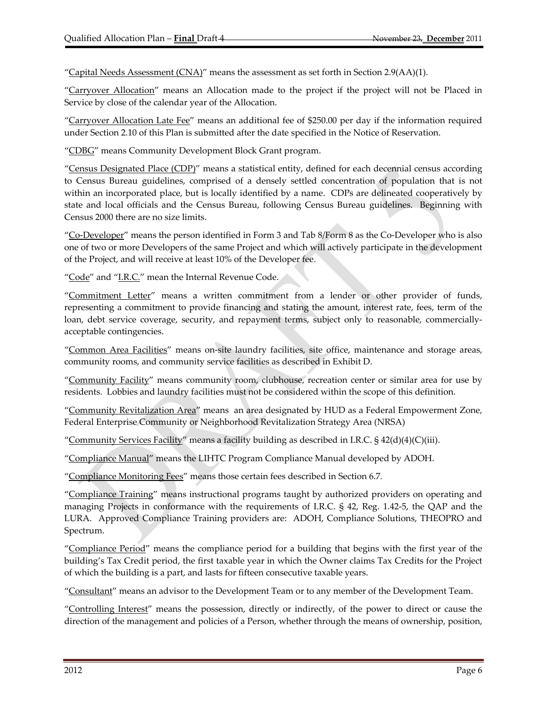"Capital Needs Assessment  $(CNA)$ " means the assessment as set forth in Section 2.9(AA)(1).

"Carryover Allocation" means an Allocation made to the project if the project will not be Placed in Service by close of the calendar year of the Allocation.

"Carryover Allocation Late Fee" means an additional fee of \$250.00 per day if the information required under Section 2.10 of this Plan is submitted after the date specified in the Notice of Reservation.

"CDBG" means Community Development Block Grant program.

"Census Designated Place (CDP)" means a statistical entity, defined for each decennial census according to Census Bureau guidelines, comprised of a densely settled concentration of population that is not within an incorporated place, but is locally identified by a name. CDPs are delineated cooperatively by state and local officials and the Census Bureau, following Census Bureau guidelines. Beginning with Census 2000 there are no size limits.

"Co‐Developer" means the person identified in Form 3 and Tab 8/Form 8 as the Co‐Developer who is also one of two or more Developers of the same Project and which will actively participate in the development of the Project, and will receive at least 10% of the Developer fee.

"Code" and "I.R.C." mean the Internal Revenue Code.

"Commitment Letter" means a written commitment from a lender or other provider of funds, representing a commitment to provide financing and stating the amount, interest rate, fees, term of the loan, debt service coverage, security, and repayment terms, subject only to reasonable, commerciallyacceptable contingencies.

"Common Area Facilities" means on‐site laundry facilities, site office, maintenance and storage areas, community rooms, and community service facilities as described in Exhibit D.

"Community Facility" means community room, clubhouse, recreation center or similar area for use by residents. Lobbies and laundry facilities must not be considered within the scope of this definition.

"Community Revitalization Area" means an area designated by HUD as a Federal Empowerment Zone, Federal Enterprise Community or Neighborhood Revitalization Strategy Area (NRSA)

"Community Services Facility" means a facility building as described in I.R.C.  $\S$  42(d)(4)(C)(iii).

"Compliance Manual" means the LIHTC Program Compliance Manual developed by ADOH.

"Compliance Monitoring Fees" means those certain fees described in Section 6.7.

"Compliance Training" means instructional programs taught by authorized providers on operating and managing Projects in conformance with the requirements of I.R.C. § 42, Reg. 1.42‐5, the QAP and the LURA. Approved Compliance Training providers are: ADOH, Compliance Solutions, THEOPRO and Spectrum.

"Compliance Period" means the compliance period for a building that begins with the first year of the building's Tax Credit period, the first taxable year in which the Owner claims Tax Credits for the Project of which the building is a part, and lasts for fifteen consecutive taxable years.

"Consultant" means an advisor to the Development Team or to any member of the Development Team.

"Controlling Interest" means the possession, directly or indirectly, of the power to direct or cause the direction of the management and policies of a Person, whether through the means of ownership, position,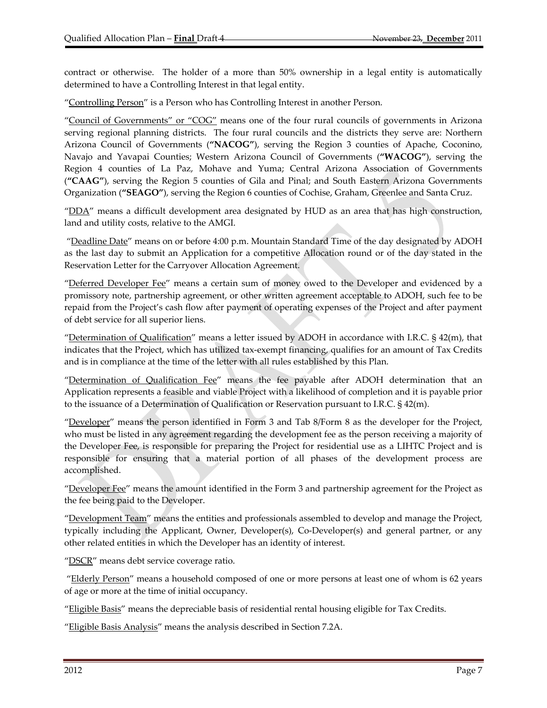contract or otherwise. The holder of a more than 50% ownership in a legal entity is automatically determined to have a Controlling Interest in that legal entity.

"Controlling Person" is a Person who has Controlling Interest in another Person.

"Council of Governments" or "COG" means one of the four rural councils of governments in Arizona serving regional planning districts. The four rural councils and the districts they serve are: Northern Arizona Council of Governments (**"NACOG"**), serving the Region 3 counties of Apache, Coconino, Navajo and Yavapai Counties; Western Arizona Council of Governments (**"WACOG"**), serving the Region 4 counties of La Paz, Mohave and Yuma; Central Arizona Association of Governments (**"CAAG"**), serving the Region 5 counties of Gila and Pinal; and South Eastern Arizona Governments Organization (**"SEAGO"**), serving the Region 6 counties of Cochise, Graham, Greenlee and Santa Cruz.

"DDA" means a difficult development area designated by HUD as an area that has high construction, land and utility costs, relative to the AMGI.

"Deadline Date" means on or before 4:00 p.m. Mountain Standard Time of the day designated by ADOH as the last day to submit an Application for a competitive Allocation round or of the day stated in the Reservation Letter for the Carryover Allocation Agreement.

"Deferred Developer Fee" means a certain sum of money owed to the Developer and evidenced by a promissory note, partnership agreement, or other written agreement acceptable to ADOH, such fee to be repaid from the Project's cash flow after payment of operating expenses of the Project and after payment of debt service for all superior liens.

"Determination of Qualification" means a letter issued by ADOH in accordance with I.R.C. § 42(m), that indicates that the Project, which has utilized tax‐exempt financing, qualifies for an amount of Tax Credits and is in compliance at the time of the letter with all rules established by this Plan.

"Determination of Qualification Fee" means the fee payable after ADOH determination that an Application represents a feasible and viable Project with a likelihood of completion and it is payable prior to the issuance of a Determination of Qualification or Reservation pursuant to I.R.C. § 42(m).

"Developer" means the person identified in Form 3 and Tab 8/Form 8 as the developer for the Project, who must be listed in any agreement regarding the development fee as the person receiving a majority of the Developer Fee, is responsible for preparing the Project for residential use as a LIHTC Project and is responsible for ensuring that a material portion of all phases of the development process are accomplished.

"Developer Fee" means the amount identified in the Form 3 and partnership agreement for the Project as the fee being paid to the Developer.

"Development Team" means the entities and professionals assembled to develop and manage the Project, typically including the Applicant, Owner, Developer(s), Co‐Developer(s) and general partner, or any other related entities in which the Developer has an identity of interest.

"DSCR" means debt service coverage ratio.

"Elderly Person" means a household composed of one or more persons at least one of whom is 62 years of age or more at the time of initial occupancy.

"Eligible Basis" means the depreciable basis of residential rental housing eligible for Tax Credits.

"Eligible Basis Analysis" means the analysis described in Section 7.2A.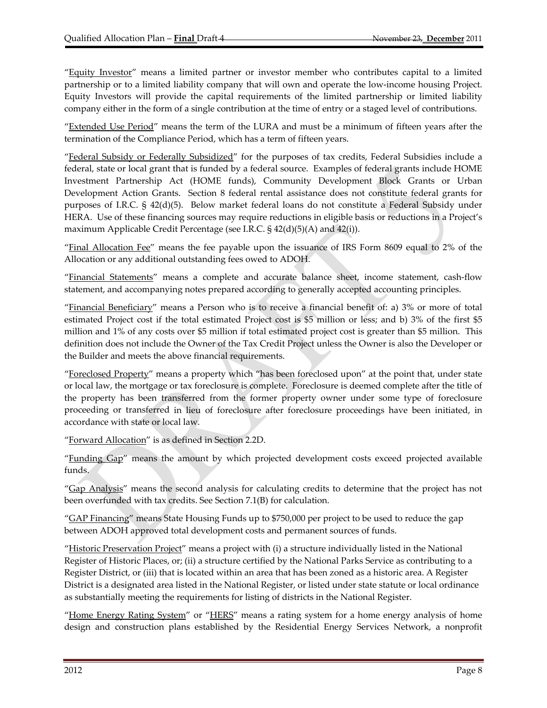"Equity Investor" means a limited partner or investor member who contributes capital to a limited partnership or to a limited liability company that will own and operate the low‐income housing Project. Equity Investors will provide the capital requirements of the limited partnership or limited liability company either in the form of a single contribution at the time of entry or a staged level of contributions.

"Extended Use Period" means the term of the LURA and must be a minimum of fifteen years after the termination of the Compliance Period, which has a term of fifteen years.

"Federal Subsidy or Federally Subsidized" for the purposes of tax credits, Federal Subsidies include a federal, state or local grant that is funded by a federal source. Examples of federal grants include HOME Investment Partnership Act (HOME funds), Community Development Block Grants or Urban Development Action Grants. Section 8 federal rental assistance does not constitute federal grants for purposes of I.R.C. § 42(d)(5). Below market federal loans do not constitute a Federal Subsidy under HERA. Use of these financing sources may require reductions in eligible basis or reductions in a Project's maximum Applicable Credit Percentage (see I.R.C. § 42(d)(5)(A) and 42(i)).

"Final Allocation Fee" means the fee payable upon the issuance of IRS Form 8609 equal to 2% of the Allocation or any additional outstanding fees owed to ADOH.

"Financial Statements" means a complete and accurate balance sheet, income statement, cash‐flow statement, and accompanying notes prepared according to generally accepted accounting principles.

"Financial Beneficiary" means a Person who is to receive a financial benefit of: a) 3% or more of total estimated Project cost if the total estimated Project cost is \$5 million or less; and b) 3% of the first \$5 million and 1% of any costs over \$5 million if total estimated project cost is greater than \$5 million. This definition does not include the Owner of the Tax Credit Project unless the Owner is also the Developer or the Builder and meets the above financial requirements.

"Foreclosed Property" means a property which "has been foreclosed upon" at the point that, under state or local law, the mortgage or tax foreclosure is complete. Foreclosure is deemed complete after the title of the property has been transferred from the former property owner under some type of foreclosure proceeding or transferred in lieu of foreclosure after foreclosure proceedings have been initiated, in accordance with state or local law.

"Forward Allocation" is as defined in Section 2.2D.

"Funding Gap" means the amount by which projected development costs exceed projected available funds.

"Gap Analysis" means the second analysis for calculating credits to determine that the project has not been overfunded with tax credits. See Section 7.1(B) for calculation.

"*GAP Financing*" means State Housing Funds up to \$750,000 per project to be used to reduce the gap between ADOH approved total development costs and permanent sources of funds.

"Historic Preservation Project" means a project with (i) a structure individually listed in the National Register of Historic Places, or; (ii) a structure certified by the National Parks Service as contributing to a Register District, or (iii) that is located within an area that has been zoned as a historic area. A Register District is a designated area listed in the National Register, or listed under state statute or local ordinance as substantially meeting the requirements for listing of districts in the National Register.

"Home Energy Rating System" or "HERS" means a rating system for a home energy analysis of home design and construction plans established by the Residential Energy Services Network, a nonprofit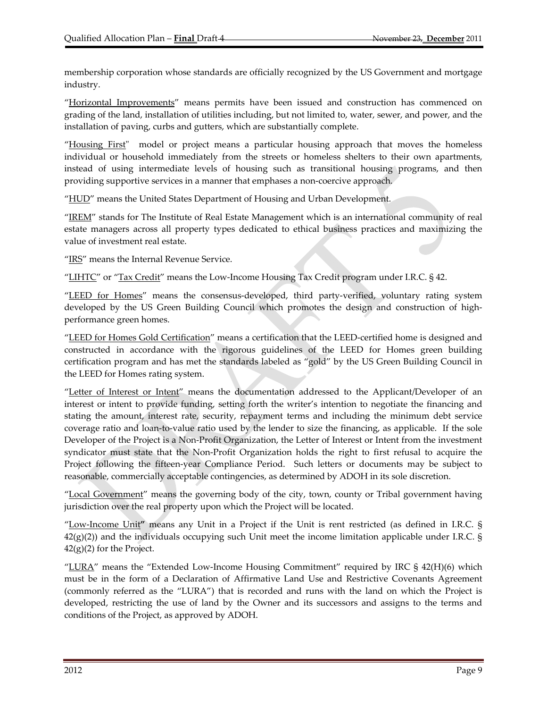membership corporation whose standards are officially recognized by the US Government and mortgage industry.

"Horizontal Improvements" means permits have been issued and construction has commenced on grading of the land, installation of utilities including, but not limited to, water, sewer, and power, and the installation of paving, curbs and gutters, which are substantially complete.

"Housing First" model or project means a particular housing approach that moves the homeless individual or household immediately from the streets or homeless shelters to their own apartments, instead of using intermediate levels of housing such as transitional housing programs, and then providing supportive services in a manner that emphases a non‐coercive approach.

"HUD" means the United States Department of Housing and Urban Development.

"IREM" stands for The Institute of Real Estate Management which is an international community of real estate managers across all property types dedicated to ethical business practices and maximizing the value of investment real estate.

"IRS" means the Internal Revenue Service.

"LIHTC" or "Tax Credit" means the Low-Income Housing Tax Credit program under I.R.C. § 42.

"LEED for Homes" means the consensus-developed, third party-verified, voluntary rating system developed by the US Green Building Council which promotes the design and construction of highperformance green homes.

"LEED for Homes Gold Certification" means a certification that the LEED‐certified home is designed and constructed in accordance with the rigorous guidelines of the LEED for Homes green building certification program and has met the standards labeled as "gold" by the US Green Building Council in the LEED for Homes rating system.

"Letter of Interest or Intent" means the documentation addressed to the Applicant/Developer of an interest or intent to provide funding, setting forth the writer's intention to negotiate the financing and stating the amount, interest rate, security, repayment terms and including the minimum debt service coverage ratio and loan‐to‐value ratio used by the lender to size the financing, as applicable. If the sole Developer of the Project is a Non-Profit Organization, the Letter of Interest or Intent from the investment syndicator must state that the Non‐Profit Organization holds the right to first refusal to acquire the Project following the fifteen-year Compliance Period. Such letters or documents may be subject to reasonable, commercially acceptable contingencies, as determined by ADOH in its sole discretion.

"Local Government" means the governing body of the city, town, county or Tribal government having jurisdiction over the real property upon which the Project will be located.

"Low‐Income Unit**"** means any Unit in a Project if the Unit is rent restricted (as defined in I.R.C. §  $42(g)(2)$ ) and the individuals occupying such Unit meet the income limitation applicable under I.R.C. §  $42(g)(2)$  for the Project.

"LURA" means the "Extended Low-Income Housing Commitment" required by IRC  $\S$  42(H)(6) which must be in the form of a Declaration of Affirmative Land Use and Restrictive Covenants Agreement (commonly referred as the "LURA") that is recorded and runs with the land on which the Project is developed, restricting the use of land by the Owner and its successors and assigns to the terms and conditions of the Project, as approved by ADOH.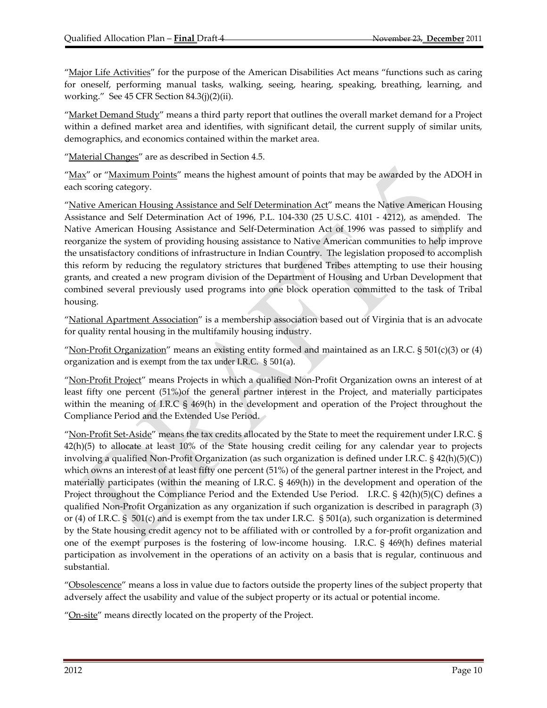"Major Life Activities" for the purpose of the American Disabilities Act means "functions such as caring for oneself, performing manual tasks, walking, seeing, hearing, speaking, breathing, learning, and working." See 45 CFR Section 84.3(j)(2)(ii).

"Market Demand Study" means a third party report that outlines the overall market demand for a Project within a defined market area and identifies, with significant detail, the current supply of similar units, demographics, and economics contained within the market area.

"Material Changes" are as described in Section 4.5.

"Max" or "Maximum Points" means the highest amount of points that may be awarded by the ADOH in each scoring category.

"Native American Housing Assistance and Self Determination Act" means the Native American Housing Assistance and Self Determination Act of 1996, P.L. 104-330 (25 U.S.C. 4101 - 4212), as amended. The Native American Housing Assistance and Self‐Determination Act of 1996 was passed to simplify and reorganize the system of providing housing assistance to Native American communities to help improve the unsatisfactory conditions of infrastructure in Indian Country. The legislation proposed to accomplish this reform by reducing the regulatory strictures that burdened Tribes attempting to use their housing grants, and created a new program division of the Department of Housing and Urban Development that combined several previously used programs into one block operation committed to the task of Tribal housing.

"National Apartment Association" is a membership association based out of Virginia that is an advocate for quality rental housing in the multifamily housing industry.

"Non-Profit Organization" means an existing entity formed and maintained as an I.R.C.  $\S 501(c)(3)$  or (4) organization and is exempt from the tax under I.R.C. § 501(a).

"Non‐Profit Project" means Projects in which a qualified Non‐Profit Organization owns an interest of at least fifty one percent (51%)of the general partner interest in the Project, and materially participates within the meaning of I.R.C § 469(h) in the development and operation of the Project throughout the Compliance Period and the Extended Use Period.

"Non‐Profit Set‐Aside" means the tax credits allocated by the State to meet the requirement under I.R.C. § 42(h)(5) to allocate at least 10% of the State housing credit ceiling for any calendar year to projects involving a qualified Non‐Profit Organization (as such organization is defined under I.R.C. § 42(h)(5)(C)) which owns an interest of at least fifty one percent (51%) of the general partner interest in the Project, and materially participates (within the meaning of I.R.C. § 469(h)) in the development and operation of the Project throughout the Compliance Period and the Extended Use Period. I.R.C. § 42(h)(5)(C) defines a qualified Non‐Profit Organization as any organization if such organization is described in paragraph (3) or (4) of I.R.C. § 501(c) and is exempt from the tax under I.R.C. § 501(a), such organization is determined by the State housing credit agency not to be affiliated with or controlled by a for‐profit organization and one of the exempt purposes is the fostering of low‐income housing. I.R.C. § 469(h) defines material participation as involvement in the operations of an activity on a basis that is regular, continuous and substantial.

"Obsolescence" means a loss in value due to factors outside the property lines of the subject property that adversely affect the usability and value of the subject property or its actual or potential income.

"On-site" means directly located on the property of the Project.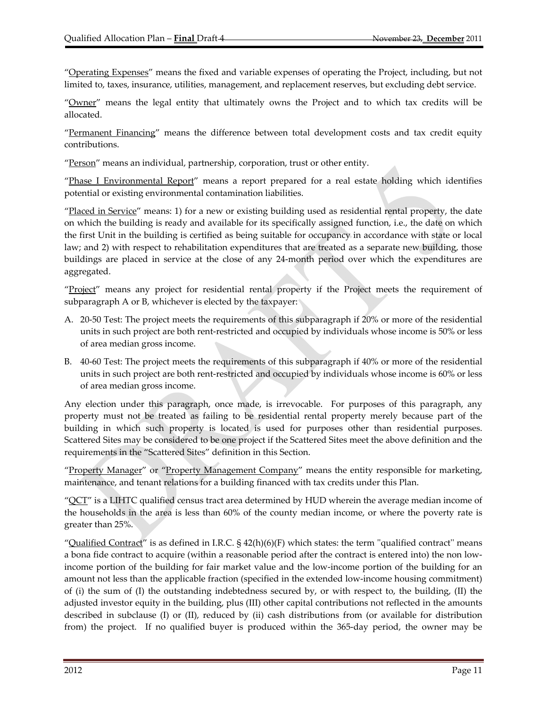"Operating Expenses" means the fixed and variable expenses of operating the Project, including, but not limited to, taxes, insurance, utilities, management, and replacement reserves, but excluding debt service.

"Owner" means the legal entity that ultimately owns the Project and to which tax credits will be allocated.

"Permanent Financing" means the difference between total development costs and tax credit equity contributions.

"Person" means an individual, partnership, corporation, trust or other entity.

"Phase I Environmental Report" means a report prepared for a real estate holding which identifies potential or existing environmental contamination liabilities.

"Placed in Service" means: 1) for a new or existing building used as residential rental property, the date on which the building is ready and available for its specifically assigned function, i.e., the date on which the first Unit in the building is certified as being suitable for occupancy in accordance with state or local law; and 2) with respect to rehabilitation expenditures that are treated as a separate new building, those buildings are placed in service at the close of any 24-month period over which the expenditures are aggregated.

"Project" means any project for residential rental property if the Project meets the requirement of subparagraph A or B, whichever is elected by the taxpayer:

- A. 20‐50 Test: The project meets the requirements of this subparagraph if 20% or more of the residential units in such project are both rent‐restricted and occupied by individuals whose income is 50% or less of area median gross income.
- B. 40‐60 Test: The project meets the requirements of this subparagraph if 40% or more of the residential units in such project are both rent‐restricted and occupied by individuals whose income is 60% or less of area median gross income.

Any election under this paragraph, once made, is irrevocable. For purposes of this paragraph, any property must not be treated as failing to be residential rental property merely because part of the building in which such property is located is used for purposes other than residential purposes. Scattered Sites may be considered to be one project if the Scattered Sites meet the above definition and the requirements in the "Scattered Sites" definition in this Section.

"Property Manager" or "Property Management Company" means the entity responsible for marketing, maintenance, and tenant relations for a building financed with tax credits under this Plan.

" $QCT$ " is a LIHTC qualified census tract area determined by HUD wherein the average median income of the households in the area is less than 60% of the county median income, or where the poverty rate is greater than 25%.

"Qualified Contract" is as defined in I.R.C. §  $42(h)(6)(F)$  which states: the term "qualified contract" means a bona fide contract to acquire (within a reasonable period after the contract is entered into) the non low‐ income portion of the building for fair market value and the low‐income portion of the building for an amount not less than the applicable fraction (specified in the extended low-income housing commitment) of (i) the sum of (I) the outstanding indebtedness secured by, or with respect to, the building, (II) the adjusted investor equity in the building, plus (III) other capital contributions not reflected in the amounts described in subclause (I) or (II), reduced by (ii) cash distributions from (or available for distribution from) the project. If no qualified buyer is produced within the 365-day period, the owner may be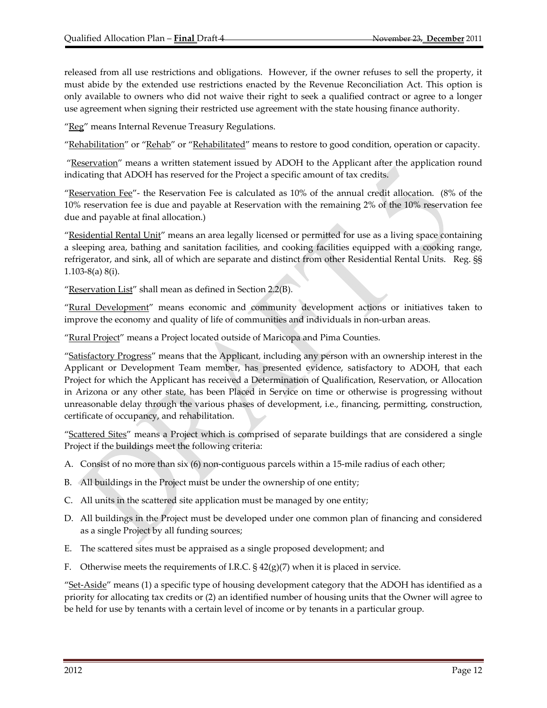released from all use restrictions and obligations. However, if the owner refuses to sell the property, it must abide by the extended use restrictions enacted by the Revenue Reconciliation Act. This option is only available to owners who did not waive their right to seek a qualified contract or agree to a longer use agreement when signing their restricted use agreement with the state housing finance authority.

"Reg" means Internal Revenue Treasury Regulations.

"Rehabilitation" or "Rehab" or "Rehabilitated" means to restore to good condition, operation or capacity.

"Reservation" means a written statement issued by ADOH to the Applicant after the application round indicating that ADOH has reserved for the Project a specific amount of tax credits.

"Reservation Fee"‐ the Reservation Fee is calculated as 10% of the annual credit allocation. (8% of the 10% reservation fee is due and payable at Reservation with the remaining 2% of the 10% reservation fee due and payable at final allocation.)

"Residential Rental Unit" means an area legally licensed or permitted for use as a living space containing a sleeping area, bathing and sanitation facilities, and cooking facilities equipped with a cooking range, refrigerator, and sink, all of which are separate and distinct from other Residential Rental Units. Reg. §§ 1.103‐8(a) 8(i).

"Reservation List" shall mean as defined in Section  $2.2(B)$ .

"Rural Development" means economic and community development actions or initiatives taken to improve the economy and quality of life of communities and individuals in non-urban areas.

"Rural Project" means a Project located outside of Maricopa and Pima Counties.

"Satisfactory Progress" means that the Applicant, including any person with an ownership interest in the Applicant or Development Team member, has presented evidence, satisfactory to ADOH, that each Project for which the Applicant has received a Determination of Qualification, Reservation, or Allocation in Arizona or any other state, has been Placed in Service on time or otherwise is progressing without unreasonable delay through the various phases of development, i.e., financing, permitting, construction, certificate of occupancy, and rehabilitation.

"Scattered Sites" means a Project which is comprised of separate buildings that are considered a single Project if the buildings meet the following criteria:

- A. Consist of no more than six (6) non-contiguous parcels within a 15-mile radius of each other;
- B. All buildings in the Project must be under the ownership of one entity;
- C. All units in the scattered site application must be managed by one entity;
- D. All buildings in the Project must be developed under one common plan of financing and considered as a single Project by all funding sources;
- E. The scattered sites must be appraised as a single proposed development; and
- F. Otherwise meets the requirements of I.R.C.  $\S 42(g)(7)$  when it is placed in service.

"Set-Aside" means (1) a specific type of housing development category that the ADOH has identified as a priority for allocating tax credits or (2) an identified number of housing units that the Owner will agree to be held for use by tenants with a certain level of income or by tenants in a particular group.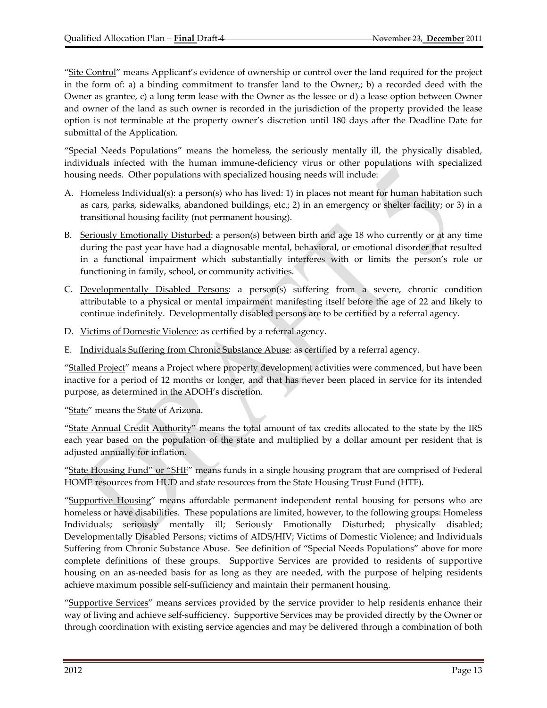"Site Control" means Applicant's evidence of ownership or control over the land required for the project in the form of: a) a binding commitment to transfer land to the Owner,; b) a recorded deed with the Owner as grantee, c) a long term lease with the Owner as the lessee or d) a lease option between Owner and owner of the land as such owner is recorded in the jurisdiction of the property provided the lease option is not terminable at the property owner's discretion until 180 days after the Deadline Date for submittal of the Application.

"Special Needs Populations" means the homeless, the seriously mentally ill, the physically disabled, individuals infected with the human immune‐deficiency virus or other populations with specialized housing needs. Other populations with specialized housing needs will include:

- A. Homeless Individual(s): a person(s) who has lived: 1) in places not meant for human habitation such as cars, parks, sidewalks, abandoned buildings, etc.; 2) in an emergency or shelter facility; or 3) in a transitional housing facility (not permanent housing).
- B. Seriously Emotionally Disturbed: a person(s) between birth and age 18 who currently or at any time during the past year have had a diagnosable mental, behavioral, or emotional disorder that resulted in a functional impairment which substantially interferes with or limits the person's role or functioning in family, school, or community activities.
- C. Developmentally Disabled Persons: a person(s) suffering from a severe, chronic condition attributable to a physical or mental impairment manifesting itself before the age of 22 and likely to continue indefinitely. Developmentally disabled persons are to be certified by a referral agency.
- D. Victims of Domestic Violence: as certified by a referral agency.
- E. Individuals Suffering from Chronic Substance Abuse: as certified by a referral agency.

"Stalled Project" means a Project where property development activities were commenced, but have been inactive for a period of 12 months or longer, and that has never been placed in service for its intended purpose, as determined in the ADOH's discretion.

"State" means the State of Arizona.

"State Annual Credit Authority" means the total amount of tax credits allocated to the state by the IRS each year based on the population of the state and multiplied by a dollar amount per resident that is adjusted annually for inflation.

"State Housing Fund" or "SHF" means funds in a single housing program that are comprised of Federal HOME resources from HUD and state resources from the State Housing Trust Fund (HTF).

"Supportive Housing" means affordable permanent independent rental housing for persons who are homeless or have disabilities. These populations are limited, however, to the following groups: Homeless Individuals; seriously mentally ill; Seriously Emotionally Disturbed; physically disabled; Developmentally Disabled Persons; victims of AIDS/HIV; Victims of Domestic Violence; and Individuals Suffering from Chronic Substance Abuse. See definition of "Special Needs Populations" above for more complete definitions of these groups. Supportive Services are provided to residents of supportive housing on an as-needed basis for as long as they are needed, with the purpose of helping residents achieve maximum possible self‐sufficiency and maintain their permanent housing.

"Supportive Services" means services provided by the service provider to help residents enhance their way of living and achieve self‐sufficiency. Supportive Services may be provided directly by the Owner or through coordination with existing service agencies and may be delivered through a combination of both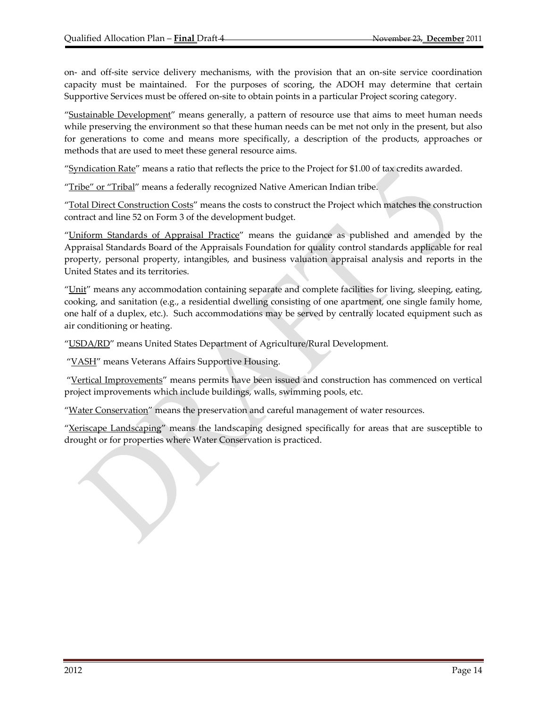on‐ and off‐site service delivery mechanisms, with the provision that an on‐site service coordination capacity must be maintained. For the purposes of scoring, the ADOH may determine that certain Supportive Services must be offered on‐site to obtain points in a particular Project scoring category.

"Sustainable Development" means generally, a pattern of resource use that aims to meet human needs while preserving the environment so that these human needs can be met not only in the present, but also for generations to come and means more specifically, a description of the products, approaches or methods that are used to meet these general resource aims.

"Syndication Rate" means a ratio that reflects the price to the Project for \$1.00 of tax credits awarded.

"Tribe" or "Tribal" means a federally recognized Native American Indian tribe.

"Total Direct Construction Costs" means the costs to construct the Project which matches the construction contract and line 52 on Form 3 of the development budget.

"Uniform Standards of Appraisal Practice" means the guidance as published and amended by the Appraisal Standards Board of the Appraisals Foundation for quality control standards applicable for real property, personal property, intangibles, and business valuation appraisal analysis and reports in the United States and its territories.

"Unit" means any accommodation containing separate and complete facilities for living, sleeping, eating, cooking, and sanitation (e.g., a residential dwelling consisting of one apartment, one single family home, one half of a duplex, etc.). Such accommodations may be served by centrally located equipment such as air conditioning or heating.

"USDA/RD" means United States Department of Agriculture/Rural Development.

"VASH" means Veterans Affairs Supportive Housing.

"Vertical Improvements" means permits have been issued and construction has commenced on vertical project improvements which include buildings, walls, swimming pools, etc.

"Water Conservation" means the preservation and careful management of water resources.

"Xeriscape Landscaping" means the landscaping designed specifically for areas that are susceptible to drought or for properties where Water Conservation is practiced.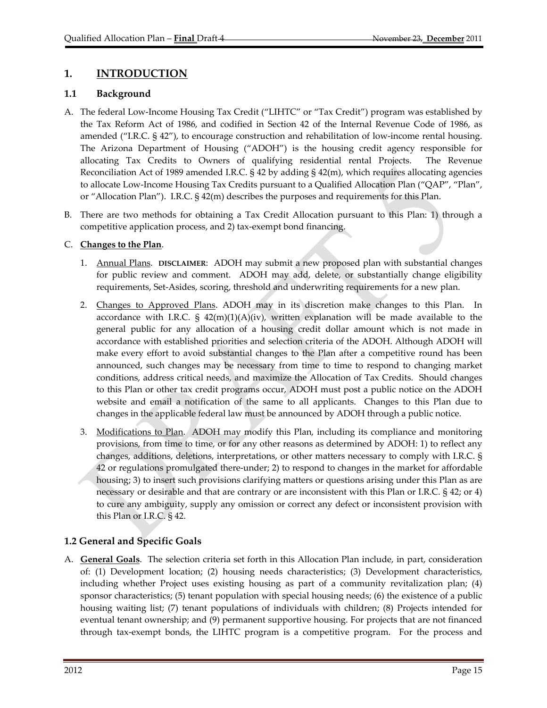# **1. INTRODUCTION**

## **1.1 Background**

- A. The federal Low‐Income Housing Tax Credit ("LIHTC" or "Tax Credit") program was established by the Tax Reform Act of 1986, and codified in Section 42 of the Internal Revenue Code of 1986, as amended ("I.R.C. § 42"), to encourage construction and rehabilitation of low‐income rental housing. The Arizona Department of Housing ("ADOH") is the housing credit agency responsible for allocating Tax Credits to Owners of qualifying residential rental Projects. The Revenue Reconciliation Act of 1989 amended I.R.C. § 42 by adding § 42(m), which requires allocating agencies to allocate Low‐Income Housing Tax Credits pursuant to a Qualified Allocation Plan ("QAP", "Plan", or "Allocation Plan"). I.R.C. § 42(m) describes the purposes and requirements for this Plan.
- B. There are two methods for obtaining a Tax Credit Allocation pursuant to this Plan: 1) through a competitive application process, and 2) tax‐exempt bond financing.

## C. **Changes to the Plan**.

- 1. Annual Plans. **DISCLAIMER**: ADOH may submit a new proposed plan with substantial changes for public review and comment. ADOH may add, delete, or substantially change eligibility requirements, Set‐Asides, scoring, threshold and underwriting requirements for a new plan.
- 2. Changes to Approved Plans. ADOH may in its discretion make changes to this Plan. In accordance with I.R.C.  $\S$  42(m)(1)(A)(iv), written explanation will be made available to the general public for any allocation of a housing credit dollar amount which is not made in accordance with established priorities and selection criteria of the ADOH. Although ADOH will make every effort to avoid substantial changes to the Plan after a competitive round has been announced, such changes may be necessary from time to time to respond to changing market conditions, address critical needs, and maximize the Allocation of Tax Credits. Should changes to this Plan or other tax credit programs occur, ADOH must post a public notice on the ADOH website and email a notification of the same to all applicants. Changes to this Plan due to changes in the applicable federal law must be announced by ADOH through a public notice.
- 3. Modifications to Plan. ADOH may modify this Plan, including its compliance and monitoring provisions, from time to time, or for any other reasons as determined by ADOH: 1) to reflect any changes, additions, deletions, interpretations, or other matters necessary to comply with I.R.C. § 42 or regulations promulgated there‐under; 2) to respond to changes in the market for affordable housing; 3) to insert such provisions clarifying matters or questions arising under this Plan as are necessary or desirable and that are contrary or are inconsistent with this Plan or I.R.C. § 42; or 4) to cure any ambiguity, supply any omission or correct any defect or inconsistent provision with this Plan or I.R.C. § 42.

# **1.2 General and Specific Goals**

A. **General Goals**. The selection criteria set forth in this Allocation Plan include, in part, consideration of: (1) Development location; (2) housing needs characteristics; (3) Development characteristics, including whether Project uses existing housing as part of a community revitalization plan; (4) sponsor characteristics; (5) tenant population with special housing needs; (6) the existence of a public housing waiting list; (7) tenant populations of individuals with children; (8) Projects intended for eventual tenant ownership; and (9) permanent supportive housing. For projects that are not financed through tax‐exempt bonds, the LIHTC program is a competitive program. For the process and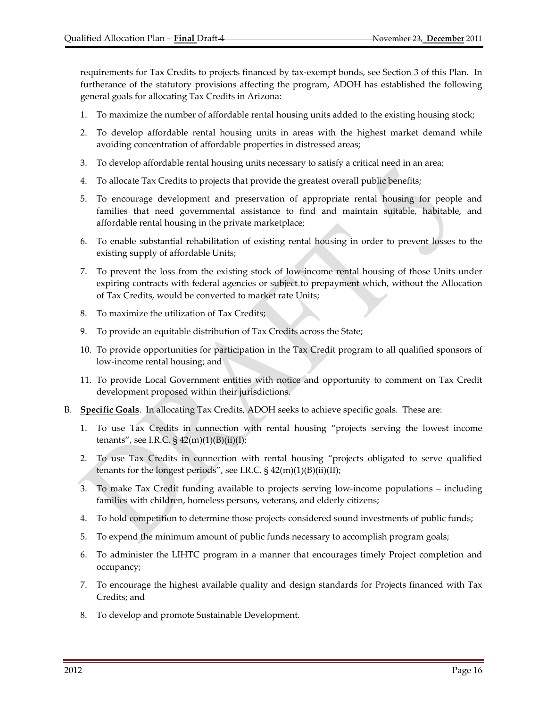requirements for Tax Credits to projects financed by tax‐exempt bonds, see Section 3 of this Plan. In furtherance of the statutory provisions affecting the program, ADOH has established the following general goals for allocating Tax Credits in Arizona:

- 1. To maximize the number of affordable rental housing units added to the existing housing stock;
- 2. To develop affordable rental housing units in areas with the highest market demand while avoiding concentration of affordable properties in distressed areas;
- 3. To develop affordable rental housing units necessary to satisfy a critical need in an area;
- 4. To allocate Tax Credits to projects that provide the greatest overall public benefits;
- 5. To encourage development and preservation of appropriate rental housing for people and families that need governmental assistance to find and maintain suitable, habitable, and affordable rental housing in the private marketplace;
- 6. To enable substantial rehabilitation of existing rental housing in order to prevent losses to the existing supply of affordable Units;
- 7. To prevent the loss from the existing stock of low‐income rental housing of those Units under expiring contracts with federal agencies or subject to prepayment which, without the Allocation of Tax Credits, would be converted to market rate Units;
- 8. To maximize the utilization of Tax Credits;
- 9. To provide an equitable distribution of Tax Credits across the State;
- 10. To provide opportunities for participation in the Tax Credit program to all qualified sponsors of low‐income rental housing; and
- 11. To provide Local Government entities with notice and opportunity to comment on Tax Credit development proposed within their jurisdictions.
- B. **Specific Goals**. In allocating Tax Credits, ADOH seeks to achieve specific goals. These are:
	- 1. To use Tax Credits in connection with rental housing "projects serving the lowest income tenants", see I.R.C.  $\S$  42(m)(1)(B)(ii)(I);
	- 2. To use Tax Credits in connection with rental housing "projects obligated to serve qualified tenants for the longest periods", see I.R.C. § 42(m)(1)(B)(ii)(II);
	- 3. To make Tax Credit funding available to projects serving low‐income populations including families with children, homeless persons, veterans, and elderly citizens;
	- 4. To hold competition to determine those projects considered sound investments of public funds;
	- 5. To expend the minimum amount of public funds necessary to accomplish program goals;
	- 6. To administer the LIHTC program in a manner that encourages timely Project completion and occupancy;
	- 7. To encourage the highest available quality and design standards for Projects financed with Tax Credits; and
	- 8. To develop and promote Sustainable Development.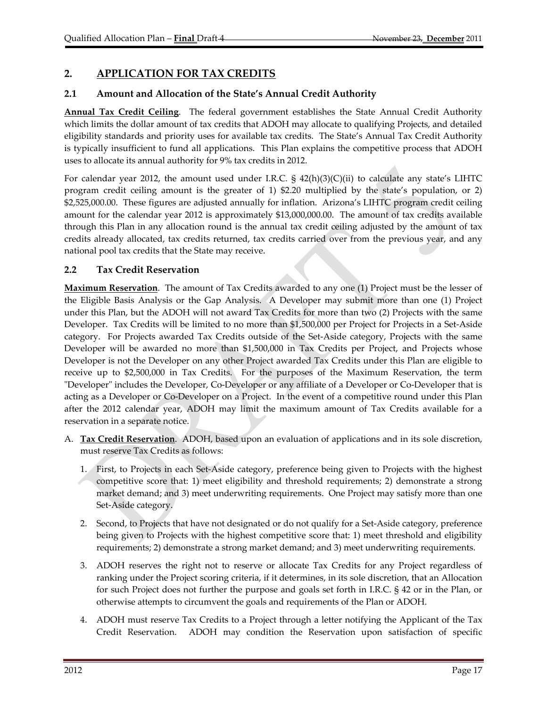# **2. APPLICATION FOR TAX CREDITS**

## **2.1 Amount and Allocation of the State's Annual Credit Authority**

**Annual Tax Credit Ceiling**. The federal government establishes the State Annual Credit Authority which limits the dollar amount of tax credits that ADOH may allocate to qualifying Projects, and detailed eligibility standards and priority uses for available tax credits. The State's Annual Tax Credit Authority is typically insufficient to fund all applications. This Plan explains the competitive process that ADOH uses to allocate its annual authority for 9% tax credits in 2012.

For calendar year 2012, the amount used under I.R.C.  $\S$  42(h)(3)(C)(ii) to calculate any state's LIHTC program credit ceiling amount is the greater of 1) \$2.20 multiplied by the state's population, or 2) \$2,525,000.00. These figures are adjusted annually for inflation. Arizona's LIHTC program credit ceiling amount for the calendar year 2012 is approximately \$13,000,000.00. The amount of tax credits available through this Plan in any allocation round is the annual tax credit ceiling adjusted by the amount of tax credits already allocated, tax credits returned, tax credits carried over from the previous year, and any national pool tax credits that the State may receive.

## **2.2 Tax Credit Reservation**

**Maximum Reservation**. The amount of Tax Credits awarded to any one (1) Project must be the lesser of the Eligible Basis Analysis or the Gap Analysis. A Developer may submit more than one (1) Project under this Plan, but the ADOH will not award Tax Credits for more than two (2) Projects with the same Developer. Tax Credits will be limited to no more than \$1,500,000 per Project for Projects in a Set-Aside category. For Projects awarded Tax Credits outside of the Set‐Aside category, Projects with the same Developer will be awarded no more than \$1,500,000 in Tax Credits per Project, and Projects whose Developer is not the Developer on any other Project awarded Tax Credits under this Plan are eligible to receive up to \$2,500,000 in Tax Credits. For the purposes of the Maximum Reservation, the term "Developer" includes the Developer, Co-Developer or any affiliate of a Developer or Co-Developer that is acting as a Developer or Co‐Developer on a Project. In the event of a competitive round under this Plan after the 2012 calendar year, ADOH may limit the maximum amount of Tax Credits available for a reservation in a separate notice.

- A. **Tax Credit Reservation**. ADOH, based upon an evaluation of applications and in its sole discretion, must reserve Tax Credits as follows:
	- 1. First, to Projects in each Set‐Aside category, preference being given to Projects with the highest competitive score that: 1) meet eligibility and threshold requirements; 2) demonstrate a strong market demand; and 3) meet underwriting requirements. One Project may satisfy more than one Set‐Aside category.
	- 2. Second, to Projects that have not designated or do not qualify for a Set‐Aside category, preference being given to Projects with the highest competitive score that: 1) meet threshold and eligibility requirements; 2) demonstrate a strong market demand; and 3) meet underwriting requirements.
	- 3. ADOH reserves the right not to reserve or allocate Tax Credits for any Project regardless of ranking under the Project scoring criteria, if it determines, in its sole discretion, that an Allocation for such Project does not further the purpose and goals set forth in I.R.C. § 42 or in the Plan, or otherwise attempts to circumvent the goals and requirements of the Plan or ADOH.
	- 4. ADOH must reserve Tax Credits to a Project through a letter notifying the Applicant of the Tax Credit Reservation. ADOH may condition the Reservation upon satisfaction of specific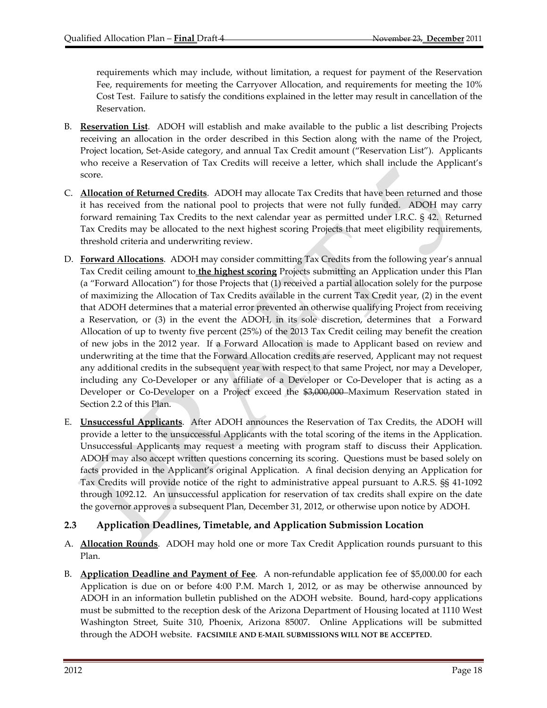requirements which may include, without limitation, a request for payment of the Reservation Fee, requirements for meeting the Carryover Allocation, and requirements for meeting the 10% Cost Test. Failure to satisfy the conditions explained in the letter may result in cancellation of the Reservation.

- B. **Reservation List**. ADOH will establish and make available to the public a list describing Projects receiving an allocation in the order described in this Section along with the name of the Project, Project location, Set‐Aside category, and annual Tax Credit amount ("Reservation List"). Applicants who receive a Reservation of Tax Credits will receive a letter, which shall include the Applicant's score.
- C. **Allocation of Returned Credits**. ADOH may allocate Tax Credits that have been returned and those it has received from the national pool to projects that were not fully funded. ADOH may carry forward remaining Tax Credits to the next calendar year as permitted under I.R.C. § 42. Returned Tax Credits may be allocated to the next highest scoring Projects that meet eligibility requirements, threshold criteria and underwriting review.
- D. **Forward Allocations**. ADOH may consider committing Tax Credits from the following year's annual Tax Credit ceiling amount to **the highest scoring** Projects submitting an Application under this Plan (a "Forward Allocation") for those Projects that (1) received a partial allocation solely for the purpose of maximizing the Allocation of Tax Credits available in the current Tax Credit year, (2) in the event that ADOH determines that a material error prevented an otherwise qualifying Project from receiving a Reservation, or (3) in the event the ADOH, in its sole discretion, determines that a Forward Allocation of up to twenty five percent (25%) of the 2013 Tax Credit ceiling may benefit the creation of new jobs in the 2012 year. If a Forward Allocation is made to Applicant based on review and underwriting at the time that the Forward Allocation credits are reserved, Applicant may not request any additional credits in the subsequent year with respect to that same Project, nor may a Developer, including any Co‐Developer or any affiliate of a Developer or Co‐Developer that is acting as a Developer or Co-Developer on a Project exceed the \$3,000,000 Maximum Reservation stated in Section 2.2 of this Plan.
- E. **Unsuccessful Applicants**. After ADOH announces the Reservation of Tax Credits, the ADOH will provide a letter to the unsuccessful Applicants with the total scoring of the items in the Application. Unsuccessful Applicants may request a meeting with program staff to discuss their Application. ADOH may also accept written questions concerning its scoring. Questions must be based solely on facts provided in the Applicant's original Application. A final decision denying an Application for Tax Credits will provide notice of the right to administrative appeal pursuant to A.R.S. §§ 41‐1092 through 1092.12. An unsuccessful application for reservation of tax credits shall expire on the date the governor approves a subsequent Plan, December 31, 2012, or otherwise upon notice by ADOH.

## **2.3 Application Deadlines, Timetable, and Application Submission Location**

- A. **Allocation Rounds**. ADOH may hold one or more Tax Credit Application rounds pursuant to this Plan.
- B. **Application Deadline and Payment of Fee**. A non‐refundable application fee of \$5,000.00 for each Application is due on or before 4:00 P.M. March 1, 2012, or as may be otherwise announced by ADOH in an information bulletin published on the ADOH website. Bound, hard‐copy applications must be submitted to the reception desk of the Arizona Department of Housing located at 1110 West Washington Street, Suite 310, Phoenix, Arizona 85007. Online Applications will be submitted through the ADOH website. **FACSIMILE AND E‐MAIL SUBMISSIONS WILL NOT BE ACCEPTED**.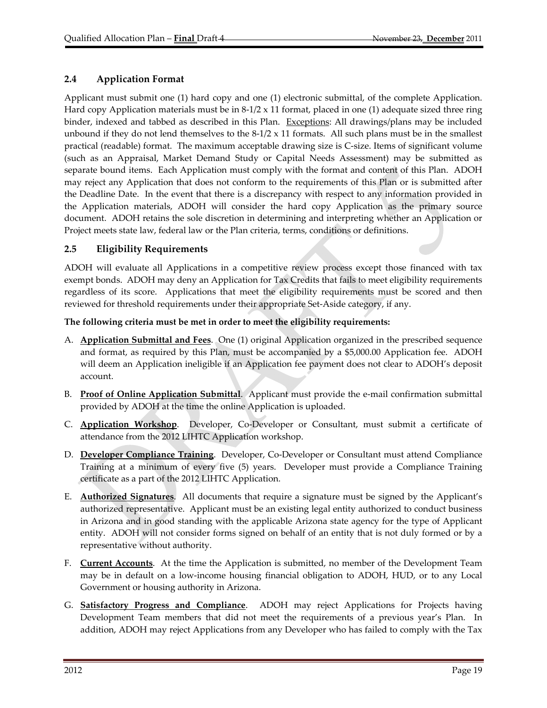# **2.4 Application Format**

Applicant must submit one (1) hard copy and one (1) electronic submittal, of the complete Application. Hard copy Application materials must be in  $8-1/2 \times 11$  format, placed in one (1) adequate sized three ring binder, indexed and tabbed as described in this Plan. Exceptions: All drawings/plans may be included unbound if they do not lend themselves to the  $8-1/2 \times 11$  formats. All such plans must be in the smallest practical (readable) format. The maximum acceptable drawing size is C‐size. Items of significant volume (such as an Appraisal, Market Demand Study or Capital Needs Assessment) may be submitted as separate bound items. Each Application must comply with the format and content of this Plan. ADOH may reject any Application that does not conform to the requirements of this Plan or is submitted after the Deadline Date. In the event that there is a discrepancy with respect to any information provided in the Application materials, ADOH will consider the hard copy Application as the primary source document. ADOH retains the sole discretion in determining and interpreting whether an Application or Project meets state law, federal law or the Plan criteria, terms, conditions or definitions.

## **2.5 Eligibility Requirements**

ADOH will evaluate all Applications in a competitive review process except those financed with tax exempt bonds. ADOH may deny an Application for Tax Credits that fails to meet eligibility requirements regardless of its score. Applications that meet the eligibility requirements must be scored and then reviewed for threshold requirements under their appropriate Set‐Aside category, if any.

## **The following criteria must be met in order to meet the eligibility requirements:**

- A. **Application Submittal and Fees**. One (1) original Application organized in the prescribed sequence and format, as required by this Plan, must be accompanied by a \$5,000.00 Application fee. ADOH will deem an Application ineligible if an Application fee payment does not clear to ADOH's deposit account.
- B. **Proof of Online Application Submittal**. Applicant must provide the e‐mail confirmation submittal provided by ADOH at the time the online Application is uploaded.
- C. **Application Workshop**. Developer, Co‐Developer or Consultant, must submit a certificate of attendance from the 2012 LIHTC Application workshop.
- D. **Developer Compliance Training**. Developer, Co‐Developer or Consultant must attend Compliance Training at a minimum of every five (5) years. Developer must provide a Compliance Training certificate as a part of the 2012 LIHTC Application.
- E. **Authorized Signatures**. All documents that require a signature must be signed by the Applicant's authorized representative. Applicant must be an existing legal entity authorized to conduct business in Arizona and in good standing with the applicable Arizona state agency for the type of Applicant entity. ADOH will not consider forms signed on behalf of an entity that is not duly formed or by a representative without authority.
- F. **Current Accounts**. At the time the Application is submitted, no member of the Development Team may be in default on a low‐income housing financial obligation to ADOH, HUD, or to any Local Government or housing authority in Arizona.
- G. **Satisfactory Progress and Compliance**. ADOH may reject Applications for Projects having Development Team members that did not meet the requirements of a previous year's Plan. In addition, ADOH may reject Applications from any Developer who has failed to comply with the Tax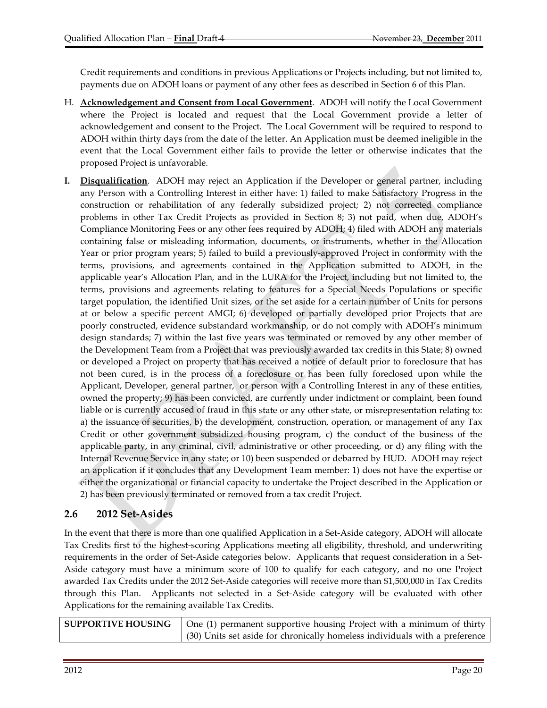Credit requirements and conditions in previous Applications or Projects including, but not limited to, payments due on ADOH loans or payment of any other fees as described in Section 6 of this Plan.

- H. **Acknowledgement and Consent from Local Government**. ADOH will notify the Local Government where the Project is located and request that the Local Government provide a letter of acknowledgement and consent to the Project. The Local Government will be required to respond to ADOH within thirty days from the date of the letter. An Application must be deemed ineligible in the event that the Local Government either fails to provide the letter or otherwise indicates that the proposed Project is unfavorable.
- **I. Disqualification**. ADOH may reject an Application if the Developer or general partner, including any Person with a Controlling Interest in either have: 1) failed to make Satisfactory Progress in the construction or rehabilitation of any federally subsidized project; 2) not corrected compliance problems in other Tax Credit Projects as provided in Section 8; 3) not paid, when due, ADOH's Compliance Monitoring Fees or any other fees required by ADOH; 4) filed with ADOH any materials containing false or misleading information, documents, or instruments, whether in the Allocation Year or prior program years; 5) failed to build a previously‐approved Project in conformity with the terms, provisions, and agreements contained in the Application submitted to ADOH, in the applicable year's Allocation Plan, and in the LURA for the Project, including but not limited to, the terms, provisions and agreements relating to features for a Special Needs Populations or specific target population, the identified Unit sizes, or the set aside for a certain number of Units for persons at or below a specific percent AMGI; 6) developed or partially developed prior Projects that are poorly constructed, evidence substandard workmanship, or do not comply with ADOH's minimum design standards; 7) within the last five years was terminated or removed by any other member of the Development Team from a Project that was previously awarded tax credits in this State; 8) owned or developed a Project on property that has received a notice of default prior to foreclosure that has not been cured, is in the process of a foreclosure or has been fully foreclosed upon while the Applicant, Developer, general partner, or person with a Controlling Interest in any of these entities, owned the property; 9) has been convicted, are currently under indictment or complaint, been found liable or is currently accused of fraud in this state or any other state, or misrepresentation relating to: a) the issuance of securities, b) the development, construction, operation, or management of any Tax Credit or other government subsidized housing program, c) the conduct of the business of the applicable party, in any criminal, civil, administrative or other proceeding, or d) any filing with the Internal Revenue Service in any state; or 10) been suspended or debarred by HUD. ADOH may reject an application if it concludes that any Development Team member: 1) does not have the expertise or either the organizational or financial capacity to undertake the Project described in the Application or 2) has been previously terminated or removed from a tax credit Project.

# **2.6 2012 Set‐Asides**

In the event that there is more than one qualified Application in a Set‐Aside category, ADOH will allocate Tax Credits first to the highest‐scoring Applications meeting all eligibility, threshold, and underwriting requirements in the order of Set-Aside categories below. Applicants that request consideration in a Set-Aside category must have a minimum score of 100 to qualify for each category, and no one Project awarded Tax Credits under the 2012 Set‐Aside categories will receive more than \$1,500,000 in Tax Credits through this Plan. Applicants not selected in a Set‐Aside category will be evaluated with other Applications for the remaining available Tax Credits.

| <b>SUPPORTIVE HOUSING</b> | One (1) permanent supportive housing Project with a minimum of thirty       |
|---------------------------|-----------------------------------------------------------------------------|
|                           | (30) Units set aside for chronically homeless individuals with a preference |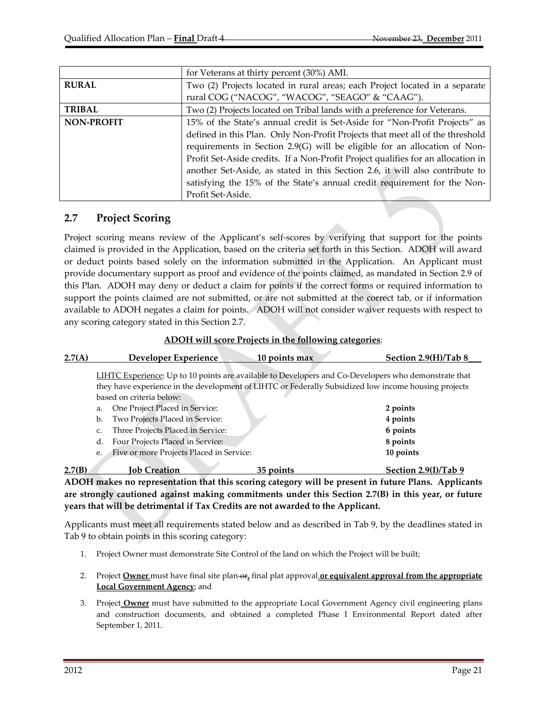|                   | for Veterans at thirty percent (30%) AMI.                                        |
|-------------------|----------------------------------------------------------------------------------|
| <b>RURAL</b>      | Two (2) Projects located in rural areas; each Project located in a separate      |
|                   | rural COG ("NACOG", "WACOG", "SEAGO" & "CAAG").                                  |
| <b>TRIBAL</b>     | Two (2) Projects located on Tribal lands with a preference for Veterans.         |
| <b>NON-PROFIT</b> | 15% of the State's annual credit is Set-Aside for "Non-Profit Projects" as       |
|                   | defined in this Plan. Only Non-Profit Projects that meet all of the threshold    |
|                   | requirements in Section 2.9(G) will be eligible for an allocation of Non-        |
|                   | Profit Set-Aside credits. If a Non-Profit Project qualifies for an allocation in |
|                   | another Set-Aside, as stated in this Section 2.6, it will also contribute to     |
|                   | satisfying the 15% of the State's annual credit requirement for the Non-         |
|                   | Profit Set-Aside.                                                                |

## **2.7 Project Scoring**

Project scoring means review of the Applicant's self‐scores by verifying that support for the points claimed is provided in the Application, based on the criteria set forth in this Section. ADOH will award or deduct points based solely on the information submitted in the Application. An Applicant must provide documentary support as proof and evidence of the points claimed, as mandated in Section 2.9 of this Plan. ADOH may deny or deduct a claim for points if the correct forms or required information to support the points claimed are not submitted, or are not submitted at the correct tab, or if information available to ADOH negates a claim for points. ADOH will not consider waiver requests with respect to any scoring category stated in this Section 2.7.

#### **ADOH will score Projects in the following categories**:

| 2.7(A) |                                                                                                                                  | Developer Experience                     | 10 points max                                                                                        | Section 2.9(H)/Tab 8 |  |
|--------|----------------------------------------------------------------------------------------------------------------------------------|------------------------------------------|------------------------------------------------------------------------------------------------------|----------------------|--|
|        |                                                                                                                                  |                                          | LIHTC Experience: Up to 10 points are available to Developers and Co-Developers who demonstrate that |                      |  |
|        | they have experience in the development of LIHTC or Federally Subsidized low income housing projects<br>based on criteria below: |                                          |                                                                                                      |                      |  |
|        | a.                                                                                                                               | One Project Placed in Service:           |                                                                                                      | 2 points             |  |
|        | b.                                                                                                                               | Two Projects Placed in Service:          |                                                                                                      | 4 points             |  |
|        | c.                                                                                                                               | Three Projects Placed in Service:        |                                                                                                      | 6 points             |  |
|        | d.                                                                                                                               | Four Projects Placed in Service:         |                                                                                                      | 8 points             |  |
|        | e.                                                                                                                               | Five or more Projects Placed in Service: |                                                                                                      | 10 points            |  |
| 2.7(B) |                                                                                                                                  | <b>Tob Creation</b>                      | 35 points                                                                                            | Section 2.9(I)/Tab 9 |  |

**ADOH makes no representation that this scoring category will be present in future Plans. Applicants are strongly cautioned against making commitments under this Section 2.7(B) in this year, or future years that will be detrimental if Tax Credits are not awarded to the Applicant.**

Applicants must meet all requirements stated below and as described in Tab 9, by the deadlines stated in Tab 9 to obtain points in this scoring category:

- 1. Project Owner must demonstrate Site Control of the land on which the Project will be built;
- 2. Project **Owner** must have final site plan-or, final plat approval or **equivalent approval from the appropriate Local Government Agency**; and
- 3. Project **Owner** must have submitted to the appropriate Local Government Agency civil engineering plans and construction documents, and obtained a completed Phase I Environmental Report dated after September 1, 2011.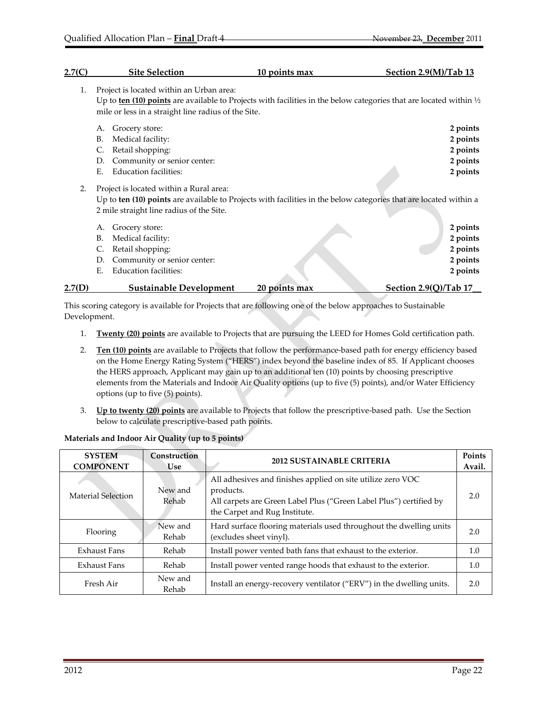| 2.7(C) | <b>Site Selection</b>                                                                                                                                                                                                            | 10 points max | Section 2.9(M)/Tab 13 |
|--------|----------------------------------------------------------------------------------------------------------------------------------------------------------------------------------------------------------------------------------|---------------|-----------------------|
| 1.     | Project is located within an Urban area:<br>Up to ten (10) points are available to Projects with facilities in the below categories that are located within $\frac{1}{2}$<br>mile or less in a straight line radius of the Site. |               |                       |
|        | Grocery store:<br>А.                                                                                                                                                                                                             |               | 2 points              |
|        | В.<br>Medical facility:                                                                                                                                                                                                          |               | 2 points              |
|        | Retail shopping:<br>C.                                                                                                                                                                                                           |               | 2 points              |
|        | Community or senior center:<br>D.                                                                                                                                                                                                |               | 2 points              |
|        | <b>Education facilities:</b><br>Е.                                                                                                                                                                                               |               | 2 points              |
| 2.     | Project is located within a Rural area:<br>Up to ten (10) points are available to Projects with facilities in the below categories that are located within a<br>2 mile straight line radius of the Site.                         |               |                       |
|        | Grocery store:<br>А.                                                                                                                                                                                                             |               | 2 points              |
|        | В.<br>Medical facility:                                                                                                                                                                                                          |               | 2 points              |
|        | Retail shopping:<br>C.                                                                                                                                                                                                           |               | 2 points              |
|        | Community or senior center:<br>D.                                                                                                                                                                                                |               | 2 points              |
|        | <b>Education facilities:</b><br>Е.                                                                                                                                                                                               |               | 2 points              |
| 2.7(D) | <b>Sustainable Development</b>                                                                                                                                                                                                   | 20 points max | Section 2.9(Q)/Tab 17 |

This scoring category is available for Projects that are following one of the below approaches to Sustainable Development.

- 1. **Twenty (20) points** are available to Projects that are pursuing the LEED for Homes Gold certification path.
- 2. **Ten (10) points** are available to Projects that follow the performance‐based path for energy efficiency based on the Home Energy Rating System ("HERS") index beyond the baseline index of 85. If Applicant chooses the HERS approach, Applicant may gain up to an additional ten (10) points by choosing prescriptive elements from the Materials and Indoor Air Quality options (up to five (5) points), and/or Water Efficiency options (up to five (5) points).
- 3. **Up to twenty (20) points** are available to Projects that follow the prescriptive‐based path. Use the Section below to calculate prescriptive‐based path points.

| <b>SYSTEM</b><br><b>COMPONENT</b> | Construction<br><b>Use</b> | <b>2012 SUSTAINABLE CRITERIA</b>                                                                                                                                                | Points<br>Avail. |
|-----------------------------------|----------------------------|---------------------------------------------------------------------------------------------------------------------------------------------------------------------------------|------------------|
| Material Selection                | New and<br>Rehab           | All adhesives and finishes applied on site utilize zero VOC<br>products.<br>All carpets are Green Label Plus ("Green Label Plus") certified by<br>the Carpet and Rug Institute. | 2.0              |
| Flooring                          | New and<br>Rehab           | Hard surface flooring materials used throughout the dwelling units<br>(excludes sheet vinyl).                                                                                   | 2.0              |
| <b>Exhaust Fans</b>               | Rehab                      | Install power vented bath fans that exhaust to the exterior.                                                                                                                    | 1.0              |
| Exhaust Fans                      | Rehab                      | Install power vented range hoods that exhaust to the exterior.                                                                                                                  | 1.0              |
| Fresh Air                         | New and<br>Rehab           | Install an energy-recovery ventilator ("ERV") in the dwelling units.                                                                                                            | 2.0              |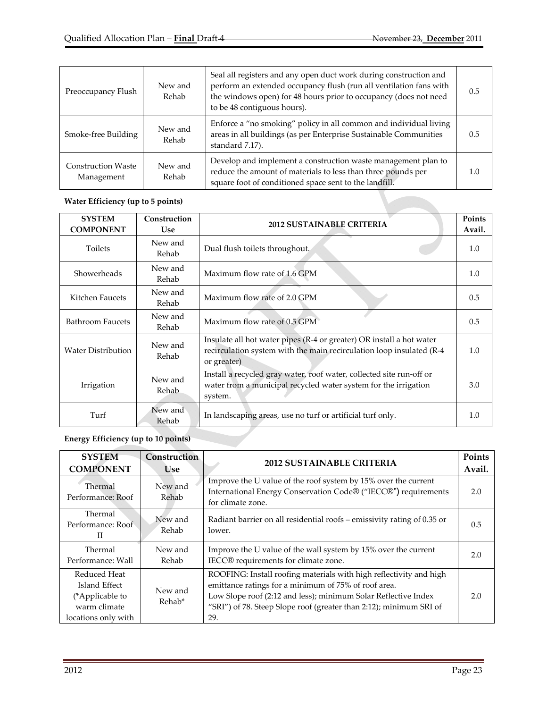| Preoccupancy Flush                      | New and<br>Rehab | Seal all registers and any open duct work during construction and<br>perform an extended occupancy flush (run all ventilation fans with<br>the windows open) for 48 hours prior to occupancy (does not need<br>to be 48 contiguous hours). | 0.5 |
|-----------------------------------------|------------------|--------------------------------------------------------------------------------------------------------------------------------------------------------------------------------------------------------------------------------------------|-----|
| Smoke-free Building                     | New and<br>Rehab | Enforce a "no smoking" policy in all common and individual living<br>areas in all buildings (as per Enterprise Sustainable Communities<br>standard 7.17).                                                                                  | 0.5 |
| <b>Construction Waste</b><br>Management | New and<br>Rehab | Develop and implement a construction waste management plan to<br>reduce the amount of materials to less than three pounds per<br>square foot of conditioned space sent to the landfill.                                                    | 1.0 |

#### **Water Efficiency (up to 5 points)**

| <b>SYSTEM</b><br><b>COMPONENT</b> | Construction<br><b>Use</b> | <b>2012 SUSTAINABLE CRITERIA</b>                                                                                                                            | Points<br>Avail. |
|-----------------------------------|----------------------------|-------------------------------------------------------------------------------------------------------------------------------------------------------------|------------------|
| Toilets                           | New and<br>Rehab           | Dual flush toilets throughout.                                                                                                                              | 1.0              |
| Showerheads                       | New and<br>Rehab           | Maximum flow rate of 1.6 GPM                                                                                                                                | 1.0              |
| Kitchen Faucets                   | New and<br>Rehab           | Maximum flow rate of 2.0 GPM                                                                                                                                | 0.5              |
| <b>Bathroom Faucets</b>           | New and<br>Rehab           | Maximum flow rate of 0.5 GPM                                                                                                                                | 0.5              |
| <b>Water Distribution</b>         | New and<br>Rehab           | Insulate all hot water pipes (R-4 or greater) OR install a hot water<br>recirculation system with the main recirculation loop insulated (R-4<br>or greater) | 1.0              |
| Irrigation                        | New and<br>Rehab           | Install a recycled gray water, roof water, collected site run-off or<br>water from a municipal recycled water system for the irrigation<br>system.          | 3.0              |
| Turf                              | New and<br>Rehab           | In landscaping areas, use no turf or artificial turf only.                                                                                                  | 1.0              |

# **Energy Efficiency (up to 10 points)**

| <b>SYSTEM</b><br><b>COMPONENT</b>                                                       | Construction<br><b>Use</b>    | <b>2012 SUSTAINABLE CRITERIA</b>                                                                                                                                                                                                                                          | Points<br>Avail. |
|-----------------------------------------------------------------------------------------|-------------------------------|---------------------------------------------------------------------------------------------------------------------------------------------------------------------------------------------------------------------------------------------------------------------------|------------------|
| Thermal<br>Performance: Roof                                                            | New and<br>Rehab              | Improve the U value of the roof system by 15% over the current<br>International Energy Conservation Code® ("IECC®") requirements<br>for climate zone.                                                                                                                     | 2.0              |
| Thermal<br>Performance: Roof<br>Н                                                       | New and<br>Rehab              | Radiant barrier on all residential roofs – emissivity rating of 0.35 or<br>lower.                                                                                                                                                                                         | 0.5              |
| Thermal<br>Performance: Wall                                                            | New and<br>Rehab              | Improve the U value of the wall system by 15% over the current<br>IECC® requirements for climate zone.                                                                                                                                                                    | 2.0              |
| Reduced Heat<br>Island Effect<br>(*Applicable to<br>warm climate<br>locations only with | New and<br>Rehab <sup>*</sup> | ROOFING: Install roofing materials with high reflectivity and high<br>emittance ratings for a minimum of 75% of roof area.<br>Low Slope roof (2:12 and less); minimum Solar Reflective Index<br>"SRI") of 78. Steep Slope roof (greater than 2:12); minimum SRI of<br>29. | 2.0              |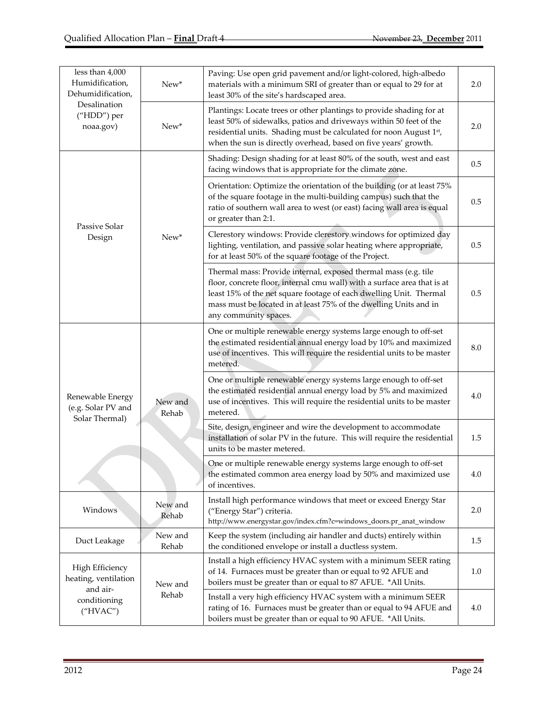| less than 4,000<br>Humidification,<br>Dehumidification,  | New*             | Paving: Use open grid pavement and/or light-colored, high-albedo<br>materials with a minimum SRI of greater than or equal to 29 for at<br>least 30% of the site's hardscaped area.                                                                                                                              | 2.0 |
|----------------------------------------------------------|------------------|-----------------------------------------------------------------------------------------------------------------------------------------------------------------------------------------------------------------------------------------------------------------------------------------------------------------|-----|
| Desalination<br>("HDD") per<br>noaa.gov)                 | New*             | Plantings: Locate trees or other plantings to provide shading for at<br>least 50% of sidewalks, patios and driveways within 50 feet of the<br>residential units. Shading must be calculated for noon August 1st,<br>when the sun is directly overhead, based on five years' growth.                             | 2.0 |
|                                                          |                  | Shading: Design shading for at least 80% of the south, west and east<br>facing windows that is appropriate for the climate zone.                                                                                                                                                                                | 0.5 |
| Passive Solar                                            |                  | Orientation: Optimize the orientation of the building (or at least 75%<br>of the square footage in the multi-building campus) such that the<br>ratio of southern wall area to west (or east) facing wall area is equal<br>or greater than 2:1.                                                                  | 0.5 |
| Design                                                   | $New*$           | Clerestory windows: Provide clerestory windows for optimized day<br>lighting, ventilation, and passive solar heating where appropriate,<br>for at least 50% of the square footage of the Project.                                                                                                               | 0.5 |
|                                                          |                  | Thermal mass: Provide internal, exposed thermal mass (e.g. tile<br>floor, concrete floor, internal cmu wall) with a surface area that is at<br>least 15% of the net square footage of each dwelling Unit. Thermal<br>mass must be located in at least 75% of the dwelling Units and in<br>any community spaces. | 0.5 |
|                                                          |                  | One or multiple renewable energy systems large enough to off-set<br>the estimated residential annual energy load by 10% and maximized<br>use of incentives. This will require the residential units to be master<br>metered.                                                                                    | 8.0 |
| Renewable Energy<br>(e.g. Solar PV and<br>Solar Thermal) | New and<br>Rehab | One or multiple renewable energy systems large enough to off-set<br>the estimated residential annual energy load by 5% and maximized<br>use of incentives. This will require the residential units to be master<br>metered.                                                                                     | 4.0 |
|                                                          |                  | Site, design, engineer and wire the development to accommodate<br>installation of solar PV in the future. This will require the residential<br>units to be master metered.                                                                                                                                      | 1.5 |
|                                                          |                  | One or multiple renewable energy systems large enough to off-set<br>the estimated common area energy load by 50% and maximized use<br>of incentives.                                                                                                                                                            | 4.0 |
| Windows                                                  | New and<br>Rehab | Install high performance windows that meet or exceed Energy Star<br>("Energy Star") criteria.<br>http://www.energystar.gov/index.cfm?c=windows_doors.pr_anat_window                                                                                                                                             | 2.0 |
| Duct Leakage                                             | New and<br>Rehab | Keep the system (including air handler and ducts) entirely within<br>the conditioned envelope or install a ductless system.                                                                                                                                                                                     | 1.5 |
| <b>High Efficiency</b><br>heating, ventilation           | New and          | Install a high efficiency HVAC system with a minimum SEER rating<br>of 14. Furnaces must be greater than or equal to 92 AFUE and<br>boilers must be greater than or equal to 87 AFUE. *All Units.                                                                                                               | 1.0 |
| and air-<br>conditioning<br>("HVAC")                     | Rehab            | Install a very high efficiency HVAC system with a minimum SEER<br>rating of 16. Furnaces must be greater than or equal to 94 AFUE and<br>boilers must be greater than or equal to 90 AFUE. *All Units.                                                                                                          | 4.0 |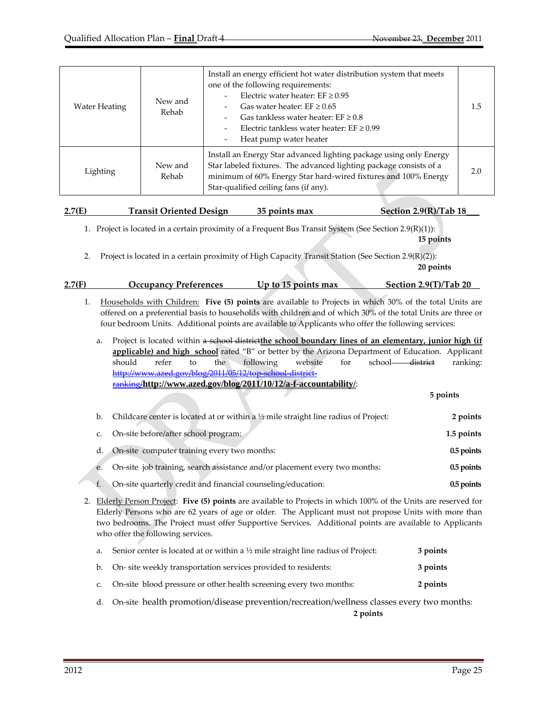| Water Heating | New and<br>Rehab | Install an energy efficient hot water distribution system that meets<br>one of the following requirements:<br>Electric water heater: $EF \ge 0.95$<br>Gas water heater: $EF \geq 0.65$<br>Gas tankless water heater: $EF \ge 0.8$<br>Electric tankless water heater: $EF \geq 0.99$<br>$\overline{\phantom{0}}$<br>Heat pump water heater<br>$\qquad \qquad$ | 1.5 |
|---------------|------------------|--------------------------------------------------------------------------------------------------------------------------------------------------------------------------------------------------------------------------------------------------------------------------------------------------------------------------------------------------------------|-----|
| Lighting      | New and<br>Rehab | Install an Energy Star advanced lighting package using only Energy<br>Star labeled fixtures. The advanced lighting package consists of a<br>minimum of 60% Energy Star hard-wired fixtures and 100% Energy<br>Star-qualified ceiling fans (if any).                                                                                                          |     |

| 2.7(E) | <b>Transit Oriented Design</b> | 35 points max | Section $2.9(R)/Tab$ 18 |
|--------|--------------------------------|---------------|-------------------------|
|        |                                |               |                         |

1. Project is located in a certain proximity of a Frequent Bus Transit System (See Section 2.9(R)(1)): **15 points** 

2. Project is located in a certain proximity of High Capacity Transit Station (See Section 2.9(R)(2)):

| 2.7(F) | Occupancy Preferences | Up to 15 points max | <b>Section 2.9(T)/Tab 20</b> |
|--------|-----------------------|---------------------|------------------------------|
|        |                       |                     |                              |

**20 points 20 points** 

1. Households with Children: **Five (5) points** are available to Projects in which 30% of the total Units are offered on a preferential basis to households with children and of which 30% of the total Units are three or four bedroom Units. Additional points are available to Applicants who offer the following services:

| a.          | Project is located within a school district the school boundary lines of an elementary, junior high (if |            |
|-------------|---------------------------------------------------------------------------------------------------------|------------|
|             | applicable) and high school rated "B" or better by the Arizona Department of Education. Applicant       |            |
|             | school-district<br>following<br>website<br>should<br>for<br>refer<br>the<br>to                          | ranking:   |
|             | http://www.azed.gov/blog/2011/05/12/top-school-district-                                                |            |
|             | ranking/http://www.azed.gov/blog/2011/10/12/a-f-accountability/:                                        |            |
|             |                                                                                                         | 5 points   |
|             |                                                                                                         |            |
| b.          | Childcare center is located at or within a $\frac{1}{2}$ mile straight line radius of Project:          | 2 points   |
| $C_{\cdot}$ | On-site before/after school program:                                                                    | 1.5 points |
|             |                                                                                                         |            |
| d.          | On-site computer training every two months:                                                             | 0.5 points |

| e. On-site job training, search assistance and/or placement every two months: | $0.5$ points |
|-------------------------------------------------------------------------------|--------------|
| On-site quarterly credit and financial counseling/education:                  | $0.5$ points |

2. Elderly Person Project: **Five (5) points** are available to Projects in which 100% of the Units are reserved for Elderly Persons who are 62 years of age or older. The Applicant must not propose Units with more than two bedrooms. The Project must offer Supportive Services. Additional points are available to Applicants who offer the following services.

| a. Senior center is located at or within a $\frac{1}{2}$ mile straight line radius of Project: | 3 points |
|------------------------------------------------------------------------------------------------|----------|
| b. On-site weekly transportation services provided to residents:                               | 3 points |
| c. On-site blood pressure or other health screening every two months:                          | 2 points |

d. On-site health promotion/disease prevention/recreation/wellness classes every two months:

**2 points**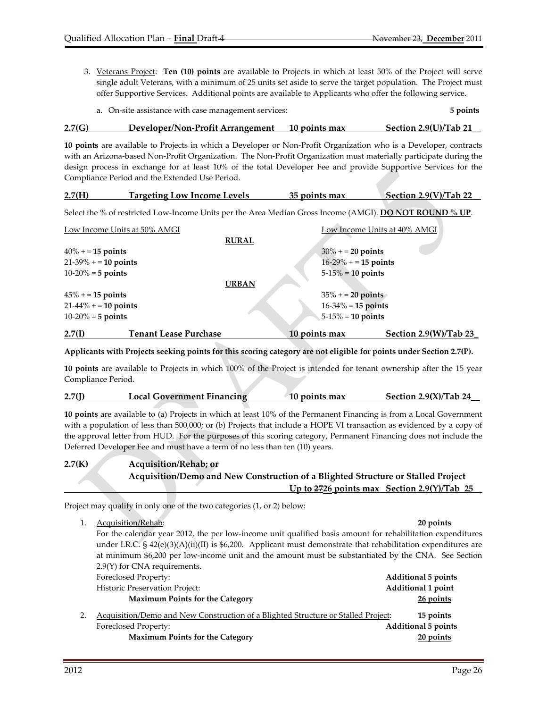3. Veterans Project: **Ten (10) points** are available to Projects in which at least 50% of the Project will serve single adult Veterans, with a minimum of 25 units set aside to serve the target population. The Project must offer Supportive Services. Additional points are available to Applicants who offer the following service.

|  | a. On-site assistance with case management services: | 5 points |
|--|------------------------------------------------------|----------|
|--|------------------------------------------------------|----------|

#### **2.7(G) Developer/Non‐Profit Arrangement 10 points max Section 2.9(U)/Tab 21\_\_**

**10 points** are available to Projects in which a Developer or Non‐Profit Organization who is a Developer, contracts with an Arizona-based Non-Profit Organization. The Non-Profit Organization must materially participate during the design process in exchange for at least 10% of the total Developer Fee and provide Supportive Services for the Compliance Period and the Extended Use Period.

| 2.7(H) | <b>Targeting Low Income Levels</b> | 35 points max | Section 2.9(V)/Tab 22 |
|--------|------------------------------------|---------------|-----------------------|
|        |                                    |               |                       |

Select the % of restricted Low‐Income Units per the Area Median Gross Income (AMGI). **DO NOT ROUND % UP**.

|                       | Low Income Units at 50% AMGI |               | Low Income Units at 40% AMGI |                         |
|-----------------------|------------------------------|---------------|------------------------------|-------------------------|
|                       |                              | <b>RURAL</b>  |                              |                         |
| $40\% + 15$ points    |                              |               | $30\% + 20$ points           |                         |
| $21-39\% + 10$ points |                              |               | $16-29\% + 15$ points        |                         |
| $10-20% = 5$ points   |                              |               | $5-15\% = 10$ points         |                         |
|                       |                              | <b>URBAN</b>  |                              |                         |
| $45\% + 15$ points    |                              |               | $35\% + 20$ points           |                         |
| $21-44\% + 10$ points |                              |               | $16 - 34\% = 15$ points      |                         |
| $10-20% = 5$ points   |                              |               | $5-15\% = 10$ points         |                         |
| 2.7(I)                | <b>Tenant Lease Purchase</b> | 10 points max |                              | Section $2.9(W)/Tab$ 23 |

Applicants with Projects seeking points for this scoring category are not eligible for points under Section 2.7(P).

**10 points** are available to Projects in which 100% of the Project is intended for tenant ownership after the 15 year Compliance Period.

| $2.7($ J $)$ | Local Government Financing | 10 points max | Section $2.9(X)/Tab$ 24 |
|--------------|----------------------------|---------------|-------------------------|
|              |                            |               |                         |

**10 points** are available to (a) Projects in which at least 10% of the Permanent Financing is from a Local Government with a population of less than 500,000; or (b) Projects that include a HOPE VI transaction as evidenced by a copy of the approval letter from HUD. For the purposes of this scoring category, Permanent Financing does not include the Deferred Developer Fee and must have a term of no less than ten (10) years.

| 2.7(K) | <b>Acquisition/Rehab; or</b>                                                     |
|--------|----------------------------------------------------------------------------------|
|        | Acquisition/Demo and New Construction of a Blighted Structure or Stalled Project |
|        | Up to $2726$ points max Section 2.9(Y)/Tab 25                                    |

Project may qualify in only one of the two categories (1, or 2) below:

1. Acquisition/Rehab: **20 points** For the calendar year 2012, the per low‐income unit qualified basis amount for rehabilitation expenditures under I.R.C. § 42(e)(3)(A)(ii)(II) is \$6,200. Applicant must demonstrate that rehabilitation expenditures are at minimum \$6,200 per low‐income unit and the amount must be substantiated by the CNA. See Section 2.9(Y) for CNA requirements. Foreclosed Property: **Additional 5 points** Historic Preservation Project: **Additional 1 point Maximum Points for the Category 26 points** 2. Acquisition/Demo and New Construction of a Blighted Structure or Stalled Project: **15 points** Foreclosed Property: **Additional 5 points Maximum Points for the Category 20 points**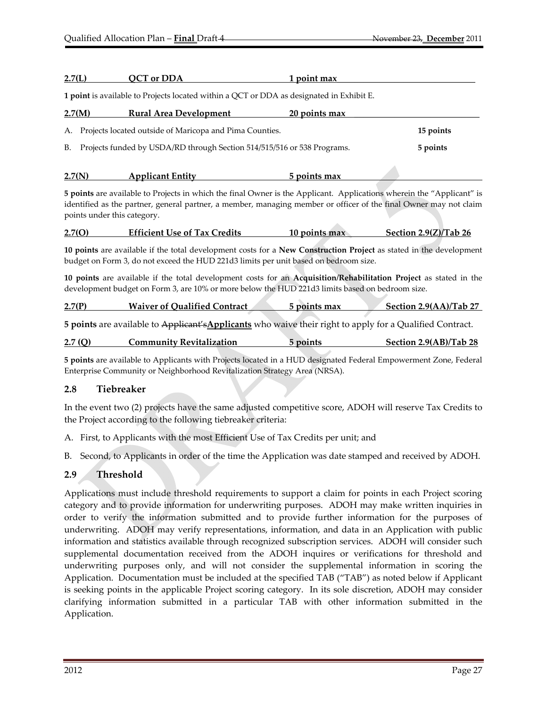| 2.7(L) | <b>QCT</b> or DDA                                                                                                                                                                                                                                                         | 1 point max   |                        |
|--------|---------------------------------------------------------------------------------------------------------------------------------------------------------------------------------------------------------------------------------------------------------------------------|---------------|------------------------|
|        | 1 point is available to Projects located within a QCT or DDA as designated in Exhibit E.                                                                                                                                                                                  |               |                        |
| 2.7(M) | <b>Rural Area Development</b>                                                                                                                                                                                                                                             | 20 points max |                        |
| А.     | Projects located outside of Maricopa and Pima Counties.                                                                                                                                                                                                                   |               | 15 points              |
| В.     | Projects funded by USDA/RD through Section 514/515/516 or 538 Programs.                                                                                                                                                                                                   |               | 5 points               |
| 2.7(N) | <b>Applicant Entity</b>                                                                                                                                                                                                                                                   | 5 points max  |                        |
|        | 5 points are available to Projects in which the final Owner is the Applicant. Applications wherein the "Applicant" is<br>identified as the partner, general partner, a member, managing member or officer of the final Owner may not claim<br>points under this category. |               |                        |
| 2.7(0) | <b>Efficient Use of Tax Credits</b>                                                                                                                                                                                                                                       | 10 points max | Section 2.9(Z)/Tab 26  |
|        | 10 points are available if the total development costs for a New Construction Project as stated in the development<br>budget on Form 3, do not exceed the HUD 221d3 limits per unit based on bedroom size.                                                                |               |                        |
|        | 10 points are available if the total development costs for an Acquisition/Rehabilitation Project as stated in the<br>development budget on Form 3, are 10% or more below the HUD 221d3 limits based on bedroom size.                                                      |               |                        |
| 2.7(P) | <b>Waiver of Qualified Contract</b>                                                                                                                                                                                                                                       | 5 points max  | Section 2.9(AA)/Tab 27 |
|        | 5 points are available to Applicant's Applicants who waive their right to apply for a Qualified Contract.                                                                                                                                                                 |               |                        |

| 2.7(Q) | <b>Community Revitalization</b> | 5 points | Section 2.9(AB)/Tab 28 |
|--------|---------------------------------|----------|------------------------|
|        |                                 |          |                        |

**5 points** are available to Applicants with Projects located in a HUD designated Federal Empowerment Zone, Federal Enterprise Community or Neighborhood Revitalization Strategy Area (NRSA).

#### **2.8 Tiebreaker**

In the event two (2) projects have the same adjusted competitive score, ADOH will reserve Tax Credits to the Project according to the following tiebreaker criteria:

A. First, to Applicants with the most Efficient Use of Tax Credits per unit; and

B. Second, to Applicants in order of the time the Application was date stamped and received by ADOH.

## **2.9 Threshold**

Applications must include threshold requirements to support a claim for points in each Project scoring category and to provide information for underwriting purposes. ADOH may make written inquiries in order to verify the information submitted and to provide further information for the purposes of underwriting. ADOH may verify representations, information, and data in an Application with public information and statistics available through recognized subscription services. ADOH will consider such supplemental documentation received from the ADOH inquires or verifications for threshold and underwriting purposes only, and will not consider the supplemental information in scoring the Application. Documentation must be included at the specified TAB ("TAB") as noted below if Applicant is seeking points in the applicable Project scoring category. In its sole discretion, ADOH may consider clarifying information submitted in a particular TAB with other information submitted in the Application.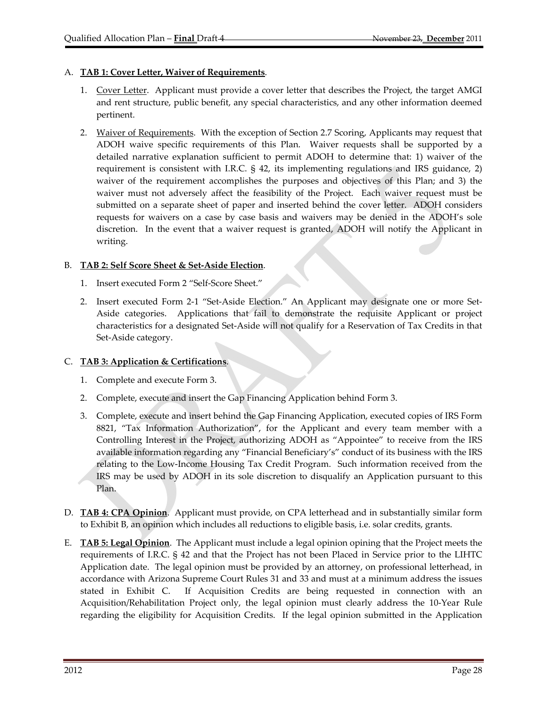#### A. **TAB 1: Cover Letter, Waiver of Requirements**.

- 1. Cover Letter. Applicant must provide a cover letter that describes the Project, the target AMGI and rent structure, public benefit, any special characteristics, and any other information deemed pertinent.
- 2. Waiver of Requirements. With the exception of Section 2.7 Scoring, Applicants may request that ADOH waive specific requirements of this Plan. Waiver requests shall be supported by a detailed narrative explanation sufficient to permit ADOH to determine that: 1) waiver of the requirement is consistent with I.R.C. § 42, its implementing regulations and IRS guidance, 2) waiver of the requirement accomplishes the purposes and objectives of this Plan; and 3) the waiver must not adversely affect the feasibility of the Project. Each waiver request must be submitted on a separate sheet of paper and inserted behind the cover letter. ADOH considers requests for waivers on a case by case basis and waivers may be denied in the ADOH's sole discretion. In the event that a waiver request is granted, ADOH will notify the Applicant in writing.

#### B. **TAB 2: Self Score Sheet & Set‐Aside Election**.

- 1. Insert executed Form 2 "Self‐Score Sheet."
- 2. Insert executed Form 2-1 "Set-Aside Election." An Applicant may designate one or more Set-Aside categories. Applications that fail to demonstrate the requisite Applicant or project characteristics for a designated Set‐Aside will not qualify for a Reservation of Tax Credits in that Set‐Aside category.

#### C. **TAB 3: Application & Certifications**.

- 1. Complete and execute Form 3.
- 2. Complete, execute and insert the Gap Financing Application behind Form 3.
- 3. Complete, execute and insert behind the Gap Financing Application, executed copies of IRS Form 8821, "Tax Information Authorization", for the Applicant and every team member with a Controlling Interest in the Project, authorizing ADOH as "Appointee" to receive from the IRS available information regarding any "Financial Beneficiary's" conduct of its business with the IRS relating to the Low‐Income Housing Tax Credit Program. Such information received from the IRS may be used by ADOH in its sole discretion to disqualify an Application pursuant to this Plan.
- D. **TAB 4: CPA Opinion**. Applicant must provide, on CPA letterhead and in substantially similar form to Exhibit B, an opinion which includes all reductions to eligible basis, i.e. solar credits, grants.
- E. **TAB 5: Legal Opinion**. The Applicant must include a legal opinion opining that the Project meets the requirements of I.R.C. § 42 and that the Project has not been Placed in Service prior to the LIHTC Application date. The legal opinion must be provided by an attorney, on professional letterhead, in accordance with Arizona Supreme Court Rules 31 and 33 and must at a minimum address the issues stated in Exhibit C. If Acquisition Credits are being requested in connection with an Acquisition/Rehabilitation Project only, the legal opinion must clearly address the 10‐Year Rule regarding the eligibility for Acquisition Credits. If the legal opinion submitted in the Application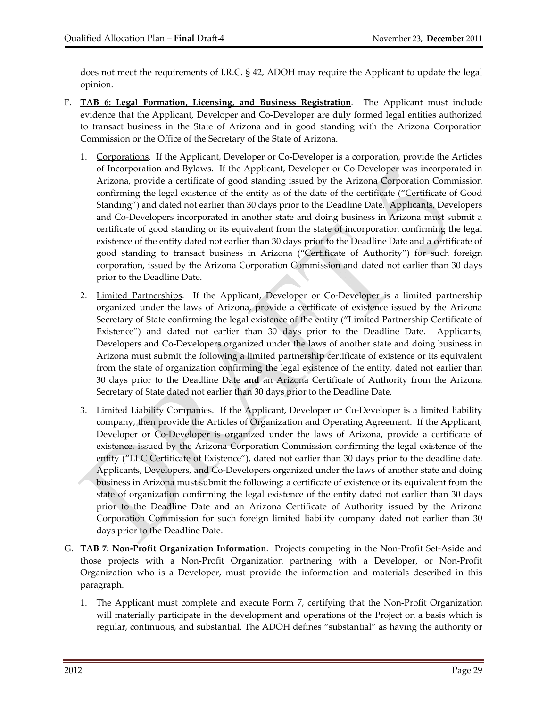does not meet the requirements of I.R.C. § 42, ADOH may require the Applicant to update the legal opinion.

- F. **TAB 6: Legal Formation, Licensing, and Business Registration**. The Applicant must include evidence that the Applicant, Developer and Co‐Developer are duly formed legal entities authorized to transact business in the State of Arizona and in good standing with the Arizona Corporation Commission or the Office of the Secretary of the State of Arizona.
	- 1. Corporations. If the Applicant, Developer or Co-Developer is a corporation, provide the Articles of Incorporation and Bylaws. If the Applicant, Developer or Co‐Developer was incorporated in Arizona, provide a certificate of good standing issued by the Arizona Corporation Commission confirming the legal existence of the entity as of the date of the certificate ("Certificate of Good Standing") and dated not earlier than 30 days prior to the Deadline Date. Applicants, Developers and Co‐Developers incorporated in another state and doing business in Arizona must submit a certificate of good standing or its equivalent from the state of incorporation confirming the legal existence of the entity dated not earlier than 30 days prior to the Deadline Date and a certificate of good standing to transact business in Arizona ("Certificate of Authority") for such foreign corporation, issued by the Arizona Corporation Commission and dated not earlier than 30 days prior to the Deadline Date.
	- 2. Limited Partnerships. If the Applicant, Developer or Co-Developer is a limited partnership organized under the laws of Arizona, provide a certificate of existence issued by the Arizona Secretary of State confirming the legal existence of the entity ("Limited Partnership Certificate of Existence") and dated not earlier than 30 days prior to the Deadline Date. Applicants, Developers and Co‐Developers organized under the laws of another state and doing business in Arizona must submit the following a limited partnership certificate of existence or its equivalent from the state of organization confirming the legal existence of the entity, dated not earlier than 30 days prior to the Deadline Date **and** an Arizona Certificate of Authority from the Arizona Secretary of State dated not earlier than 30 days prior to the Deadline Date.
	- 3. Limited Liability Companies. If the Applicant, Developer or Co-Developer is a limited liability company, then provide the Articles of Organization and Operating Agreement. If the Applicant, Developer or Co-Developer is organized under the laws of Arizona, provide a certificate of existence, issued by the Arizona Corporation Commission confirming the legal existence of the entity ("LLC Certificate of Existence"), dated not earlier than 30 days prior to the deadline date. Applicants, Developers, and Co‐Developers organized under the laws of another state and doing business in Arizona must submit the following: a certificate of existence or its equivalent from the state of organization confirming the legal existence of the entity dated not earlier than 30 days prior to the Deadline Date and an Arizona Certificate of Authority issued by the Arizona Corporation Commission for such foreign limited liability company dated not earlier than 30 days prior to the Deadline Date.
- G. **TAB 7: Non‐Profit Organization Information**. Projects competing in the Non‐Profit Set‐Aside and those projects with a Non‐Profit Organization partnering with a Developer, or Non‐Profit Organization who is a Developer, must provide the information and materials described in this paragraph.
	- 1. The Applicant must complete and execute Form 7, certifying that the Non-Profit Organization will materially participate in the development and operations of the Project on a basis which is regular, continuous, and substantial. The ADOH defines "substantial" as having the authority or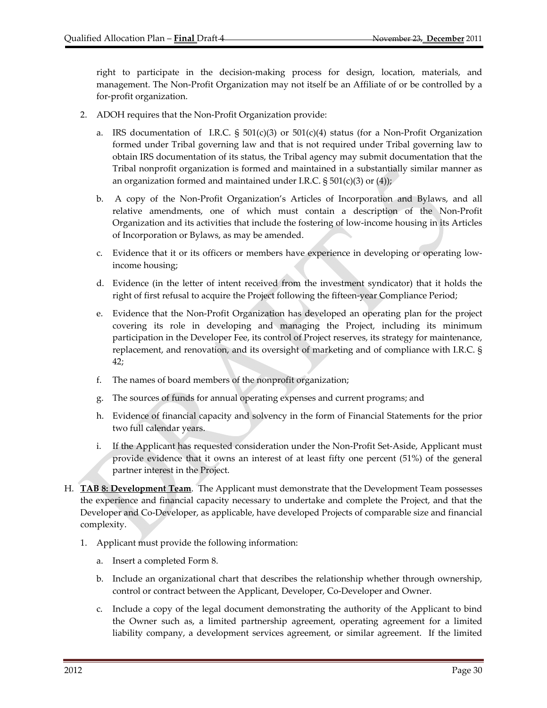right to participate in the decision‐making process for design, location, materials, and management. The Non‐Profit Organization may not itself be an Affiliate of or be controlled by a for‐profit organization.

- 2. ADOH requires that the Non‐Profit Organization provide:
	- a. IRS documentation of I.R.C.  $\S$  501(c)(3) or 501(c)(4) status (for a Non-Profit Organization formed under Tribal governing law and that is not required under Tribal governing law to obtain IRS documentation of its status, the Tribal agency may submit documentation that the Tribal nonprofit organization is formed and maintained in a substantially similar manner as an organization formed and maintained under I.R.C.  $\S 501(c)(3)$  or (4));
	- b. A copy of the Non‐Profit Organization's Articles of Incorporation and Bylaws, and all relative amendments, one of which must contain a description of the Non‐Profit Organization and its activities that include the fostering of low‐income housing in its Articles of Incorporation or Bylaws, as may be amended.
	- c. Evidence that it or its officers or members have experience in developing or operating low‐ income housing;
	- d. Evidence (in the letter of intent received from the investment syndicator) that it holds the right of first refusal to acquire the Project following the fifteen‐year Compliance Period;
	- e. Evidence that the Non‐Profit Organization has developed an operating plan for the project covering its role in developing and managing the Project, including its minimum participation in the Developer Fee, its control of Project reserves, its strategy for maintenance, replacement, and renovation, and its oversight of marketing and of compliance with I.R.C. § 42;
	- f. The names of board members of the nonprofit organization;
	- g. The sources of funds for annual operating expenses and current programs; and
	- h. Evidence of financial capacity and solvency in the form of Financial Statements for the prior two full calendar years.
	- i. If the Applicant has requested consideration under the Non‐Profit Set‐Aside, Applicant must provide evidence that it owns an interest of at least fifty one percent (51%) of the general partner interest in the Project.
- H. **TAB 8: Development Team**. The Applicant must demonstrate that the Development Team possesses the experience and financial capacity necessary to undertake and complete the Project, and that the Developer and Co‐Developer, as applicable, have developed Projects of comparable size and financial complexity.
	- 1. Applicant must provide the following information:
		- a. Insert a completed Form 8.
		- b. Include an organizational chart that describes the relationship whether through ownership, control or contract between the Applicant, Developer, Co‐Developer and Owner.
		- c. Include a copy of the legal document demonstrating the authority of the Applicant to bind the Owner such as, a limited partnership agreement, operating agreement for a limited liability company, a development services agreement, or similar agreement. If the limited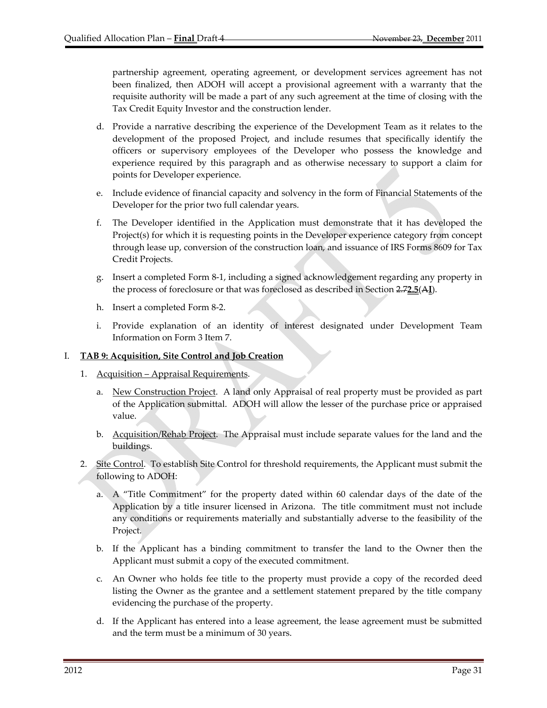partnership agreement, operating agreement, or development services agreement has not been finalized, then ADOH will accept a provisional agreement with a warranty that the requisite authority will be made a part of any such agreement at the time of closing with the Tax Credit Equity Investor and the construction lender.

- d. Provide a narrative describing the experience of the Development Team as it relates to the development of the proposed Project, and include resumes that specifically identify the officers or supervisory employees of the Developer who possess the knowledge and experience required by this paragraph and as otherwise necessary to support a claim for points for Developer experience.
- e. Include evidence of financial capacity and solvency in the form of Financial Statements of the Developer for the prior two full calendar years.
- f. The Developer identified in the Application must demonstrate that it has developed the Project(s) for which it is requesting points in the Developer experience category from concept through lease up, conversion of the construction loan, and issuance of IRS Forms 8609 for Tax Credit Projects.
- g. Insert a completed Form 8‐1, including a signed acknowledgement regarding any property in the process of foreclosure or that was foreclosed as described in Section 2.7**2.5**(A**I**).
- h. Insert a completed Form 8‐2.
- i. Provide explanation of an identity of interest designated under Development Team Information on Form 3 Item 7.

#### I. **TAB 9: Acquisition, Site Control and Job Creation**

- 1. Acquisition Appraisal Requirements.
	- a. New Construction Project. A land only Appraisal of real property must be provided as part of the Application submittal. ADOH will allow the lesser of the purchase price or appraised value.
	- b. Acquisition/Rehab Project. The Appraisal must include separate values for the land and the buildings.
- 2. Site Control. To establish Site Control for threshold requirements, the Applicant must submit the following to ADOH:
	- a. A "Title Commitment" for the property dated within 60 calendar days of the date of the Application by a title insurer licensed in Arizona. The title commitment must not include any conditions or requirements materially and substantially adverse to the feasibility of the Project.
	- b. If the Applicant has a binding commitment to transfer the land to the Owner then the Applicant must submit a copy of the executed commitment.
	- c. An Owner who holds fee title to the property must provide a copy of the recorded deed listing the Owner as the grantee and a settlement statement prepared by the title company evidencing the purchase of the property.
	- d. If the Applicant has entered into a lease agreement, the lease agreement must be submitted and the term must be a minimum of 30 years.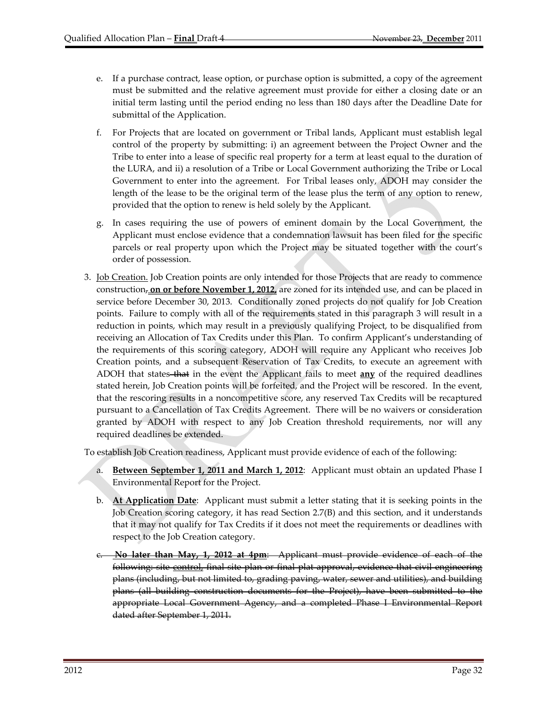- e. If a purchase contract, lease option, or purchase option is submitted, a copy of the agreement must be submitted and the relative agreement must provide for either a closing date or an initial term lasting until the period ending no less than 180 days after the Deadline Date for submittal of the Application.
- f. For Projects that are located on government or Tribal lands, Applicant must establish legal control of the property by submitting: i) an agreement between the Project Owner and the Tribe to enter into a lease of specific real property for a term at least equal to the duration of the LURA, and ii) a resolution of a Tribe or Local Government authorizing the Tribe or Local Government to enter into the agreement. For Tribal leases only, ADOH may consider the length of the lease to be the original term of the lease plus the term of any option to renew, provided that the option to renew is held solely by the Applicant.
- g. In cases requiring the use of powers of eminent domain by the Local Government, the Applicant must enclose evidence that a condemnation lawsuit has been filed for the specific parcels or real property upon which the Project may be situated together with the court's order of possession.
- 3. <u>Job Creation.</u> Job Creation points are only intended for those Projects that are ready to commence construction, **on or before November 1, 2012,** are zoned for its intended use, and can be placed in service before December 30, 2013. Conditionally zoned projects do not qualify for Job Creation points. Failure to comply with all of the requirements stated in this paragraph 3 will result in a reduction in points, which may result in a previously qualifying Project, to be disqualified from receiving an Allocation of Tax Credits under this Plan. To confirm Applicant's understanding of the requirements of this scoring category, ADOH will require any Applicant who receives Job Creation points, and a subsequent Reservation of Tax Credits, to execute an agreement with ADOH that states that in the event the Applicant fails to meet **any** of the required deadlines stated herein, Job Creation points will be forfeited, and the Project will be rescored. In the event, that the rescoring results in a noncompetitive score, any reserved Tax Credits will be recaptured pursuant to a Cancellation of Tax Credits Agreement. There will be no waivers or consideration granted by ADOH with respect to any Job Creation threshold requirements, nor will any required deadlines be extended.

To establish Job Creation readiness, Applicant must provide evidence of each of the following:

- a. **Between September 1, 2011 and March 1, 2012**: Applicant must obtain an updated Phase I Environmental Report for the Project.
- b. **At Application Date**: Applicant must submit a letter stating that it is seeking points in the Job Creation scoring category, it has read Section 2.7(B) and this section, and it understands that it may not qualify for Tax Credits if it does not meet the requirements or deadlines with respect to the Job Creation category.
- c. **No later than May, 1, 2012 at 4pm**: Applicant must provide evidence of each of the following: site control, final site plan or final plat approval, evidence that civil engineering plans (including, but not limited to, grading paving, water, sewer and utilities), and building plans (all building construction documents for the Project), have been submitted to the appropriate Local Government Agency, and a completed Phase I Environmental Report dated after September 1, 2011.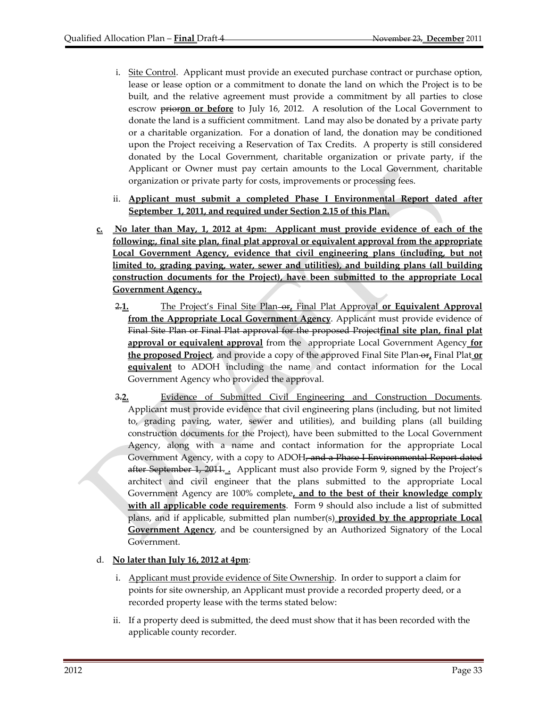- i. Site Control. Applicant must provide an executed purchase contract or purchase option, lease or lease option or a commitment to donate the land on which the Project is to be built, and the relative agreement must provide a commitment by all parties to close escrow **prioron** or **before** to July 16, 2012. A resolution of the Local Government to donate the land is a sufficient commitment. Land may also be donated by a private party or a charitable organization. For a donation of land, the donation may be conditioned upon the Project receiving a Reservation of Tax Credits. A property is still considered donated by the Local Government, charitable organization or private party, if the Applicant or Owner must pay certain amounts to the Local Government, charitable organization or private party for costs, improvements or processing fees.
- ii. **Applicant must submit a completed Phase I Environmental Report dated after September 1, 2011, and required under Section 2.15 of this Plan.**
- **c. No later than May, 1, 2012 at 4pm: Applicant must provide evidence of each of the following:, final site plan, final plat approval or equivalent approval from the appropriate Local Government Agency, evidence that civil engineering plans (including, but not limited to, grading paving, water, sewer and utilities), and building plans (all building construction documents for the Project), have been submitted to the appropriate Local Government Agency.,**
	- 2.**1.** The Project's Final Site Plan or**,** Final Plat Approval **or Equivalent Approval from the Appropriate Local Government Agency**. Applicant must provide evidence of Final Site Plan or Final Plat approval for the proposed Project**final site plan, final plat approval or equivalent approval** from the appropriate Local Government Agency **for the proposed Project**, and provide a copy of the approved Final Site Plan- $\theta$ **F**, Final Plat or **equivalent** to ADOH including the name and contact information for the Local Government Agency who provided the approval.
	- 3.**2.** Evidence of Submitted Civil Engineering and Construction Documents. Applicant must provide evidence that civil engineering plans (including, but not limited to, grading paving, water, sewer and utilities), and building plans (all building construction documents for the Project), have been submitted to the Local Government Agency, along with a name and contact information for the appropriate Local Government Agency, with a copy to ADOH, and a Phase I Environmental Report dated after September 1, 2011. **.** Applicant must also provide Form 9, signed by the Project's architect and civil engineer that the plans submitted to the appropriate Local Government Agency are 100% complete**, and to the best of their knowledge comply with all applicable code requirements**. Form 9 should also include a list of submitted plans, and if applicable, submitted plan number(s) **provided by the appropriate Local Government Agency**, and be countersigned by an Authorized Signatory of the Local Government.

## d. **No later than July 16, 2012 at 4pm**:

- i. Applicant must provide evidence of Site Ownership. In order to support a claim for points for site ownership, an Applicant must provide a recorded property deed, or a recorded property lease with the terms stated below:
- ii. If a property deed is submitted, the deed must show that it has been recorded with the applicable county recorder.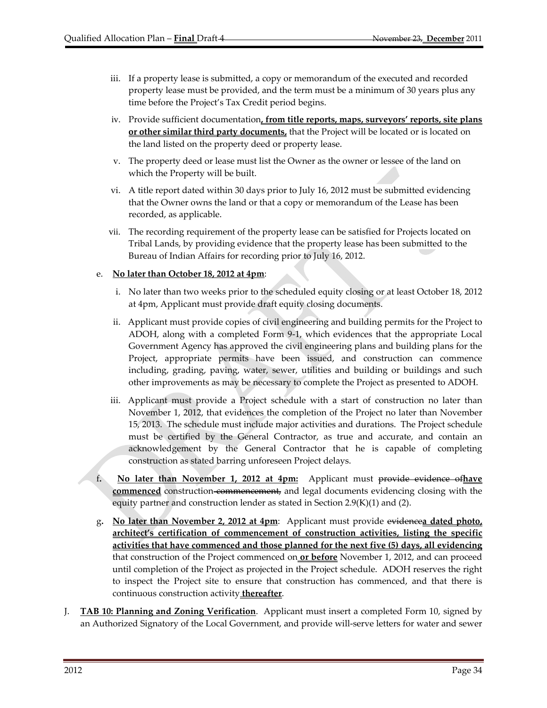- iii. If a property lease is submitted, a copy or memorandum of the executed and recorded property lease must be provided, and the term must be a minimum of 30 years plus any time before the Project's Tax Credit period begins.
- iv. Provide sufficient documentation**, from title reports, maps, surveyors' reports, site plans or other similar third party documents,** that the Project will be located or is located on the land listed on the property deed or property lease.
- v. The property deed or lease must list the Owner as the owner or lessee of the land on which the Property will be built.
- vi. A title report dated within 30 days prior to July 16, 2012 must be submitted evidencing that the Owner owns the land or that a copy or memorandum of the Lease has been recorded, as applicable.
- vii. The recording requirement of the property lease can be satisfied for Projects located on Tribal Lands, by providing evidence that the property lease has been submitted to the Bureau of Indian Affairs for recording prior to July 16, 2012.

#### e. **No later than October 18, 2012 at 4pm**:

- i. No later than two weeks prior to the scheduled equity closing or at least October 18, 2012 at 4pm, Applicant must provide draft equity closing documents.
- ii. Applicant must provide copies of civil engineering and building permits for the Project to ADOH, along with a completed Form 9‐1, which evidences that the appropriate Local Government Agency has approved the civil engineering plans and building plans for the Project, appropriate permits have been issued, and construction can commence including, grading, paving, water, sewer, utilities and building or buildings and such other improvements as may be necessary to complete the Project as presented to ADOH.
- iii. Applicant must provide a Project schedule with a start of construction no later than November 1, 2012, that evidences the completion of the Project no later than November 15, 2013. The schedule must include major activities and durations. The Project schedule must be certified by the General Contractor, as true and accurate, and contain an acknowledgement by the General Contractor that he is capable of completing construction as stated barring unforeseen Project delays.
- f**. No later than November 1, 2012 at 4pm:** Applicant must provide evidence of**have commenced** construction-commencement, and legal documents evidencing closing with the equity partner and construction lender as stated in Section 2.9(K)(1) and (2).
- g**. No later than November 2, 2012 at 4pm**: Applicant must provide evidence**a dated photo, architect's certification of commencement of construction activities, listing the specific activities that have commenced and those planned for the next five (5) days, all evidencing** that construction of the Project commenced on **or before** November 1, 2012, and can proceed until completion of the Project as projected in the Project schedule. ADOH reserves the right to inspect the Project site to ensure that construction has commenced, and that there is continuous construction activity **thereafter**.
- J. **TAB 10: Planning and Zoning Verification**. Applicant must insert a completed Form 10, signed by an Authorized Signatory of the Local Government, and provide will‐serve letters for water and sewer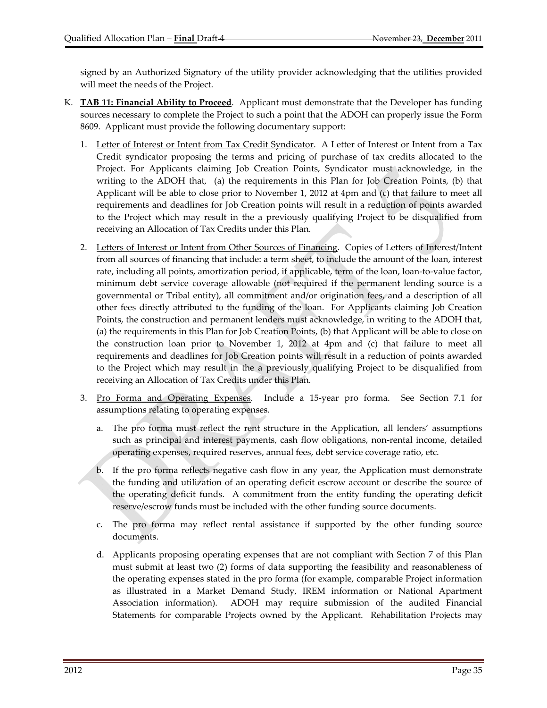signed by an Authorized Signatory of the utility provider acknowledging that the utilities provided will meet the needs of the Project.

- K. **TAB 11: Financial Ability to Proceed**. Applicant must demonstrate that the Developer has funding sources necessary to complete the Project to such a point that the ADOH can properly issue the Form 8609. Applicant must provide the following documentary support:
	- 1. Letter of Interest or Intent from Tax Credit Syndicator. A Letter of Interest or Intent from a Tax Credit syndicator proposing the terms and pricing of purchase of tax credits allocated to the Project. For Applicants claiming Job Creation Points, Syndicator must acknowledge, in the writing to the ADOH that, (a) the requirements in this Plan for Job Creation Points, (b) that Applicant will be able to close prior to November 1, 2012 at 4pm and (c) that failure to meet all requirements and deadlines for Job Creation points will result in a reduction of points awarded to the Project which may result in the a previously qualifying Project to be disqualified from receiving an Allocation of Tax Credits under this Plan.
	- 2. Letters of Interest or Intent from Other Sources of Financing. Copies of Letters of Interest/Intent from all sources of financing that include: a term sheet, to include the amount of the loan, interest rate, including all points, amortization period, if applicable, term of the loan, loan-to-value factor, minimum debt service coverage allowable (not required if the permanent lending source is a governmental or Tribal entity), all commitment and/or origination fees, and a description of all other fees directly attributed to the funding of the loan. For Applicants claiming Job Creation Points, the construction and permanent lenders must acknowledge, in writing to the ADOH that, (a) the requirements in this Plan for Job Creation Points, (b) that Applicant will be able to close on the construction loan prior to November 1, 2012 at 4pm and (c) that failure to meet all requirements and deadlines for Job Creation points will result in a reduction of points awarded to the Project which may result in the a previously qualifying Project to be disqualified from receiving an Allocation of Tax Credits under this Plan.
	- 3. Pro Forma and Operating Expenses. Include a 15‐year pro forma. See Section 7.1 for assumptions relating to operating expenses.
		- a. The pro forma must reflect the rent structure in the Application, all lenders' assumptions such as principal and interest payments, cash flow obligations, non-rental income, detailed operating expenses, required reserves, annual fees, debt service coverage ratio, etc.
		- b. If the pro forma reflects negative cash flow in any year, the Application must demonstrate the funding and utilization of an operating deficit escrow account or describe the source of the operating deficit funds. A commitment from the entity funding the operating deficit reserve/escrow funds must be included with the other funding source documents.
		- c. The pro forma may reflect rental assistance if supported by the other funding source documents.
		- d. Applicants proposing operating expenses that are not compliant with Section 7 of this Plan must submit at least two (2) forms of data supporting the feasibility and reasonableness of the operating expenses stated in the pro forma (for example, comparable Project information as illustrated in a Market Demand Study, IREM information or National Apartment Association information). ADOH may require submission of the audited Financial Statements for comparable Projects owned by the Applicant. Rehabilitation Projects may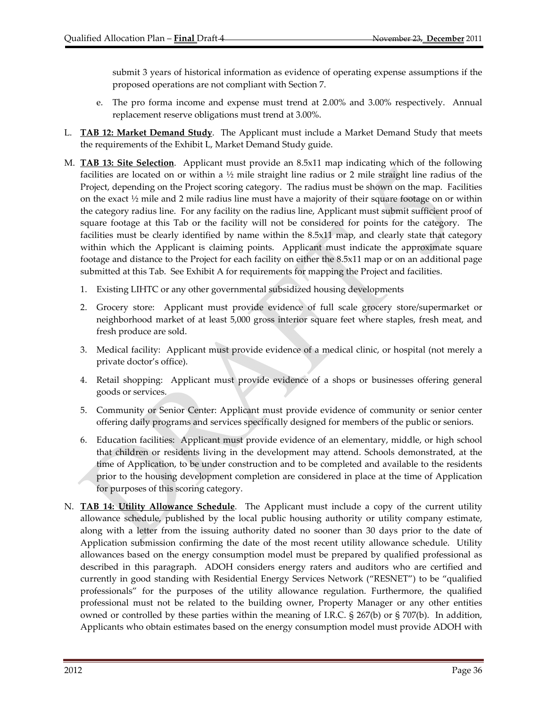submit 3 years of historical information as evidence of operating expense assumptions if the proposed operations are not compliant with Section 7.

- e. The pro forma income and expense must trend at 2.00% and 3.00% respectively. Annual replacement reserve obligations must trend at 3.00%.
- L. **TAB 12: Market Demand Study**. The Applicant must include a Market Demand Study that meets the requirements of the Exhibit L, Market Demand Study guide.
- M. **TAB 13: Site Selection**. Applicant must provide an 8.5x11 map indicating which of the following facilities are located on or within a  $\frac{1}{2}$  mile straight line radius or 2 mile straight line radius of the Project, depending on the Project scoring category. The radius must be shown on the map. Facilities on the exact  $\frac{1}{2}$  mile and 2 mile radius line must have a majority of their square footage on or within the category radius line. For any facility on the radius line, Applicant must submit sufficient proof of square footage at this Tab or the facility will not be considered for points for the category. The facilities must be clearly identified by name within the 8.5x11 map, and clearly state that category within which the Applicant is claiming points. Applicant must indicate the approximate square footage and distance to the Project for each facility on either the 8.5x11 map or on an additional page submitted at this Tab. See Exhibit A for requirements for mapping the Project and facilities.
	- 1. Existing LIHTC or any other governmental subsidized housing developments
	- 2. Grocery store: Applicant must provide evidence of full scale grocery store/supermarket or neighborhood market of at least 5,000 gross interior square feet where staples, fresh meat, and fresh produce are sold.
	- 3. Medical facility: Applicant must provide evidence of a medical clinic, or hospital (not merely a private doctor's office).
	- 4. Retail shopping: Applicant must provide evidence of a shops or businesses offering general goods or services.
	- 5. Community or Senior Center: Applicant must provide evidence of community or senior center offering daily programs and services specifically designed for members of the public or seniors.
	- 6. Education facilities: Applicant must provide evidence of an elementary, middle, or high school that children or residents living in the development may attend. Schools demonstrated, at the time of Application, to be under construction and to be completed and available to the residents prior to the housing development completion are considered in place at the time of Application for purposes of this scoring category.
- N. **TAB 14: Utility Allowance Schedule**. The Applicant must include a copy of the current utility allowance schedule, published by the local public housing authority or utility company estimate, along with a letter from the issuing authority dated no sooner than 30 days prior to the date of Application submission confirming the date of the most recent utility allowance schedule. Utility allowances based on the energy consumption model must be prepared by qualified professional as described in this paragraph. ADOH considers energy raters and auditors who are certified and currently in good standing with Residential Energy Services Network ("RESNET") to be "qualified professionals" for the purposes of the utility allowance regulation. Furthermore, the qualified professional must not be related to the building owner, Property Manager or any other entities owned or controlled by these parties within the meaning of I.R.C. § 267(b) or § 707(b). In addition, Applicants who obtain estimates based on the energy consumption model must provide ADOH with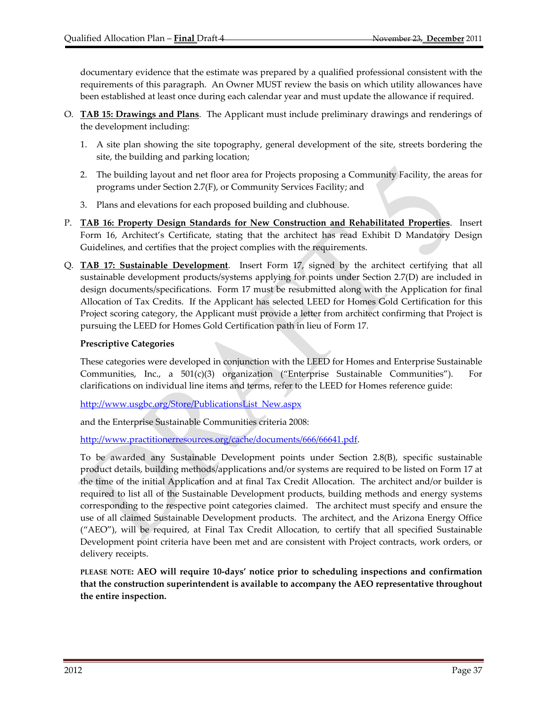documentary evidence that the estimate was prepared by a qualified professional consistent with the requirements of this paragraph. An Owner MUST review the basis on which utility allowances have been established at least once during each calendar year and must update the allowance if required.

- O. **TAB 15: Drawings and Plans**. The Applicant must include preliminary drawings and renderings of the development including:
	- 1. A site plan showing the site topography, general development of the site, streets bordering the site, the building and parking location;
	- 2. The building layout and net floor area for Projects proposing a Community Facility, the areas for programs under Section 2.7(F), or Community Services Facility; and
	- 3. Plans and elevations for each proposed building and clubhouse.
- P. **TAB 16: Property Design Standards for New Construction and Rehabilitated Properties**. Insert Form 16, Architect's Certificate, stating that the architect has read Exhibit D Mandatory Design Guidelines, and certifies that the project complies with the requirements.
- Q. **TAB 17: Sustainable Development**. Insert Form 17, signed by the architect certifying that all sustainable development products/systems applying for points under Section 2.7(D) are included in design documents/specifications. Form 17 must be resubmitted along with the Application for final Allocation of Tax Credits. If the Applicant has selected LEED for Homes Gold Certification for this Project scoring category, the Applicant must provide a letter from architect confirming that Project is pursuing the LEED for Homes Gold Certification path in lieu of Form 17.

#### **Prescriptive Categories**

These categories were developed in conjunction with the LEED for Homes and Enterprise Sustainable Communities, Inc., a  $501(c)(3)$  organization ("Enterprise Sustainable Communities"). For clarifications on individual line items and terms, refer to the LEED for Homes reference guide:

http://www.usgbc.org/Store/PublicationsList\_New.aspx

and the Enterprise Sustainable Communities criteria 2008:

http://www.practitionerresources.org/cache/documents/666/66641.pdf.

To be awarded any Sustainable Development points under Section 2.8(B), specific sustainable product details, building methods/applications and/or systems are required to be listed on Form 17 at the time of the initial Application and at final Tax Credit Allocation. The architect and/or builder is required to list all of the Sustainable Development products, building methods and energy systems corresponding to the respective point categories claimed. The architect must specify and ensure the use of all claimed Sustainable Development products. The architect, and the Arizona Energy Office ("AEO"), will be required, at Final Tax Credit Allocation, to certify that all specified Sustainable Development point criteria have been met and are consistent with Project contracts, work orders, or delivery receipts.

**PLEASE NOTE: AEO will require 10‐days' notice prior to scheduling inspections and confirmation that the construction superintendent is available to accompany the AEO representative throughout the entire inspection.**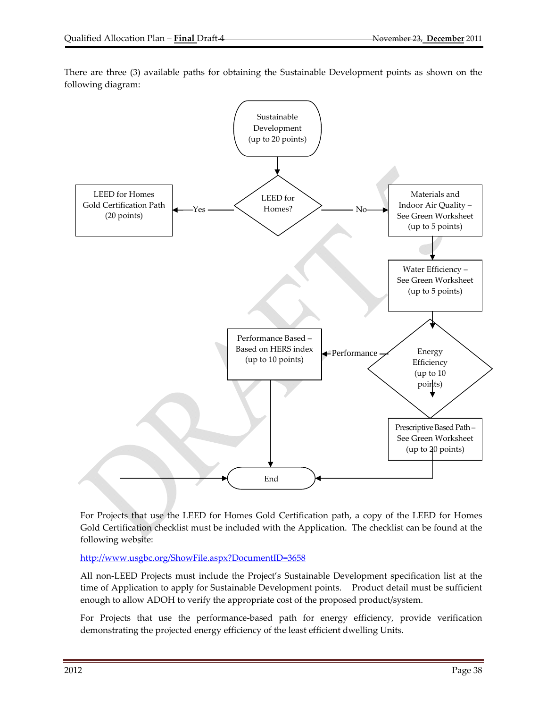

There are three (3) available paths for obtaining the Sustainable Development points as shown on the following diagram:

For Projects that use the LEED for Homes Gold Certification path, a copy of the LEED for Homes Gold Certification checklist must be included with the Application. The checklist can be found at the following website:

http://www.usgbc.org/ShowFile.aspx?DocumentID=3658

All non‐LEED Projects must include the Project's Sustainable Development specification list at the time of Application to apply for Sustainable Development points. Product detail must be sufficient enough to allow ADOH to verify the appropriate cost of the proposed product/system.

For Projects that use the performance-based path for energy efficiency, provide verification demonstrating the projected energy efficiency of the least efficient dwelling Units.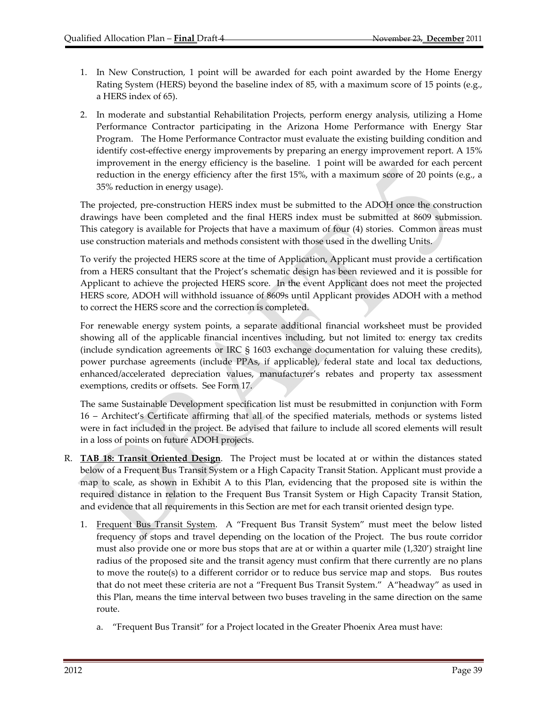- 1. In New Construction, 1 point will be awarded for each point awarded by the Home Energy Rating System (HERS) beyond the baseline index of 85, with a maximum score of 15 points (e.g., a HERS index of 65).
- 2. In moderate and substantial Rehabilitation Projects, perform energy analysis, utilizing a Home Performance Contractor participating in the Arizona Home Performance with Energy Star Program. The Home Performance Contractor must evaluate the existing building condition and identify cost‐effective energy improvements by preparing an energy improvement report. A 15% improvement in the energy efficiency is the baseline. 1 point will be awarded for each percent reduction in the energy efficiency after the first 15%, with a maximum score of 20 points (e.g., a 35% reduction in energy usage).

The projected, pre‐construction HERS index must be submitted to the ADOH once the construction drawings have been completed and the final HERS index must be submitted at 8609 submission. This category is available for Projects that have a maximum of four (4) stories. Common areas must use construction materials and methods consistent with those used in the dwelling Units.

To verify the projected HERS score at the time of Application, Applicant must provide a certification from a HERS consultant that the Project's schematic design has been reviewed and it is possible for Applicant to achieve the projected HERS score. In the event Applicant does not meet the projected HERS score, ADOH will withhold issuance of 8609s until Applicant provides ADOH with a method to correct the HERS score and the correction is completed.

For renewable energy system points, a separate additional financial worksheet must be provided showing all of the applicable financial incentives including, but not limited to: energy tax credits (include syndication agreements or IRC § 1603 exchange documentation for valuing these credits), power purchase agreements (include PPAs, if applicable), federal state and local tax deductions, enhanced/accelerated depreciation values, manufacturer's rebates and property tax assessment exemptions, credits or offsets. See Form 17.

The same Sustainable Development specification list must be resubmitted in conjunction with Form 16 – Architect's Certificate affirming that all of the specified materials, methods or systems listed were in fact included in the project. Be advised that failure to include all scored elements will result in a loss of points on future ADOH projects.

- R. **TAB 18: Transit Oriented Design**. The Project must be located at or within the distances stated below of a Frequent Bus Transit System or a High Capacity Transit Station. Applicant must provide a map to scale, as shown in Exhibit A to this Plan, evidencing that the proposed site is within the required distance in relation to the Frequent Bus Transit System or High Capacity Transit Station, and evidence that all requirements in this Section are met for each transit oriented design type.
	- 1. Frequent Bus Transit System. A "Frequent Bus Transit System" must meet the below listed frequency of stops and travel depending on the location of the Project. The bus route corridor must also provide one or more bus stops that are at or within a quarter mile (1,320') straight line radius of the proposed site and the transit agency must confirm that there currently are no plans to move the route(s) to a different corridor or to reduce bus service map and stops. Bus routes that do not meet these criteria are not a "Frequent Bus Transit System." A"headway" as used in this Plan, means the time interval between two buses traveling in the same direction on the same route.
		- a. "Frequent Bus Transit" for a Project located in the Greater Phoenix Area must have: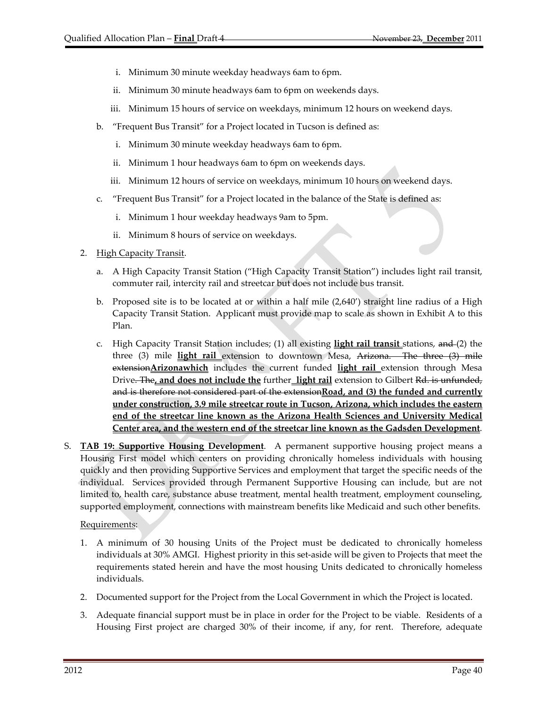- i. Minimum 30 minute weekday headways 6am to 6pm.
- ii. Minimum 30 minute headways 6am to 6pm on weekends days.
- iii. Minimum 15 hours of service on weekdays, minimum 12 hours on weekend days.
- b. "Frequent Bus Transit" for a Project located in Tucson is defined as:
	- i. Minimum 30 minute weekday headways 6am to 6pm.
	- ii. Minimum 1 hour headways 6am to 6pm on weekends days.
	- iii. Minimum 12 hours of service on weekdays, minimum 10 hours on weekend days.
- c. "Frequent Bus Transit" for a Project located in the balance of the State is defined as:
	- i. Minimum 1 hour weekday headways 9am to 5pm.
	- ii. Minimum 8 hours of service on weekdays.
- 2. High Capacity Transit.
	- a. A High Capacity Transit Station ("High Capacity Transit Station") includes light rail transit, commuter rail, intercity rail and streetcar but does not include bus transit.
	- b. Proposed site is to be located at or within a half mile (2,640') straight line radius of a High Capacity Transit Station. Applicant must provide map to scale as shown in Exhibit A to this Plan.
	- c. High Capacity Transit Station includes; (1) all existing **light rail transit** stations, and (2) the three (3) mile **light rail** extension to downtown Mesa, Arizona. The three (3) mile extension**Arizonawhich** includes the current funded **light rail** extension through Mesa Drive. The**, and does not include the** further **light rail** extension to Gilbert Rd. is unfunded, and is therefore not considered part of the extension**Road, and (3) the funded and currently under construction, 3.9 mile streetcar route in Tucson, Arizona, which includes the eastern end of the streetcar line known as the Arizona Health Sciences and University Medical Center area, and the western end of the streetcar line known as the Gadsden Development**.
- S. **TAB 19: Supportive Housing Development**. A permanent supportive housing project means a Housing First model which centers on providing chronically homeless individuals with housing quickly and then providing Supportive Services and employment that target the specific needs of the individual. Services provided through Permanent Supportive Housing can include, but are not limited to, health care, substance abuse treatment, mental health treatment, employment counseling, supported employment, connections with mainstream benefits like Medicaid and such other benefits.

#### Requirements:

- 1. A minimum of 30 housing Units of the Project must be dedicated to chronically homeless individuals at 30% AMGI. Highest priority in this set‐aside will be given to Projects that meet the requirements stated herein and have the most housing Units dedicated to chronically homeless individuals.
- 2. Documented support for the Project from the Local Government in which the Project is located.
- 3. Adequate financial support must be in place in order for the Project to be viable. Residents of a Housing First project are charged 30% of their income, if any, for rent. Therefore, adequate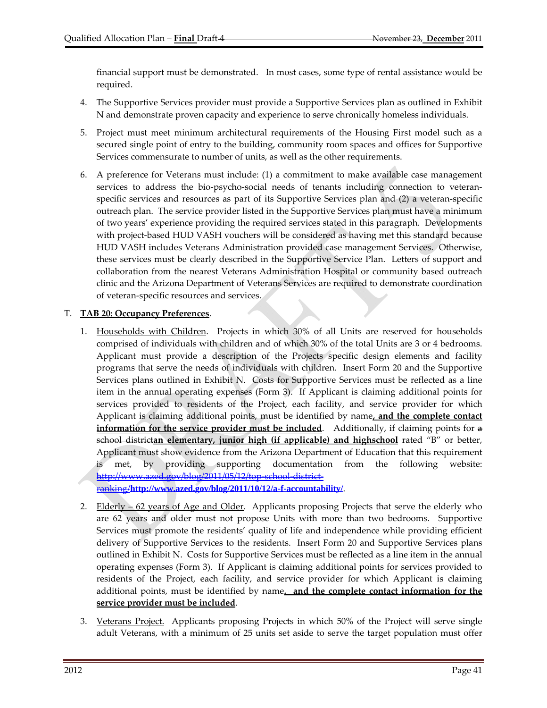financial support must be demonstrated. In most cases, some type of rental assistance would be required.

- 4. The Supportive Services provider must provide a Supportive Services plan as outlined in Exhibit N and demonstrate proven capacity and experience to serve chronically homeless individuals.
- 5. Project must meet minimum architectural requirements of the Housing First model such as a secured single point of entry to the building, community room spaces and offices for Supportive Services commensurate to number of units, as well as the other requirements.
- 6. A preference for Veterans must include: (1) a commitment to make available case management services to address the bio-psycho-social needs of tenants including connection to veteranspecific services and resources as part of its Supportive Services plan and (2) a veteran-specific outreach plan. The service provider listed in the Supportive Services plan must have a minimum of two years' experience providing the required services stated in this paragraph. Developments with project-based HUD VASH vouchers will be considered as having met this standard because HUD VASH includes Veterans Administration provided case management Services. Otherwise, these services must be clearly described in the Supportive Service Plan. Letters of support and collaboration from the nearest Veterans Administration Hospital or community based outreach clinic and the Arizona Department of Veterans Services are required to demonstrate coordination of veteran‐specific resources and services.

#### T. **TAB 20: Occupancy Preferences**.

- 1. Households with Children. Projects in which 30% of all Units are reserved for households comprised of individuals with children and of which 30% of the total Units are 3 or 4 bedrooms. Applicant must provide a description of the Projects specific design elements and facility programs that serve the needs of individuals with children. Insert Form 20 and the Supportive Services plans outlined in Exhibit N. Costs for Supportive Services must be reflected as a line item in the annual operating expenses (Form 3). If Applicant is claiming additional points for services provided to residents of the Project, each facility, and service provider for which Applicant is claiming additional points, must be identified by name**, and the complete contact information for the service provider must be included**. Additionally, if claiming points for a school district**an elementary, junior high (if applicable) and highschool** rated "B" or better, Applicant must show evidence from the Arizona Department of Education that this requirement is met, by providing supporting documentation from the following website: http://www.azed.gov/blog/2011/05/12/top-school-districtranking/**http://www.azed.gov/blog/2011/10/12/a-f-accountability/**.
- 2. Elderly  $-62$  years of Age and Older. Applicants proposing Projects that serve the elderly who are 62 years and older must not propose Units with more than two bedrooms. Supportive Services must promote the residents' quality of life and independence while providing efficient delivery of Supportive Services to the residents. Insert Form 20 and Supportive Services plans outlined in Exhibit N. Costs for Supportive Services must be reflected as a line item in the annual operating expenses (Form 3). If Applicant is claiming additional points for services provided to residents of the Project, each facility, and service provider for which Applicant is claiming additional points, must be identified by name**, and the complete contact information for the service provider must be included**.
- 3. <u>Veterans Project.</u> Applicants proposing Projects in which 50% of the Project will serve single adult Veterans, with a minimum of 25 units set aside to serve the target population must offer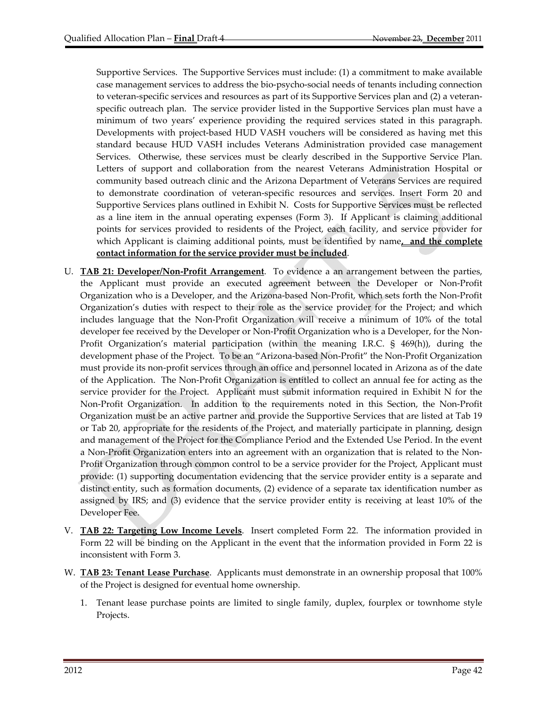Supportive Services. The Supportive Services must include: (1) a commitment to make available case management services to address the bio‐psycho‐social needs of tenants including connection to veteran‐specific services and resources as part of its Supportive Services plan and (2) a veteran‐ specific outreach plan. The service provider listed in the Supportive Services plan must have a minimum of two years' experience providing the required services stated in this paragraph. Developments with project-based HUD VASH vouchers will be considered as having met this standard because HUD VASH includes Veterans Administration provided case management Services. Otherwise, these services must be clearly described in the Supportive Service Plan. Letters of support and collaboration from the nearest Veterans Administration Hospital or community based outreach clinic and the Arizona Department of Veterans Services are required to demonstrate coordination of veteran‐specific resources and services. Insert Form 20 and Supportive Services plans outlined in Exhibit N. Costs for Supportive Services must be reflected as a line item in the annual operating expenses (Form 3). If Applicant is claiming additional points for services provided to residents of the Project, each facility, and service provider for which Applicant is claiming additional points, must be identified by name**, and the complete contact information for the service provider must be included**.

- U. **TAB 21: Developer/Non‐Profit Arrangement**. To evidence a an arrangement between the parties, the Applicant must provide an executed agreement between the Developer or Non‐Profit Organization who is a Developer, and the Arizona‐based Non‐Profit, which sets forth the Non‐Profit Organization's duties with respect to their role as the service provider for the Project; and which includes language that the Non‐Profit Organization will receive a minimum of 10% of the total developer fee received by the Developer or Non‐Profit Organization who is a Developer, for the Non‐ Profit Organization's material participation (within the meaning I.R.C. § 469(h)), during the development phase of the Project. To be an "Arizona‐based Non-Profit" the Non‐Profit Organization must provide its non‐profit services through an office and personnel located in Arizona as of the date of the Application. The Non‐Profit Organization is entitled to collect an annual fee for acting as the service provider for the Project. Applicant must submit information required in Exhibit N for the Non‐Profit Organization. In addition to the requirements noted in this Section, the Non‐Profit Organization must be an active partner and provide the Supportive Services that are listed at Tab 19 or Tab 20, appropriate for the residents of the Project, and materially participate in planning, design and management of the Project for the Compliance Period and the Extended Use Period. In the event a Non‐Profit Organization enters into an agreement with an organization that is related to the Non‐ Profit Organization through common control to be a service provider for the Project, Applicant must provide: (1) supporting documentation evidencing that the service provider entity is a separate and distinct entity, such as formation documents, (2) evidence of a separate tax identification number as assigned by IRS; and (3) evidence that the service provider entity is receiving at least 10% of the Developer Fee.
- V. **TAB 22: Targeting Low Income Levels**. Insert completed Form 22. The information provided in Form 22 will be binding on the Applicant in the event that the information provided in Form 22 is inconsistent with Form 3.
- W. **TAB 23: Tenant Lease Purchase**. Applicants must demonstrate in an ownership proposal that 100% of the Project is designed for eventual home ownership.
	- 1. Tenant lease purchase points are limited to single family, duplex, fourplex or townhome style Projects.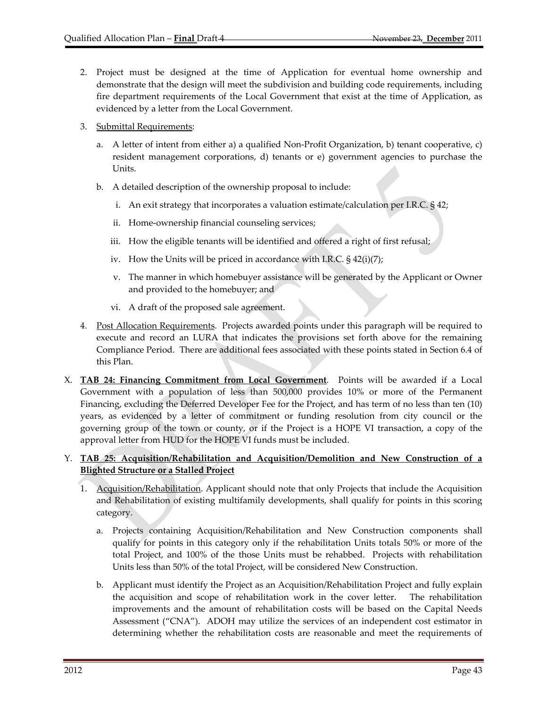- 2. Project must be designed at the time of Application for eventual home ownership and demonstrate that the design will meet the subdivision and building code requirements, including fire department requirements of the Local Government that exist at the time of Application, as evidenced by a letter from the Local Government.
- 3. Submittal Requirements:
	- a. A letter of intent from either a) a qualified Non‐Profit Organization, b) tenant cooperative, c) resident management corporations, d) tenants or e) government agencies to purchase the Units.
	- b. A detailed description of the ownership proposal to include:
		- i. An exit strategy that incorporates a valuation estimate/calculation per I.R.C. § 42;
		- ii. Home-ownership financial counseling services;
		- iii. How the eligible tenants will be identified and offered a right of first refusal;
		- iv. How the Units will be priced in accordance with I.R.C. § 42(i)(7);
		- v. The manner in which homebuyer assistance will be generated by the Applicant or Owner and provided to the homebuyer; and
		- vi. A draft of the proposed sale agreement.
- 4. Post Allocation Requirements. Projects awarded points under this paragraph will be required to execute and record an LURA that indicates the provisions set forth above for the remaining Compliance Period. There are additional fees associated with these points stated in Section 6.4 of this Plan.
- X. **TAB 24: Financing Commitment from Local Government**. Points will be awarded if a Local Government with a population of less than 500,000 provides 10% or more of the Permanent Financing, excluding the Deferred Developer Fee for the Project, and has term of no less than ten (10) years, as evidenced by a letter of commitment or funding resolution from city council or the governing group of the town or county, or if the Project is a HOPE VI transaction, a copy of the approval letter from HUD for the HOPE VI funds must be included.

### Y. **TAB 25: Acquisition/Rehabilitation and Acquisition/Demolition and New Construction of a Blighted Structure or a Stalled Project**

- 1. Acquisition/Rehabilitation. Applicant should note that only Projects that include the Acquisition and Rehabilitation of existing multifamily developments, shall qualify for points in this scoring category.
	- a. Projects containing Acquisition/Rehabilitation and New Construction components shall qualify for points in this category only if the rehabilitation Units totals 50% or more of the total Project, and 100% of the those Units must be rehabbed. Projects with rehabilitation Units less than 50% of the total Project, will be considered New Construction.
	- b. Applicant must identify the Project as an Acquisition/Rehabilitation Project and fully explain the acquisition and scope of rehabilitation work in the cover letter. The rehabilitation improvements and the amount of rehabilitation costs will be based on the Capital Needs Assessment ("CNA"). ADOH may utilize the services of an independent cost estimator in determining whether the rehabilitation costs are reasonable and meet the requirements of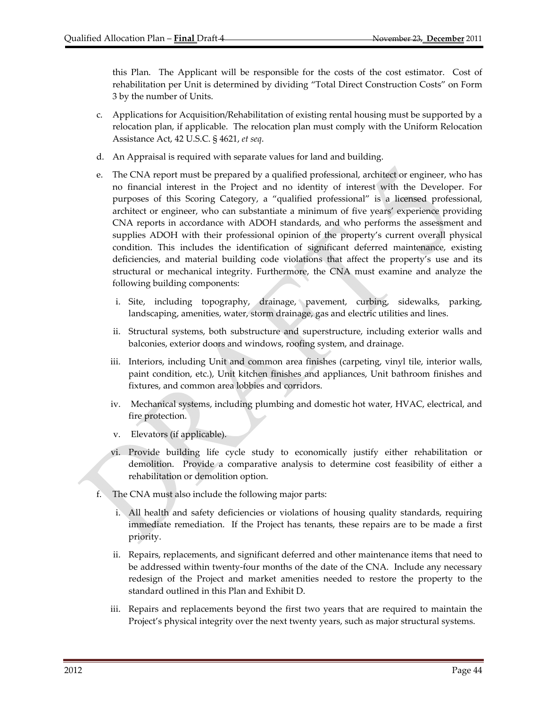this Plan. The Applicant will be responsible for the costs of the cost estimator. Cost of rehabilitation per Unit is determined by dividing "Total Direct Construction Costs" on Form 3 by the number of Units.

- c. Applications for Acquisition/Rehabilitation of existing rental housing must be supported by a relocation plan, if applicable. The relocation plan must comply with the Uniform Relocation Assistance Act, 42 U.S.C. § 4621, *et seq*.
- d. An Appraisal is required with separate values for land and building.
- e. The CNA report must be prepared by a qualified professional, architect or engineer, who has no financial interest in the Project and no identity of interest with the Developer. For purposes of this Scoring Category, a "qualified professional" is a licensed professional, architect or engineer, who can substantiate a minimum of five years' experience providing CNA reports in accordance with ADOH standards, and who performs the assessment and supplies ADOH with their professional opinion of the property's current overall physical condition. This includes the identification of significant deferred maintenance, existing deficiencies, and material building code violations that affect the property's use and its structural or mechanical integrity. Furthermore, the CNA must examine and analyze the following building components:
	- i. Site, including topography, drainage, pavement, curbing, sidewalks, parking, landscaping, amenities, water, storm drainage, gas and electric utilities and lines.
	- ii. Structural systems, both substructure and superstructure, including exterior walls and balconies, exterior doors and windows, roofing system, and drainage.
	- iii. Interiors, including Unit and common area finishes (carpeting, vinyl tile, interior walls, paint condition, etc.), Unit kitchen finishes and appliances, Unit bathroom finishes and fixtures, and common area lobbies and corridors.
	- iv. Mechanical systems, including plumbing and domestic hot water, HVAC, electrical, and fire protection.
	- v. Elevators (if applicable).
	- vi. Provide building life cycle study to economically justify either rehabilitation or demolition. Provide a comparative analysis to determine cost feasibility of either a rehabilitation or demolition option.
- f. The CNA must also include the following major parts:
	- i. All health and safety deficiencies or violations of housing quality standards, requiring immediate remediation. If the Project has tenants, these repairs are to be made a first priority.
	- ii. Repairs, replacements, and significant deferred and other maintenance items that need to be addressed within twenty-four months of the date of the CNA. Include any necessary redesign of the Project and market amenities needed to restore the property to the standard outlined in this Plan and Exhibit D.
	- iii. Repairs and replacements beyond the first two years that are required to maintain the Project's physical integrity over the next twenty years, such as major structural systems.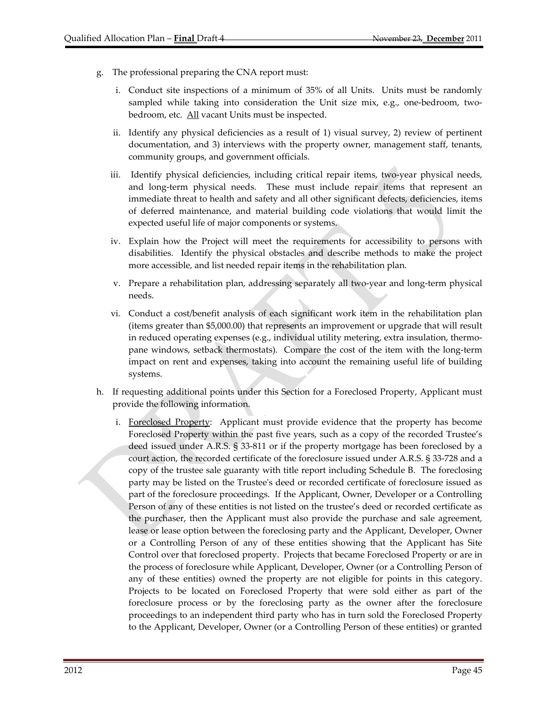- g. The professional preparing the CNA report must:
	- i. Conduct site inspections of a minimum of 35% of all Units. Units must be randomly sampled while taking into consideration the Unit size mix, e.g., one-bedroom, twobedroom, etc. All vacant Units must be inspected.
	- ii. Identify any physical deficiencies as a result of 1) visual survey, 2) review of pertinent documentation, and 3) interviews with the property owner, management staff, tenants, community groups, and government officials.
	- iii. Identify physical deficiencies, including critical repair items, two‐year physical needs, and long-term physical needs. These must include repair items that represent an immediate threat to health and safety and all other significant defects, deficiencies, items of deferred maintenance, and material building code violations that would limit the expected useful life of major components or systems.
	- iv. Explain how the Project will meet the requirements for accessibility to persons with disabilities. Identify the physical obstacles and describe methods to make the project more accessible, and list needed repair items in the rehabilitation plan.
	- v. Prepare a rehabilitation plan, addressing separately all two‐year and long‐term physical needs.
	- vi. Conduct a cost/benefit analysis of each significant work item in the rehabilitation plan (items greater than \$5,000.00) that represents an improvement or upgrade that will result in reduced operating expenses (e.g., individual utility metering, extra insulation, thermopane windows, setback thermostats). Compare the cost of the item with the long‐term impact on rent and expenses, taking into account the remaining useful life of building systems.
- h. If requesting additional points under this Section for a Foreclosed Property, Applicant must provide the following information.
	- i. Foreclosed Property: Applicant must provide evidence that the property has become Foreclosed Property within the past five years, such as a copy of the recorded Trustee's deed issued under A.R.S. § 33‐811 or if the property mortgage has been foreclosed by a court action, the recorded certificate of the foreclosure issued under A.R.S. § 33‐728 and a copy of the trustee sale guaranty with title report including Schedule B. The foreclosing party may be listed on the Trusteeʹs deed or recorded certificate of foreclosure issued as part of the foreclosure proceedings. If the Applicant, Owner, Developer or a Controlling Person of any of these entities is not listed on the trustee's deed or recorded certificate as the purchaser, then the Applicant must also provide the purchase and sale agreement, lease or lease option between the foreclosing party and the Applicant, Developer, Owner or a Controlling Person of any of these entities showing that the Applicant has Site Control over that foreclosed property. Projects that became Foreclosed Property or are in the process of foreclosure while Applicant, Developer, Owner (or a Controlling Person of any of these entities) owned the property are not eligible for points in this category. Projects to be located on Foreclosed Property that were sold either as part of the foreclosure process or by the foreclosing party as the owner after the foreclosure proceedings to an independent third party who has in turn sold the Foreclosed Property to the Applicant, Developer, Owner (or a Controlling Person of these entities) or granted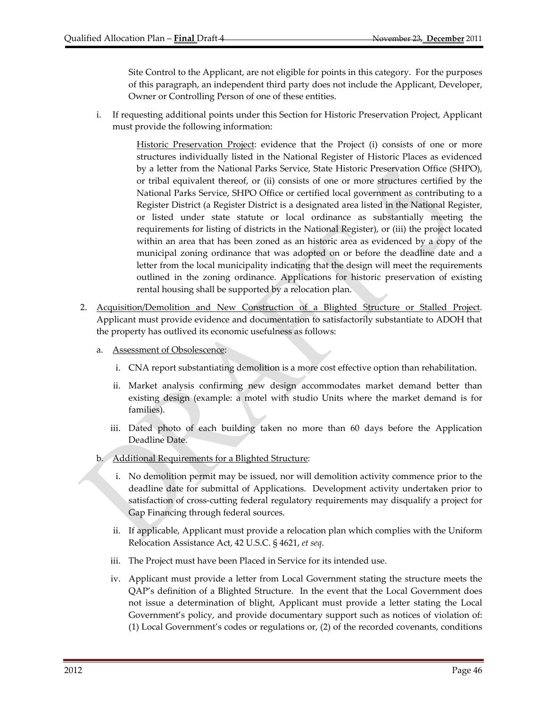Site Control to the Applicant, are not eligible for points in this category. For the purposes of this paragraph, an independent third party does not include the Applicant, Developer, Owner or Controlling Person of one of these entities.

i. If requesting additional points under this Section for Historic Preservation Project, Applicant must provide the following information:

> Historic Preservation Project: evidence that the Project (i) consists of one or more structures individually listed in the National Register of Historic Places as evidenced by a letter from the National Parks Service, State Historic Preservation Office (SHPO), or tribal equivalent thereof, or (ii) consists of one or more structures certified by the National Parks Service, SHPO Office or certified local government as contributing to a Register District (a Register District is a designated area listed in the National Register, or listed under state statute or local ordinance as substantially meeting the requirements for listing of districts in the National Register), or (iii) the project located within an area that has been zoned as an historic area as evidenced by a copy of the municipal zoning ordinance that was adopted on or before the deadline date and a letter from the local municipality indicating that the design will meet the requirements outlined in the zoning ordinance. Applications for historic preservation of existing rental housing shall be supported by a relocation plan.

- 2. Acquisition/Demolition and New Construction of a Blighted Structure or Stalled Project. Applicant must provide evidence and documentation to satisfactorily substantiate to ADOH that the property has outlived its economic usefulness as follows:
	- a. Assessment of Obsolescence:
		- i. CNA report substantiating demolition is a more cost effective option than rehabilitation.
		- ii. Market analysis confirming new design accommodates market demand better than existing design (example: a motel with studio Units where the market demand is for families).
		- iii. Dated photo of each building taken no more than 60 days before the Application Deadline Date.
	- b. Additional Requirements for a Blighted Structure:
		- i. No demolition permit may be issued, nor will demolition activity commence prior to the deadline date for submittal of Applications. Development activity undertaken prior to satisfaction of cross‐cutting federal regulatory requirements may disqualify a project for Gap Financing through federal sources.
		- ii. If applicable, Applicant must provide a relocation plan which complies with the Uniform Relocation Assistance Act, 42 U.S.C. § 4621, *et seq*.
		- iii. The Project must have been Placed in Service for its intended use.
		- iv. Applicant must provide a letter from Local Government stating the structure meets the QAP's definition of a Blighted Structure. In the event that the Local Government does not issue a determination of blight, Applicant must provide a letter stating the Local Government's policy, and provide documentary support such as notices of violation of: (1) Local Government's codes or regulations or, (2) of the recorded covenants, conditions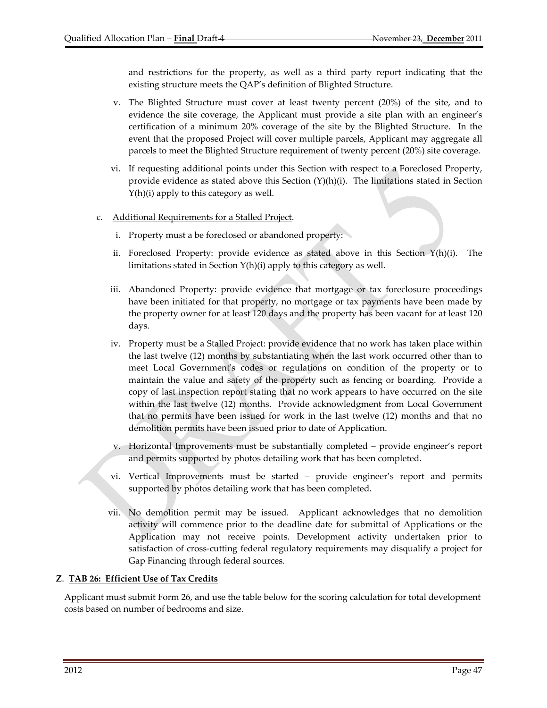and restrictions for the property, as well as a third party report indicating that the existing structure meets the QAP's definition of Blighted Structure.

- v. The Blighted Structure must cover at least twenty percent (20%) of the site, and to evidence the site coverage, the Applicant must provide a site plan with an engineer's certification of a minimum 20% coverage of the site by the Blighted Structure. In the event that the proposed Project will cover multiple parcels, Applicant may aggregate all parcels to meet the Blighted Structure requirement of twenty percent (20%) site coverage.
- vi. If requesting additional points under this Section with respect to a Foreclosed Property, provide evidence as stated above this Section  $(Y)(h)(i)$ . The limitations stated in Section Y(h)(i) apply to this category as well.
- c. Additional Requirements for a Stalled Project.
	- i. Property must a be foreclosed or abandoned property:
	- ii. Foreclosed Property: provide evidence as stated above in this Section  $Y(h)(i)$ . The limitations stated in Section Y(h)(i) apply to this category as well.
	- iii. Abandoned Property: provide evidence that mortgage or tax foreclosure proceedings have been initiated for that property, no mortgage or tax payments have been made by the property owner for at least 120 days and the property has been vacant for at least 120 days.
	- iv. Property must be a Stalled Project: provide evidence that no work has taken place within the last twelve (12) months by substantiating when the last work occurred other than to meet Local Government's codes or regulations on condition of the property or to maintain the value and safety of the property such as fencing or boarding. Provide a copy of last inspection report stating that no work appears to have occurred on the site within the last twelve (12) months. Provide acknowledgment from Local Government that no permits have been issued for work in the last twelve (12) months and that no demolition permits have been issued prior to date of Application.
	- v. Horizontal Improvements must be substantially completed provide engineer's report and permits supported by photos detailing work that has been completed.
	- vi. Vertical Improvements must be started provide engineer's report and permits supported by photos detailing work that has been completed.
	- vii. No demolition permit may be issued. Applicant acknowledges that no demolition activity will commence prior to the deadline date for submittal of Applications or the Application may not receive points. Development activity undertaken prior to satisfaction of cross-cutting federal regulatory requirements may disqualify a project for Gap Financing through federal sources.

#### **Z**. **TAB 26: Efficient Use of Tax Credits**

Applicant must submit Form 26, and use the table below for the scoring calculation for total development costs based on number of bedrooms and size.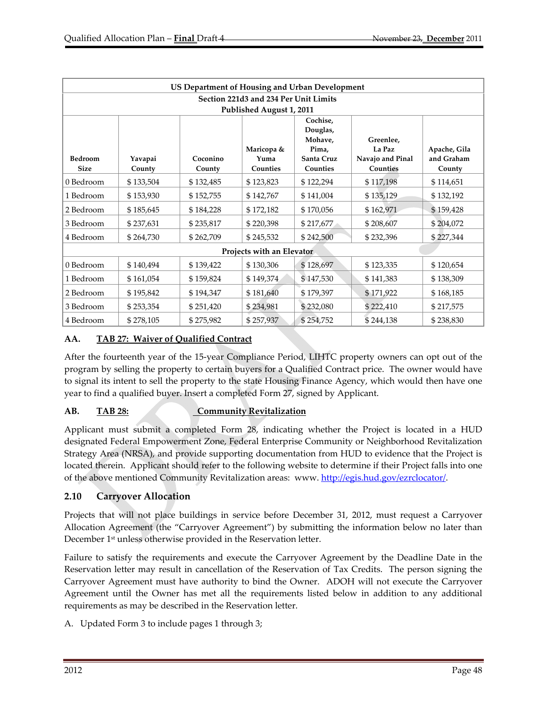| US Department of Housing and Urban Development |           |           |            |                     |                  |              |  |  |  |  |
|------------------------------------------------|-----------|-----------|------------|---------------------|------------------|--------------|--|--|--|--|
| Section 221d3 and 234 Per Unit Limits          |           |           |            |                     |                  |              |  |  |  |  |
| Published August 1, 2011                       |           |           |            |                     |                  |              |  |  |  |  |
|                                                |           |           |            | Cochise,            |                  |              |  |  |  |  |
|                                                |           |           |            | Douglas,<br>Mohave, | Greenlee,        |              |  |  |  |  |
|                                                |           |           | Maricopa & | Pima,               | La Paz           | Apache, Gila |  |  |  |  |
| Bedroom                                        | Yavapai   | Coconino  | Yuma       | Santa Cruz          | Navajo and Pinal | and Graham   |  |  |  |  |
| <b>Size</b>                                    | County    | County    | Counties   | Counties            | Counties         | County       |  |  |  |  |
| 0 Bedroom                                      | \$133,504 | \$132,485 | \$123,823  | \$122,294           | \$117,198        | \$114,651    |  |  |  |  |
| 1 Bedroom                                      | \$153,930 | \$152,755 | \$142,767  | \$141,004           | \$135,129        | \$132,192    |  |  |  |  |
| 2 Bedroom                                      | \$185,645 | \$184,228 | \$172,182  | \$170,056           | \$162,971        | \$159,428    |  |  |  |  |
| 3 Bedroom                                      | \$237,631 | \$235,817 | \$220,398  | \$217,677           | \$208,607        | \$204,072    |  |  |  |  |
| 4 Bedroom                                      | \$264,730 | \$262,709 | \$245,532  | \$242,500           | \$232,396        | \$227,344    |  |  |  |  |
| Projects with an Elevator                      |           |           |            |                     |                  |              |  |  |  |  |
| 0 Bedroom                                      | \$140,494 | \$139,422 | \$130,306  | \$128,697           | \$123,335        | \$120,654    |  |  |  |  |
| 1 Bedroom                                      | \$161,054 | \$159,824 | \$149,374  | \$147,530           | \$141,383        | \$138,309    |  |  |  |  |
| 2 Bedroom                                      | \$195,842 | \$194,347 | \$181,640  | \$179,397           | \$171,922        | \$168,185    |  |  |  |  |
| 3 Bedroom                                      | \$253,354 | \$251,420 | \$234,981  | \$232,080           | \$222,410        | \$217,575    |  |  |  |  |
| 4 Bedroom                                      | \$278,105 | \$275,982 | \$257,937  | \$254,752           | \$244,138        | \$238,830    |  |  |  |  |

## **AA. TAB 27: Waiver of Qualified Contract**

After the fourteenth year of the 15‐year Compliance Period, LIHTC property owners can opt out of the program by selling the property to certain buyers for a Qualified Contract price. The owner would have to signal its intent to sell the property to the state Housing Finance Agency, which would then have one year to find a qualified buyer. Insert a completed Form 27, signed by Applicant.

## **AB. TAB 28: Community Revitalization**

Applicant must submit a completed Form 28, indicating whether the Project is located in a HUD designated Federal Empowerment Zone, Federal Enterprise Community or Neighborhood Revitalization Strategy Area (NRSA), and provide supporting documentation from HUD to evidence that the Project is located therein. Applicant should refer to the following website to determine if their Project falls into one of the above mentioned Community Revitalization areas: www. http://egis.hud.gov/ezrclocator/.

## **2.10 Carryover Allocation**

Projects that will not place buildings in service before December 31, 2012, must request a Carryover Allocation Agreement (the "Carryover Agreement") by submitting the information below no later than December 1st unless otherwise provided in the Reservation letter.

Failure to satisfy the requirements and execute the Carryover Agreement by the Deadline Date in the Reservation letter may result in cancellation of the Reservation of Tax Credits. The person signing the Carryover Agreement must have authority to bind the Owner. ADOH will not execute the Carryover Agreement until the Owner has met all the requirements listed below in addition to any additional requirements as may be described in the Reservation letter.

A. Updated Form 3 to include pages 1 through 3;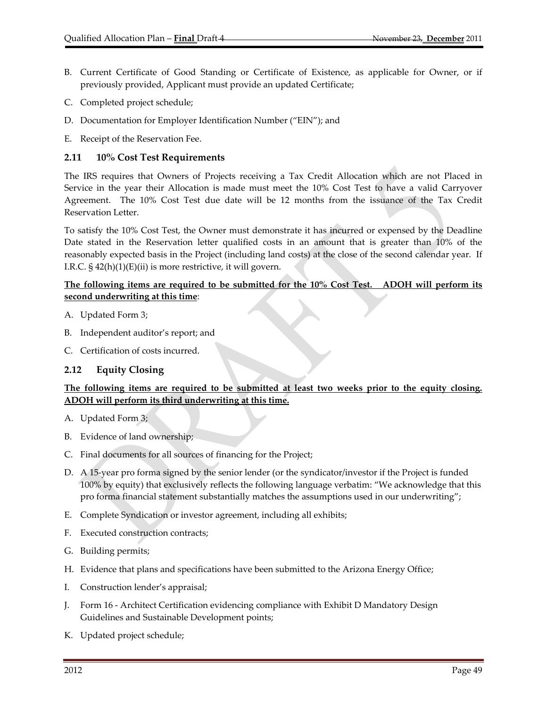- B. Current Certificate of Good Standing or Certificate of Existence, as applicable for Owner, or if previously provided, Applicant must provide an updated Certificate;
- C. Completed project schedule;
- D. Documentation for Employer Identification Number ("EIN"); and
- E. Receipt of the Reservation Fee.

### **2.11 10% Cost Test Requirements**

The IRS requires that Owners of Projects receiving a Tax Credit Allocation which are not Placed in Service in the year their Allocation is made must meet the 10% Cost Test to have a valid Carryover Agreement. The 10% Cost Test due date will be 12 months from the issuance of the Tax Credit Reservation Letter.

To satisfy the 10% Cost Test, the Owner must demonstrate it has incurred or expensed by the Deadline Date stated in the Reservation letter qualified costs in an amount that is greater than 10% of the reasonably expected basis in the Project (including land costs) at the close of the second calendar year. If I.R.C.  $\S$  42(h)(1)(E)(ii) is more restrictive, it will govern.

### **The following items are required to be submitted for the 10% Cost Test. ADOH will perform its second underwriting at this time**:

- A. Updated Form 3;
- B. Independent auditor's report; and
- C. Certification of costs incurred.

#### **2.12 Equity Closing**

## **The following items are required to be submitted at least two weeks prior to the equity closing. ADOH will perform its third underwriting at this time.**

- A. Updated Form 3;
- B. Evidence of land ownership;
- C. Final documents for all sources of financing for the Project;
- D. A 15‐year pro forma signed by the senior lender (or the syndicator/investor if the Project is funded 100% by equity) that exclusively reflects the following language verbatim: "We acknowledge that this pro forma financial statement substantially matches the assumptions used in our underwriting";
- E. Complete Syndication or investor agreement, including all exhibits;
- F. Executed construction contracts;
- G. Building permits;
- H. Evidence that plans and specifications have been submitted to the Arizona Energy Office;
- I. Construction lender's appraisal;
- J. Form 16 ‐ Architect Certification evidencing compliance with Exhibit D Mandatory Design Guidelines and Sustainable Development points;
- K. Updated project schedule;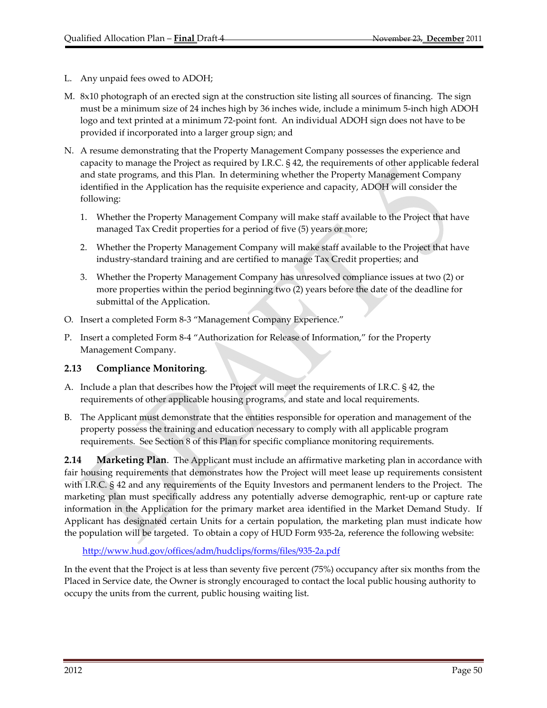- L. Any unpaid fees owed to ADOH;
- M. 8x10 photograph of an erected sign at the construction site listing all sources of financing. The sign must be a minimum size of 24 inches high by 36 inches wide, include a minimum 5‐inch high ADOH logo and text printed at a minimum 72‐point font. An individual ADOH sign does not have to be provided if incorporated into a larger group sign; and
- N. A resume demonstrating that the Property Management Company possesses the experience and capacity to manage the Project as required by I.R.C. § 42, the requirements of other applicable federal and state programs, and this Plan. In determining whether the Property Management Company identified in the Application has the requisite experience and capacity, ADOH will consider the following:
	- 1. Whether the Property Management Company will make staff available to the Project that have managed Tax Credit properties for a period of five (5) years or more;
	- 2. Whether the Property Management Company will make staff available to the Project that have industry‐standard training and are certified to manage Tax Credit properties; and
	- 3. Whether the Property Management Company has unresolved compliance issues at two (2) or more properties within the period beginning two (2) years before the date of the deadline for submittal of the Application.
- O. Insert a completed Form 8‐3 "Management Company Experience."
- P. Insert a completed Form 8‐4 "Authorization for Release of Information," for the Property Management Company.

## **2.13 Compliance Monitoring**.

- A. Include a plan that describes how the Project will meet the requirements of I.R.C. § 42, the requirements of other applicable housing programs, and state and local requirements.
- B. The Applicant must demonstrate that the entities responsible for operation and management of the property possess the training and education necessary to comply with all applicable program requirements. See Section 8 of this Plan for specific compliance monitoring requirements.

**2.14 Marketing Plan**. The Applicant must include an affirmative marketing plan in accordance with fair housing requirements that demonstrates how the Project will meet lease up requirements consistent with I.R.C. § 42 and any requirements of the Equity Investors and permanent lenders to the Project. The marketing plan must specifically address any potentially adverse demographic, rent‐up or capture rate information in the Application for the primary market area identified in the Market Demand Study. If Applicant has designated certain Units for a certain population, the marketing plan must indicate how the population will be targeted. To obtain a copy of HUD Form 935‐2a, reference the following website:

http://www.hud.gov/offices/adm/hudclips/forms/files/935‐2a.pdf

In the event that the Project is at less than seventy five percent (75%) occupancy after six months from the Placed in Service date, the Owner is strongly encouraged to contact the local public housing authority to occupy the units from the current, public housing waiting list.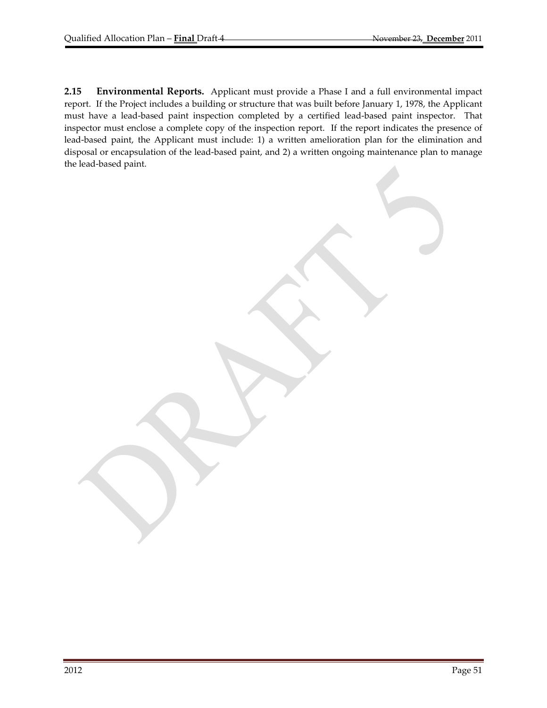**2.15 Environmental Reports.** Applicant must provide a Phase I and a full environmental impact report. If the Project includes a building or structure that was built before January 1, 1978, the Applicant must have a lead-based paint inspection completed by a certified lead-based paint inspector. That inspector must enclose a complete copy of the inspection report. If the report indicates the presence of lead‐based paint, the Applicant must include: 1) a written amelioration plan for the elimination and disposal or encapsulation of the lead‐based paint, and 2) a written ongoing maintenance plan to manage the lead‐based paint.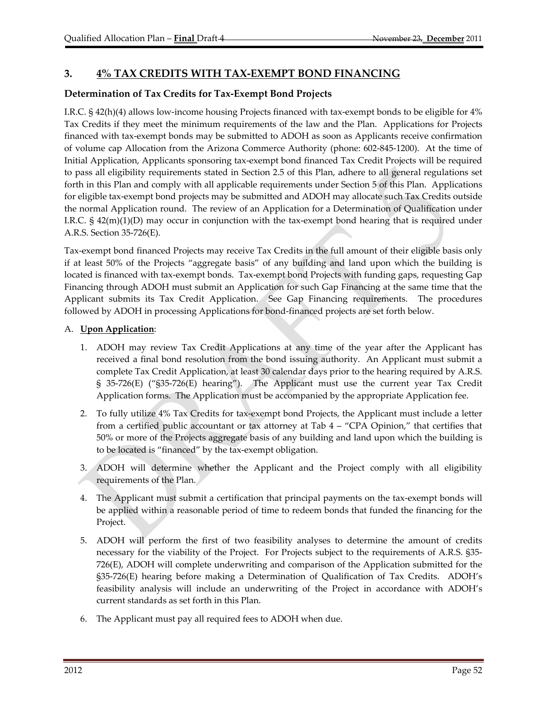# **3. 4% TAX CREDITS WITH TAX‐EXEMPT BOND FINANCING**

## **Determination of Tax Credits for Tax‐Exempt Bond Projects**

I.R.C. § 42(h)(4) allows low‐income housing Projects financed with tax‐exempt bonds to be eligible for 4% Tax Credits if they meet the minimum requirements of the law and the Plan. Applications for Projects financed with tax‐exempt bonds may be submitted to ADOH as soon as Applicants receive confirmation of volume cap Allocation from the Arizona Commerce Authority (phone: 602‐845‐1200). At the time of Initial Application, Applicants sponsoring tax‐exempt bond financed Tax Credit Projects will be required to pass all eligibility requirements stated in Section 2.5 of this Plan, adhere to all general regulations set forth in this Plan and comply with all applicable requirements under Section 5 of this Plan. Applications for eligible tax‐exempt bond projects may be submitted and ADOH may allocate such Tax Credits outside the normal Application round. The review of an Application for a Determination of Qualification under I.R.C.  $\S$  42(m)(1)(D) may occur in conjunction with the tax-exempt bond hearing that is required under A.R.S. Section 35‐726(E).

Tax‐exempt bond financed Projects may receive Tax Credits in the full amount of their eligible basis only if at least 50% of the Projects "aggregate basis" of any building and land upon which the building is located is financed with tax‐exempt bonds. Tax‐exempt bond Projects with funding gaps, requesting Gap Financing through ADOH must submit an Application for such Gap Financing at the same time that the Applicant submits its Tax Credit Application. See Gap Financing requirements. The procedures followed by ADOH in processing Applications for bond‐financed projects are set forth below.

### A. **Upon Application**:

- 1. ADOH may review Tax Credit Applications at any time of the year after the Applicant has received a final bond resolution from the bond issuing authority. An Applicant must submit a complete Tax Credit Application, at least 30 calendar days prior to the hearing required by A.R.S. § 35-726(E) ("§35-726(E) hearing"). The Applicant must use the current year Tax Credit Application forms. The Application must be accompanied by the appropriate Application fee.
- 2. To fully utilize 4% Tax Credits for tax-exempt bond Projects, the Applicant must include a letter from a certified public accountant or tax attorney at Tab 4 – "CPA Opinion," that certifies that 50% or more of the Projects aggregate basis of any building and land upon which the building is to be located is "financed" by the tax‐exempt obligation.
- 3. ADOH will determine whether the Applicant and the Project comply with all eligibility requirements of the Plan.
- 4. The Applicant must submit a certification that principal payments on the tax-exempt bonds will be applied within a reasonable period of time to redeem bonds that funded the financing for the Project.
- 5. ADOH will perform the first of two feasibility analyses to determine the amount of credits necessary for the viability of the Project. For Projects subject to the requirements of A.R.S. §35– 726(E), ADOH will complete underwriting and comparison of the Application submitted for the §35‐726(E) hearing before making a Determination of Qualification of Tax Credits. ADOH's feasibility analysis will include an underwriting of the Project in accordance with ADOH's current standards as set forth in this Plan.
- 6. The Applicant must pay all required fees to ADOH when due.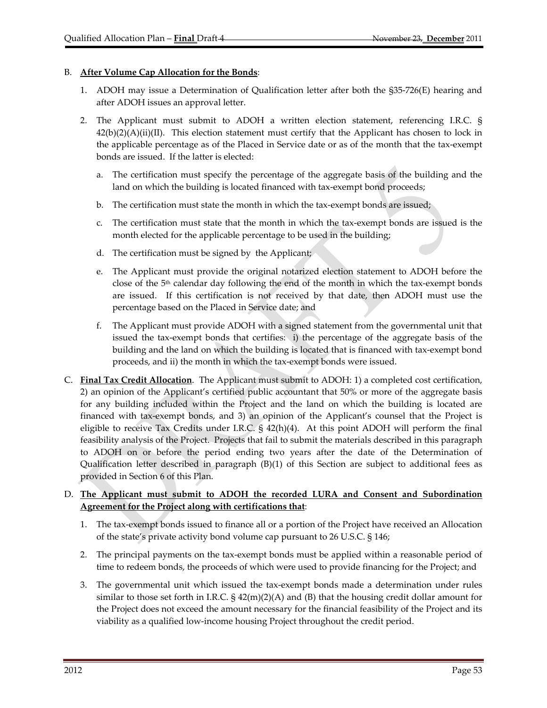### B. **After Volume Cap Allocation for the Bonds**:

- 1. ADOH may issue a Determination of Qualification letter after both the §35‐726(E) hearing and after ADOH issues an approval letter.
- 2. The Applicant must submit to ADOH a written election statement, referencing I.R.C. §  $42(b)(2)(A)(ii)(II)$ . This election statement must certify that the Applicant has chosen to lock in the applicable percentage as of the Placed in Service date or as of the month that the tax‐exempt bonds are issued. If the latter is elected:
	- a. The certification must specify the percentage of the aggregate basis of the building and the land on which the building is located financed with tax-exempt bond proceeds;
	- b. The certification must state the month in which the tax-exempt bonds are issued;
	- c. The certification must state that the month in which the tax‐exempt bonds are issued is the month elected for the applicable percentage to be used in the building;
	- d. The certification must be signed by the Applicant;
	- e. The Applicant must provide the original notarized election statement to ADOH before the close of the  $5<sup>th</sup>$  calendar day following the end of the month in which the tax-exempt bonds are issued. If this certification is not received by that date, then ADOH must use the percentage based on the Placed in Service date; and
	- f. The Applicant must provide ADOH with a signed statement from the governmental unit that issued the tax‐exempt bonds that certifies: i) the percentage of the aggregate basis of the building and the land on which the building is located that is financed with tax‐exempt bond proceeds, and ii) the month in which the tax‐exempt bonds were issued.
- C. **Final Tax Credit Allocation**. The Applicant must submit to ADOH: 1) a completed cost certification, 2) an opinion of the Applicant's certified public accountant that 50% or more of the aggregate basis for any building included within the Project and the land on which the building is located are financed with tax‐exempt bonds, and 3) an opinion of the Applicant's counsel that the Project is eligible to receive Tax Credits under I.R.C. § 42(h)(4). At this point ADOH will perform the final feasibility analysis of the Project. Projects that fail to submit the materials described in this paragraph to ADOH on or before the period ending two years after the date of the Determination of Qualification letter described in paragraph (B)(1) of this Section are subject to additional fees as provided in Section 6 of this Plan.

### D. **The Applicant must submit to ADOH the recorded LURA and Consent and Subordination Agreement for the Project along with certifications that**:

- 1. The tax‐exempt bonds issued to finance all or a portion of the Project have received an Allocation of the state's private activity bond volume cap pursuant to 26 U.S.C. § 146;
- 2. The principal payments on the tax-exempt bonds must be applied within a reasonable period of time to redeem bonds, the proceeds of which were used to provide financing for the Project; and
- 3. The governmental unit which issued the tax‐exempt bonds made a determination under rules similar to those set forth in I.R.C.  $\S$  42(m)(2)(A) and (B) that the housing credit dollar amount for the Project does not exceed the amount necessary for the financial feasibility of the Project and its viability as a qualified low‐income housing Project throughout the credit period.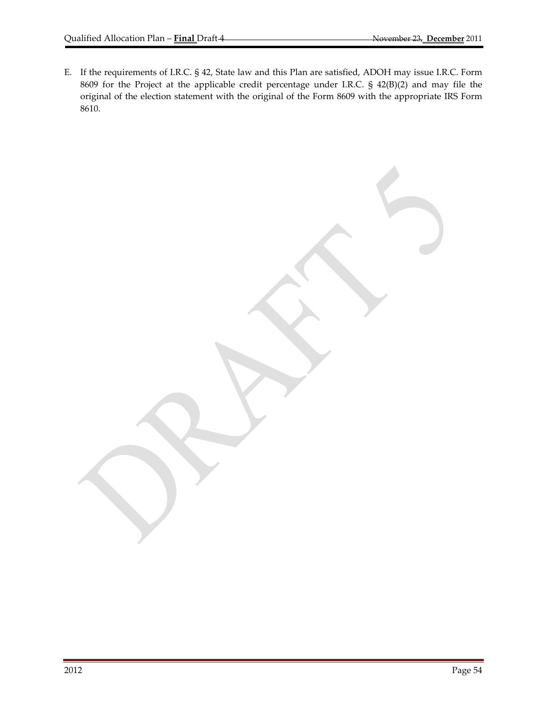E. If the requirements of I.R.C. § 42, State law and this Plan are satisfied, ADOH may issue I.R.C. Form 8609 for the Project at the applicable credit percentage under I.R.C. § 42(B)(2) and may file the original of the election statement with the original of the Form 8609 with the appropriate IRS Form 8610.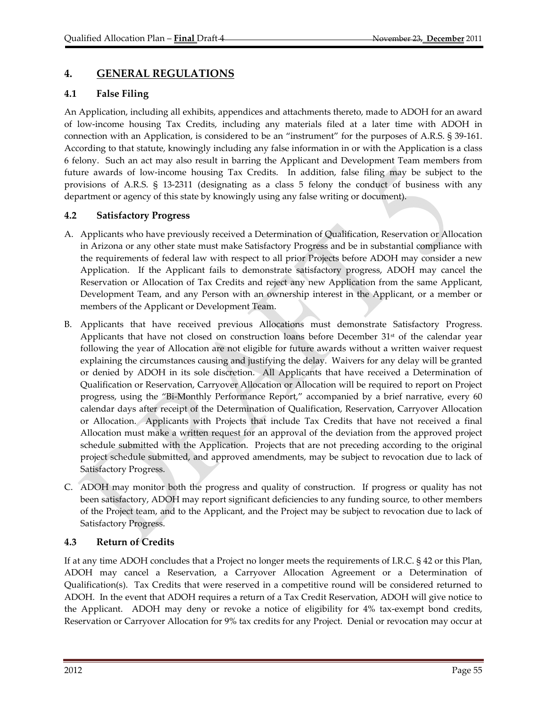# **4. GENERAL REGULATIONS**

## **4.1 False Filing**

An Application, including all exhibits, appendices and attachments thereto, made to ADOH for an award of low‐income housing Tax Credits, including any materials filed at a later time with ADOH in connection with an Application, is considered to be an "instrument" for the purposes of A.R.S. § 39‐161. According to that statute, knowingly including any false information in or with the Application is a class 6 felony. Such an act may also result in barring the Applicant and Development Team members from future awards of low-income housing Tax Credits. In addition, false filing may be subject to the provisions of A.R.S. § 13‐2311 (designating as a class 5 felony the conduct of business with any department or agency of this state by knowingly using any false writing or document).

## **4.2 Satisfactory Progress**

- A. Applicants who have previously received a Determination of Qualification, Reservation or Allocation in Arizona or any other state must make Satisfactory Progress and be in substantial compliance with the requirements of federal law with respect to all prior Projects before ADOH may consider a new Application. If the Applicant fails to demonstrate satisfactory progress, ADOH may cancel the Reservation or Allocation of Tax Credits and reject any new Application from the same Applicant, Development Team, and any Person with an ownership interest in the Applicant, or a member or members of the Applicant or Development Team.
- B. Applicants that have received previous Allocations must demonstrate Satisfactory Progress. Applicants that have not closed on construction loans before December  $31<sup>st</sup>$  of the calendar year following the year of Allocation are not eligible for future awards without a written waiver request explaining the circumstances causing and justifying the delay. Waivers for any delay will be granted or denied by ADOH in its sole discretion. All Applicants that have received a Determination of Qualification or Reservation, Carryover Allocation or Allocation will be required to report on Project progress, using the "Bi‐Monthly Performance Report," accompanied by a brief narrative, every 60 calendar days after receipt of the Determination of Qualification, Reservation, Carryover Allocation or Allocation. Applicants with Projects that include Tax Credits that have not received a final Allocation must make a written request for an approval of the deviation from the approved project schedule submitted with the Application. Projects that are not preceding according to the original project schedule submitted, and approved amendments, may be subject to revocation due to lack of Satisfactory Progress.
- C. ADOH may monitor both the progress and quality of construction. If progress or quality has not been satisfactory, ADOH may report significant deficiencies to any funding source, to other members of the Project team, and to the Applicant, and the Project may be subject to revocation due to lack of Satisfactory Progress.

## **4.3 Return of Credits**

If at any time ADOH concludes that a Project no longer meets the requirements of I.R.C. § 42 or this Plan, ADOH may cancel a Reservation, a Carryover Allocation Agreement or a Determination of Qualification(s). Tax Credits that were reserved in a competitive round will be considered returned to ADOH. In the event that ADOH requires a return of a Tax Credit Reservation, ADOH will give notice to the Applicant. ADOH may deny or revoke a notice of eligibility for 4% tax-exempt bond credits, Reservation or Carryover Allocation for 9% tax credits for any Project. Denial or revocation may occur at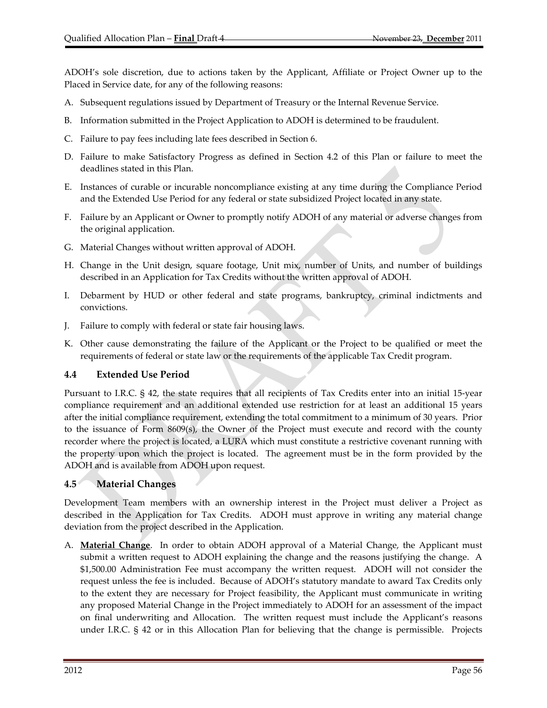ADOH's sole discretion, due to actions taken by the Applicant, Affiliate or Project Owner up to the Placed in Service date, for any of the following reasons:

- A. Subsequent regulations issued by Department of Treasury or the Internal Revenue Service.
- B. Information submitted in the Project Application to ADOH is determined to be fraudulent.
- C. Failure to pay fees including late fees described in Section 6.
- D. Failure to make Satisfactory Progress as defined in Section 4.2 of this Plan or failure to meet the deadlines stated in this Plan.
- E. Instances of curable or incurable noncompliance existing at any time during the Compliance Period and the Extended Use Period for any federal or state subsidized Project located in any state.
- F. Failure by an Applicant or Owner to promptly notify ADOH of any material or adverse changes from the original application.
- G. Material Changes without written approval of ADOH.
- H. Change in the Unit design, square footage, Unit mix, number of Units, and number of buildings described in an Application for Tax Credits without the written approval of ADOH.
- I. Debarment by HUD or other federal and state programs, bankruptcy, criminal indictments and convictions.
- J. Failure to comply with federal or state fair housing laws.
- K. Other cause demonstrating the failure of the Applicant or the Project to be qualified or meet the requirements of federal or state law or the requirements of the applicable Tax Credit program.

#### **4.4 Extended Use Period**

Pursuant to I.R.C. § 42, the state requires that all recipients of Tax Credits enter into an initial 15‐year compliance requirement and an additional extended use restriction for at least an additional 15 years after the initial compliance requirement, extending the total commitment to a minimum of 30 years. Prior to the issuance of Form 8609(s), the Owner of the Project must execute and record with the county recorder where the project is located, a LURA which must constitute a restrictive covenant running with the property upon which the project is located. The agreement must be in the form provided by the ADOH and is available from ADOH upon request.

#### **4.5 Material Changes**

Development Team members with an ownership interest in the Project must deliver a Project as described in the Application for Tax Credits. ADOH must approve in writing any material change deviation from the project described in the Application.

A. **Material Change**. In order to obtain ADOH approval of a Material Change, the Applicant must submit a written request to ADOH explaining the change and the reasons justifying the change. A \$1,500.00 Administration Fee must accompany the written request. ADOH will not consider the request unless the fee is included. Because of ADOH's statutory mandate to award Tax Credits only to the extent they are necessary for Project feasibility, the Applicant must communicate in writing any proposed Material Change in the Project immediately to ADOH for an assessment of the impact on final underwriting and Allocation. The written request must include the Applicant's reasons under I.R.C.  $\S$  42 or in this Allocation Plan for believing that the change is permissible. Projects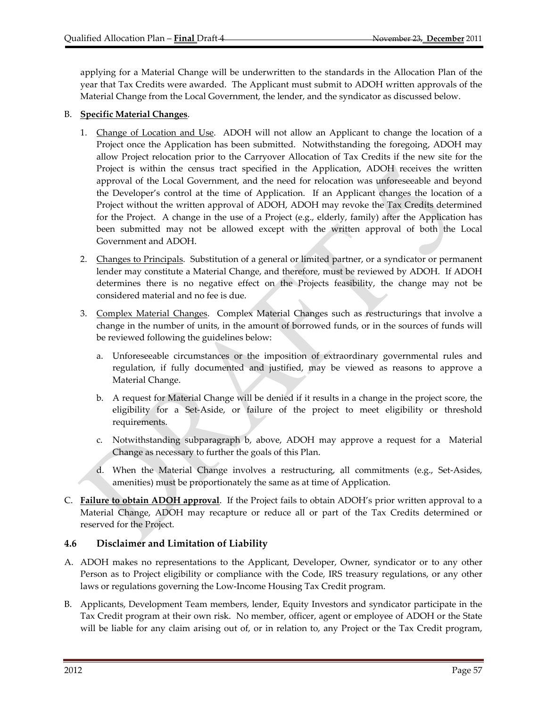applying for a Material Change will be underwritten to the standards in the Allocation Plan of the year that Tax Credits were awarded. The Applicant must submit to ADOH written approvals of the Material Change from the Local Government, the lender, and the syndicator as discussed below.

#### B. **Specific Material Changes**.

- 1. Change of Location and Use. ADOH will not allow an Applicant to change the location of a Project once the Application has been submitted. Notwithstanding the foregoing, ADOH may allow Project relocation prior to the Carryover Allocation of Tax Credits if the new site for the Project is within the census tract specified in the Application, ADOH receives the written approval of the Local Government, and the need for relocation was unforeseeable and beyond the Developer's control at the time of Application. If an Applicant changes the location of a Project without the written approval of ADOH, ADOH may revoke the Tax Credits determined for the Project. A change in the use of a Project (e.g., elderly, family) after the Application has been submitted may not be allowed except with the written approval of both the Local Government and ADOH.
- 2. Changes to Principals. Substitution of a general or limited partner, or a syndicator or permanent lender may constitute a Material Change, and therefore, must be reviewed by ADOH. If ADOH determines there is no negative effect on the Projects feasibility, the change may not be considered material and no fee is due.
- 3. Complex Material Changes. Complex Material Changes such as restructurings that involve a change in the number of units, in the amount of borrowed funds, or in the sources of funds will be reviewed following the guidelines below:
	- a. Unforeseeable circumstances or the imposition of extraordinary governmental rules and regulation, if fully documented and justified, may be viewed as reasons to approve a Material Change.
	- b. A request for Material Change will be denied if it results in a change in the project score, the eligibility for a Set‐Aside, or failure of the project to meet eligibility or threshold requirements.
	- c. Notwithstanding subparagraph b, above, ADOH may approve a request for a Material Change as necessary to further the goals of this Plan.
	- d. When the Material Change involves a restructuring, all commitments (e.g., Set‐Asides, amenities) must be proportionately the same as at time of Application.
- C. **Failure to obtain ADOH approval**. If the Project fails to obtain ADOH's prior written approval to a Material Change, ADOH may recapture or reduce all or part of the Tax Credits determined or reserved for the Project.

## **4.6 Disclaimer and Limitation of Liability**

- A. ADOH makes no representations to the Applicant, Developer, Owner, syndicator or to any other Person as to Project eligibility or compliance with the Code, IRS treasury regulations, or any other laws or regulations governing the Low‐Income Housing Tax Credit program.
- B. Applicants, Development Team members, lender, Equity Investors and syndicator participate in the Tax Credit program at their own risk. No member, officer, agent or employee of ADOH or the State will be liable for any claim arising out of, or in relation to, any Project or the Tax Credit program,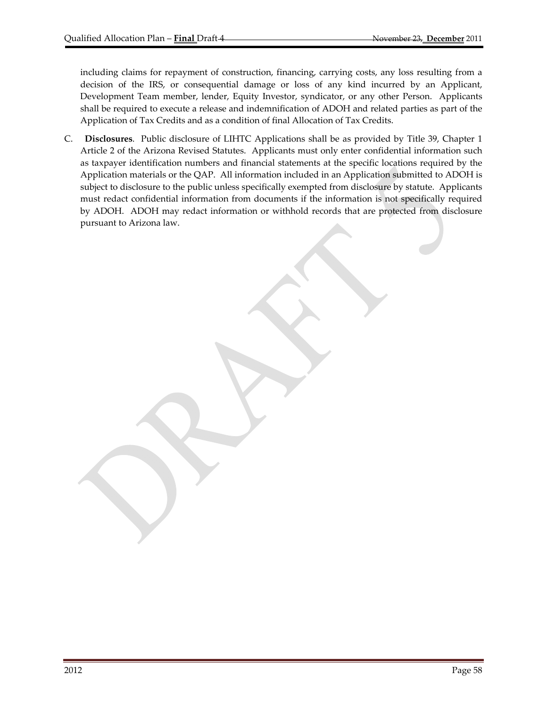including claims for repayment of construction, financing, carrying costs, any loss resulting from a decision of the IRS, or consequential damage or loss of any kind incurred by an Applicant, Development Team member, lender, Equity Investor, syndicator, or any other Person. Applicants shall be required to execute a release and indemnification of ADOH and related parties as part of the Application of Tax Credits and as a condition of final Allocation of Tax Credits.

C. **Disclosures**.Public disclosure of LIHTC Applications shall be as provided by Title 39, Chapter 1 Article 2 of the Arizona Revised Statutes. Applicants must only enter confidential information such as taxpayer identification numbers and financial statements at the specific locations required by the Application materials or the QAP. All information included in an Application submitted to ADOH is subject to disclosure to the public unless specifically exempted from disclosure by statute. Applicants must redact confidential information from documents if the information is not specifically required by ADOH. ADOH may redact information or withhold records that are protected from disclosure pursuant to Arizona law.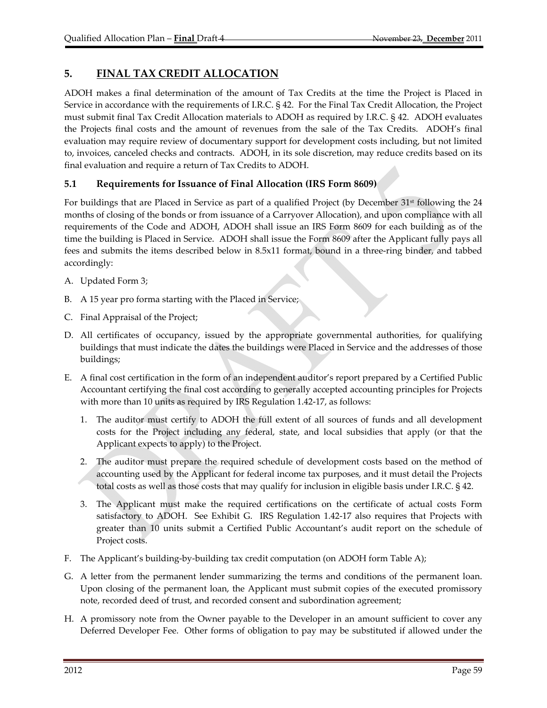# **5. FINAL TAX CREDIT ALLOCATION**

ADOH makes a final determination of the amount of Tax Credits at the time the Project is Placed in Service in accordance with the requirements of I.R.C. § 42. For the Final Tax Credit Allocation, the Project must submit final Tax Credit Allocation materials to ADOH as required by I.R.C. § 42. ADOH evaluates the Projects final costs and the amount of revenues from the sale of the Tax Credits. ADOH's final evaluation may require review of documentary support for development costs including, but not limited to, invoices, canceled checks and contracts. ADOH, in its sole discretion, may reduce credits based on its final evaluation and require a return of Tax Credits to ADOH.

## **5.1 Requirements for Issuance of Final Allocation (IRS Form 8609)**

For buildings that are Placed in Service as part of a qualified Project (by December 31<sup>st</sup> following the 24 months of closing of the bonds or from issuance of a Carryover Allocation), and upon compliance with all requirements of the Code and ADOH, ADOH shall issue an IRS Form 8609 for each building as of the time the building is Placed in Service. ADOH shall issue the Form 8609 after the Applicant fully pays all fees and submits the items described below in 8.5x11 format, bound in a three-ring binder, and tabbed accordingly:

- A. Updated Form 3;
- B. A 15 year pro forma starting with the Placed in Service;
- C. Final Appraisal of the Project;
- D. All certificates of occupancy, issued by the appropriate governmental authorities, for qualifying buildings that must indicate the dates the buildings were Placed in Service and the addresses of those buildings;
- E. A final cost certification in the form of an independent auditor's report prepared by a Certified Public Accountant certifying the final cost according to generally accepted accounting principles for Projects with more than 10 units as required by IRS Regulation 1.42‐17, as follows:
	- 1. The auditor must certify to ADOH the full extent of all sources of funds and all development costs for the Project including any federal, state, and local subsidies that apply (or that the Applicant expects to apply) to the Project.
	- 2. The auditor must prepare the required schedule of development costs based on the method of accounting used by the Applicant for federal income tax purposes, and it must detail the Projects total costs as well as those costs that may qualify for inclusion in eligible basis under I.R.C. § 42.
	- 3. The Applicant must make the required certifications on the certificate of actual costs Form satisfactory to ADOH. See Exhibit G. IRS Regulation 1.42-17 also requires that Projects with greater than 10 units submit a Certified Public Accountant's audit report on the schedule of Project costs.
- F. The Applicant's building-by-building tax credit computation (on ADOH form Table A);
- G. A letter from the permanent lender summarizing the terms and conditions of the permanent loan. Upon closing of the permanent loan, the Applicant must submit copies of the executed promissory note, recorded deed of trust, and recorded consent and subordination agreement;
- H. A promissory note from the Owner payable to the Developer in an amount sufficient to cover any Deferred Developer Fee. Other forms of obligation to pay may be substituted if allowed under the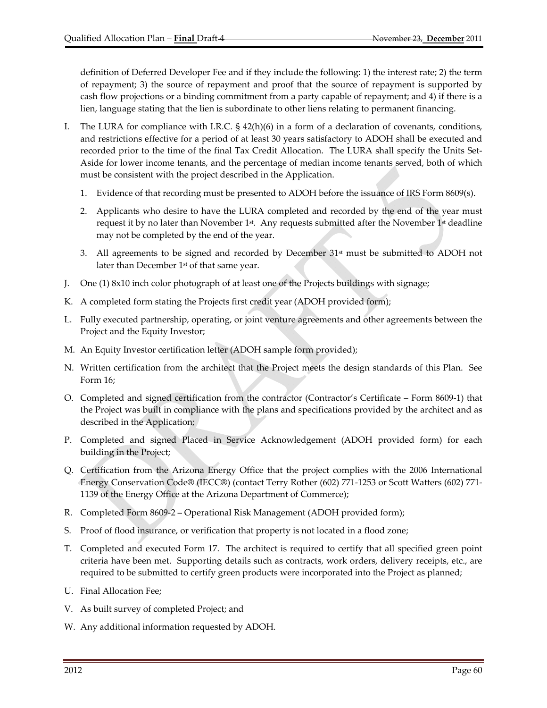definition of Deferred Developer Fee and if they include the following: 1) the interest rate; 2) the term of repayment; 3) the source of repayment and proof that the source of repayment is supported by cash flow projections or a binding commitment from a party capable of repayment; and 4) if there is a lien, language stating that the lien is subordinate to other liens relating to permanent financing.

- I. The LURA for compliance with I.R.C. § 42(h)(6) in a form of a declaration of covenants, conditions, and restrictions effective for a period of at least 30 years satisfactory to ADOH shall be executed and recorded prior to the time of the final Tax Credit Allocation. The LURA shall specify the Units Set-Aside for lower income tenants, and the percentage of median income tenants served, both of which must be consistent with the project described in the Application.
	- 1. Evidence of that recording must be presented to ADOH before the issuance of IRS Form 8609(s).
	- 2. Applicants who desire to have the LURA completed and recorded by the end of the year must request it by no later than November 1<sup>st</sup>. Any requests submitted after the November 1<sup>st</sup> deadline may not be completed by the end of the year.
	- 3. All agreements to be signed and recorded by December  $31<sup>st</sup>$  must be submitted to ADOH not later than December 1<sup>st</sup> of that same year.
- J. One (1) 8x10 inch color photograph of at least one of the Projects buildings with signage;
- K. A completed form stating the Projects first credit year (ADOH provided form);
- L. Fully executed partnership, operating, or joint venture agreements and other agreements between the Project and the Equity Investor;
- M. An Equity Investor certification letter (ADOH sample form provided);
- N. Written certification from the architect that the Project meets the design standards of this Plan. See Form 16;
- O. Completed and signed certification from the contractor (Contractor's Certificate Form 8609‐1) that the Project was built in compliance with the plans and specifications provided by the architect and as described in the Application;
- P. Completed and signed Placed in Service Acknowledgement (ADOH provided form) for each building in the Project;
- Q. Certification from the Arizona Energy Office that the project complies with the 2006 International Energy Conservation Code® (IECC®) (contact Terry Rother (602) 771‐1253 or Scott Watters (602) 771‐ 1139 of the Energy Office at the Arizona Department of Commerce);
- R. Completed Form 8609‐2 Operational Risk Management (ADOH provided form);
- S. Proof of flood insurance, or verification that property is not located in a flood zone;
- T. Completed and executed Form 17. The architect is required to certify that all specified green point criteria have been met. Supporting details such as contracts, work orders, delivery receipts, etc., are required to be submitted to certify green products were incorporated into the Project as planned;
- U. Final Allocation Fee;
- V. As built survey of completed Project; and
- W. Any additional information requested by ADOH.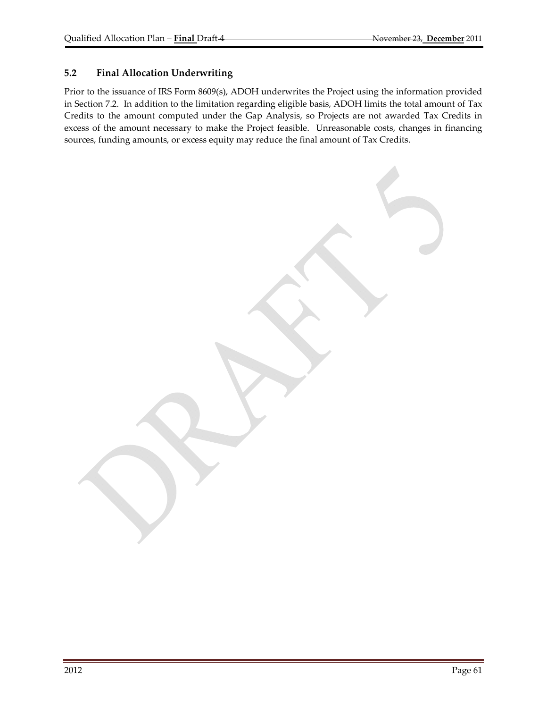### **5.2 Final Allocation Underwriting**

Prior to the issuance of IRS Form 8609(s), ADOH underwrites the Project using the information provided in Section 7.2. In addition to the limitation regarding eligible basis, ADOH limits the total amount of Tax Credits to the amount computed under the Gap Analysis, so Projects are not awarded Tax Credits in excess of the amount necessary to make the Project feasible. Unreasonable costs, changes in financing sources, funding amounts, or excess equity may reduce the final amount of Tax Credits.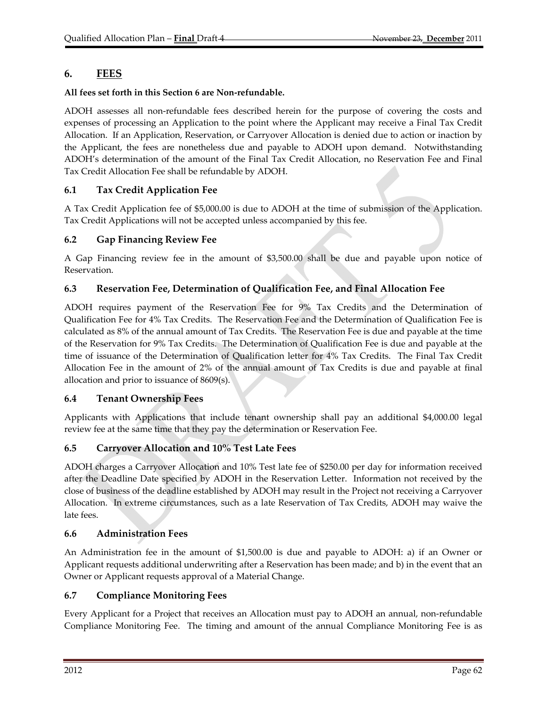# **6. FEES**

### **All fees set forth in this Section 6 are Non‐refundable.**

ADOH assesses all non‐refundable fees described herein for the purpose of covering the costs and expenses of processing an Application to the point where the Applicant may receive a Final Tax Credit Allocation. If an Application, Reservation, or Carryover Allocation is denied due to action or inaction by the Applicant, the fees are nonetheless due and payable to ADOH upon demand. Notwithstanding ADOH's determination of the amount of the Final Tax Credit Allocation, no Reservation Fee and Final Tax Credit Allocation Fee shall be refundable by ADOH.

## **6.1 Tax Credit Application Fee**

A Tax Credit Application fee of \$5,000.00 is due to ADOH at the time of submission of the Application. Tax Credit Applications will not be accepted unless accompanied by this fee.

## **6.2 Gap Financing Review Fee**

A Gap Financing review fee in the amount of \$3,500.00 shall be due and payable upon notice of Reservation.

## **6.3 Reservation Fee, Determination of Qualification Fee, and Final Allocation Fee**

ADOH requires payment of the Reservation Fee for 9% Tax Credits and the Determination of Qualification Fee for 4% Tax Credits. The Reservation Fee and the Determination of Qualification Fee is calculated as 8% of the annual amount of Tax Credits. The Reservation Fee is due and payable at the time of the Reservation for 9% Tax Credits. The Determination of Qualification Fee is due and payable at the time of issuance of the Determination of Qualification letter for 4% Tax Credits. The Final Tax Credit Allocation Fee in the amount of 2% of the annual amount of Tax Credits is due and payable at final allocation and prior to issuance of 8609(s).

## **6.4 Tenant Ownership Fees**

Applicants with Applications that include tenant ownership shall pay an additional \$4,000.00 legal review fee at the same time that they pay the determination or Reservation Fee.

## **6.5 Carryover Allocation and 10% Test Late Fees**

ADOH charges a Carryover Allocation and 10% Test late fee of \$250.00 per day for information received after the Deadline Date specified by ADOH in the Reservation Letter. Information not received by the close of business of the deadline established by ADOH may result in the Project not receiving a Carryover Allocation. In extreme circumstances, such as a late Reservation of Tax Credits, ADOH may waive the late fees.

## **6.6 Administration Fees**

An Administration fee in the amount of \$1,500.00 is due and payable to ADOH: a) if an Owner or Applicant requests additional underwriting after a Reservation has been made; and b) in the event that an Owner or Applicant requests approval of a Material Change.

## **6.7 Compliance Monitoring Fees**

Every Applicant for a Project that receives an Allocation must pay to ADOH an annual, non‐refundable Compliance Monitoring Fee. The timing and amount of the annual Compliance Monitoring Fee is as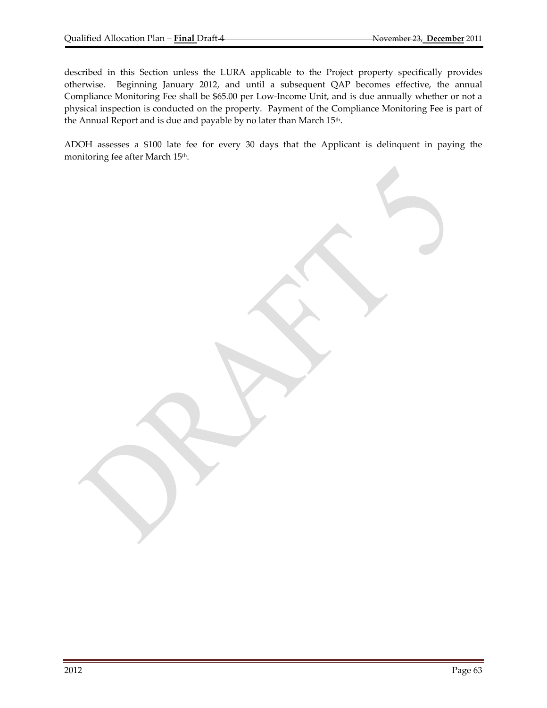described in this Section unless the LURA applicable to the Project property specifically provides otherwise. Beginning January 2012, and until a subsequent QAP becomes effective, the annual Compliance Monitoring Fee shall be \$65.00 per Low‐Income Unit, and is due annually whether or not a physical inspection is conducted on the property. Payment of the Compliance Monitoring Fee is part of the Annual Report and is due and payable by no later than March 15<sup>th</sup>.

ADOH assesses a \$100 late fee for every 30 days that the Applicant is delinquent in paying the monitoring fee after March 15<sup>th</sup>.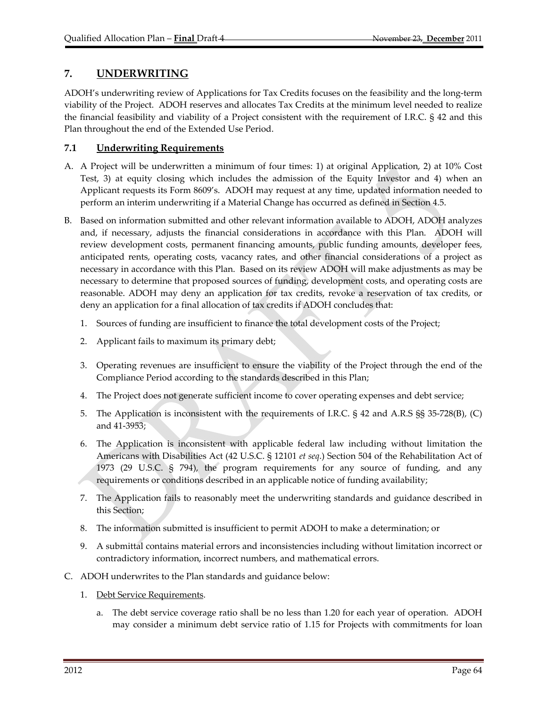# **7. UNDERWRITING**

ADOH's underwriting review of Applications for Tax Credits focuses on the feasibility and the long‐term viability of the Project. ADOH reserves and allocates Tax Credits at the minimum level needed to realize the financial feasibility and viability of a Project consistent with the requirement of I.R.C. § 42 and this Plan throughout the end of the Extended Use Period.

## **7.1 Underwriting Requirements**

- A. A Project will be underwritten a minimum of four times: 1) at original Application, 2) at 10% Cost Test, 3) at equity closing which includes the admission of the Equity Investor and 4) when an Applicant requests its Form 8609's. ADOH may request at any time, updated information needed to perform an interim underwriting if a Material Change has occurred as defined in Section 4.5.
- B. Based on information submitted and other relevant information available to ADOH, ADOH analyzes and, if necessary, adjusts the financial considerations in accordance with this Plan. ADOH will review development costs, permanent financing amounts, public funding amounts, developer fees, anticipated rents, operating costs, vacancy rates, and other financial considerations of a project as necessary in accordance with this Plan. Based on its review ADOH will make adjustments as may be necessary to determine that proposed sources of funding, development costs, and operating costs are reasonable. ADOH may deny an application for tax credits, revoke a reservation of tax credits, or deny an application for a final allocation of tax credits if ADOH concludes that:
	- 1. Sources of funding are insufficient to finance the total development costs of the Project;
	- 2. Applicant fails to maximum its primary debt;
	- 3. Operating revenues are insufficient to ensure the viability of the Project through the end of the Compliance Period according to the standards described in this Plan;
	- 4. The Project does not generate sufficient income to cover operating expenses and debt service;
	- 5. The Application is inconsistent with the requirements of I.R.C. § 42 and A.R.S §§ 35-728(B), (C) and 41‐3953;
	- 6. The Application is inconsistent with applicable federal law including without limitation the Americans with Disabilities Act (42 U.S.C. § 12101 *et seq*.) Section 504 of the Rehabilitation Act of 1973 (29 U.S.C. § 794), the program requirements for any source of funding, and any requirements or conditions described in an applicable notice of funding availability;
	- 7. The Application fails to reasonably meet the underwriting standards and guidance described in this Section;
	- 8. The information submitted is insufficient to permit ADOH to make a determination; or
	- 9. A submittal contains material errors and inconsistencies including without limitation incorrect or contradictory information, incorrect numbers, and mathematical errors.
- C. ADOH underwrites to the Plan standards and guidance below:
	- 1. Debt Service Requirements.
		- a. The debt service coverage ratio shall be no less than 1.20 for each year of operation. ADOH may consider a minimum debt service ratio of 1.15 for Projects with commitments for loan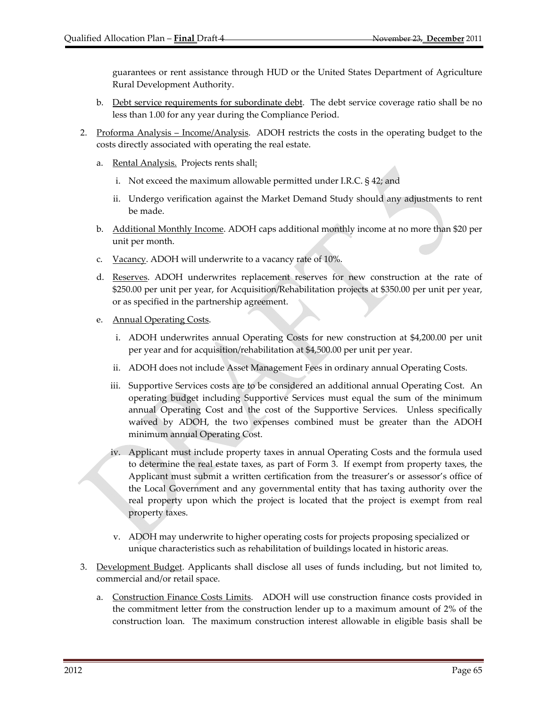guarantees or rent assistance through HUD or the United States Department of Agriculture Rural Development Authority.

- b. Debt service requirements for subordinate debt. The debt service coverage ratio shall be no less than 1.00 for any year during the Compliance Period.
- 2. Proforma Analysis Income/Analysis. ADOH restricts the costs in the operating budget to the costs directly associated with operating the real estate.
	- a. Rental Analysis. Projects rents shall:
		- i. Not exceed the maximum allowable permitted under I.R.C. § 42; and
		- ii. Undergo verification against the Market Demand Study should any adjustments to rent be made.
	- b. Additional Monthly Income. ADOH caps additional monthly income at no more than \$20 per unit per month.
	- c. Vacancy. ADOH will underwrite to a vacancy rate of 10%.
	- d. Reserves. ADOH underwrites replacement reserves for new construction at the rate of \$250.00 per unit per year, for Acquisition/Rehabilitation projects at \$350.00 per unit per year, or as specified in the partnership agreement.
	- e. Annual Operating Costs.
		- i. ADOH underwrites annual Operating Costs for new construction at \$4,200.00 per unit per year and for acquisition/rehabilitation at \$4,500.00 per unit per year.
		- ii. ADOH does not include Asset Management Fees in ordinary annual Operating Costs.
		- iii. Supportive Services costs are to be considered an additional annual Operating Cost. An operating budget including Supportive Services must equal the sum of the minimum annual Operating Cost and the cost of the Supportive Services. Unless specifically waived by ADOH, the two expenses combined must be greater than the ADOH minimum annual Operating Cost.
		- iv. Applicant must include property taxes in annual Operating Costs and the formula used to determine the real estate taxes, as part of Form 3. If exempt from property taxes, the Applicant must submit a written certification from the treasurer's or assessor's office of the Local Government and any governmental entity that has taxing authority over the real property upon which the project is located that the project is exempt from real property taxes.
		- v. ADOH may underwrite to higher operating costs for projects proposing specialized or unique characteristics such as rehabilitation of buildings located in historic areas.
- 3. Development Budget. Applicants shall disclose all uses of funds including, but not limited to, commercial and/or retail space.
	- a. Construction Finance Costs Limits. ADOH will use construction finance costs provided in the commitment letter from the construction lender up to a maximum amount of 2% of the construction loan. The maximum construction interest allowable in eligible basis shall be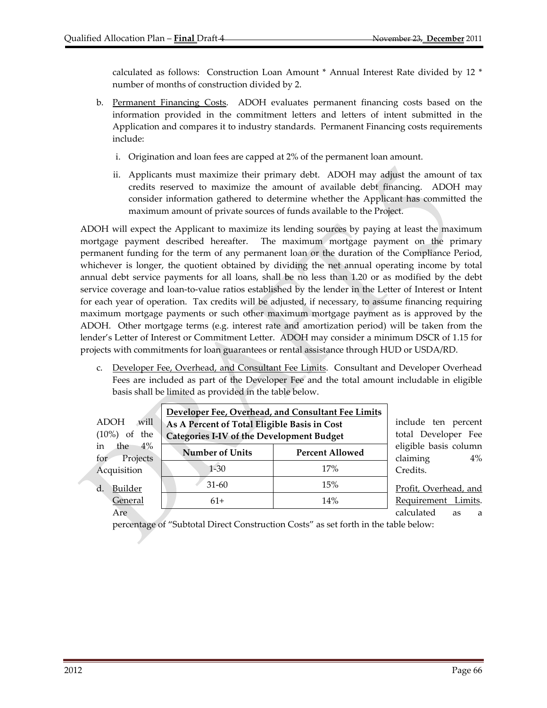calculated as follows: Construction Loan Amount \* Annual Interest Rate divided by 12 \* number of months of construction divided by 2.

- b. Permanent Financing Costs. ADOH evaluates permanent financing costs based on the information provided in the commitment letters and letters of intent submitted in the Application and compares it to industry standards. Permanent Financing costs requirements include:
	- i. Origination and loan fees are capped at 2% of the permanent loan amount.
	- ii. Applicants must maximize their primary debt. ADOH may adjust the amount of tax credits reserved to maximize the amount of available debt financing. ADOH may consider information gathered to determine whether the Applicant has committed the maximum amount of private sources of funds available to the Project.

ADOH will expect the Applicant to maximize its lending sources by paying at least the maximum mortgage payment described hereafter. The maximum mortgage payment on the primary permanent funding for the term of any permanent loan or the duration of the Compliance Period, whichever is longer, the quotient obtained by dividing the net annual operating income by total annual debt service payments for all loans, shall be no less than 1.20 or as modified by the debt service coverage and loan-to-value ratios established by the lender in the Letter of Interest or Intent for each year of operation. Tax credits will be adjusted, if necessary, to assume financing requiring maximum mortgage payments or such other maximum mortgage payment as is approved by the ADOH. Other mortgage terms (e.g. interest rate and amortization period) will be taken from the lender's Letter of Interest or Commitment Letter. ADOH may consider a minimum DSCR of 1.15 for projects with commitments for loan guarantees or rental assistance through HUD or USDA/RD.

c. Developer Fee, Overhead, and Consultant Fee Limits. Consultant and Developer Overhead Fees are included as part of the Developer Fee and the total amount includable in eligible basis shall be limited as provided in the table below.

| will<br><b>ADOH</b><br>of the<br>$(10\%)$ | Developer Fee, Overhead, and Consultant Fee Limits<br>As A Percent of Total Eligible Basis in Cost<br><b>Categories I-IV of the Development Budget</b> | include ten percent<br>total Developer Fee |                                            |  |  |
|-------------------------------------------|--------------------------------------------------------------------------------------------------------------------------------------------------------|--------------------------------------------|--------------------------------------------|--|--|
| the $4\%$<br>in<br>Projects<br>for        | <b>Number of Units</b>                                                                                                                                 | <b>Percent Allowed</b>                     | eligible basis column<br>claiming<br>$4\%$ |  |  |
| Acquisition                               | $1 - 30$                                                                                                                                               | 17%                                        | Credits.                                   |  |  |
| $d$ .<br>Builder                          | $31-60$                                                                                                                                                | 15%                                        | Profit, Overhead, and                      |  |  |
| General                                   | $61+$                                                                                                                                                  | 14%                                        | Requirement Limits.                        |  |  |
| Are                                       |                                                                                                                                                        |                                            | calculated<br>as<br>a                      |  |  |

percentage of "Subtotal Direct Construction Costs" as set forth in the table below: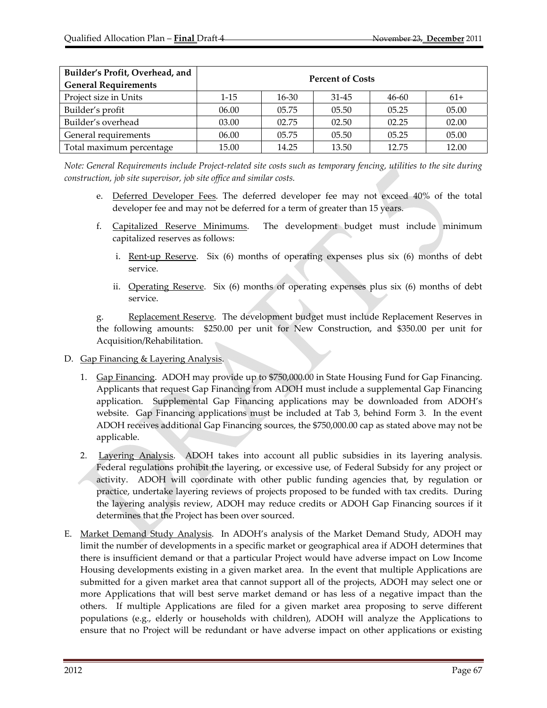| Builder's Profit, Overhead, and<br><b>General Requirements</b> | <b>Percent of Costs</b> |           |           |           |       |  |  |
|----------------------------------------------------------------|-------------------------|-----------|-----------|-----------|-------|--|--|
| Project size in Units                                          | $1 - 15$                | $16 - 30$ | $31 - 45$ | $46 - 60$ | $61+$ |  |  |
| Builder's profit                                               | 06.00                   | 05.75     | 05.50     | 05.25     | 05.00 |  |  |
| Builder's overhead                                             | 03.00                   | 02.75     | 02.50     | 02.25     | 02.00 |  |  |
| General requirements                                           | 06.00                   | 05.75     | 05.50     | 05.25     | 05.00 |  |  |
| Total maximum percentage                                       | 15.00                   | 14.25     | 13.50     | 12.75     | 12.00 |  |  |

Note: General Requirements include Project-related site costs such as temporary fencing, utilities to the site during *construction, job site supervisor, job site office and similar costs.*

- e. Deferred Developer Fees. The deferred developer fee may not exceed 40% of the total developer fee and may not be deferred for a term of greater than 15 years.
- f. Capitalized Reserve Minimums. The development budget must include minimum capitalized reserves as follows:
	- i. Rent-up Reserve. Six  $(6)$  months of operating expenses plus six  $(6)$  months of debt service.
	- ii. Operating Reserve. Six (6) months of operating expenses plus six (6) months of debt service.

g. Replacement Reserve. The development budget must include Replacement Reserves in the following amounts: \$250.00 per unit for New Construction, and \$350.00 per unit for Acquisition/Rehabilitation.

- D. Gap Financing & Layering Analysis.
	- 1. Gap Financing. ADOH may provide up to \$750,000.00 in State Housing Fund for Gap Financing. Applicants that request Gap Financing from ADOH must include a supplemental Gap Financing application. Supplemental Gap Financing applications may be downloaded from ADOH's website. Gap Financing applications must be included at Tab 3, behind Form 3. In the event ADOH receives additional Gap Financing sources, the \$750,000.00 cap as stated above may not be applicable.
	- 2. Layering Analysis. ADOH takes into account all public subsidies in its layering analysis. Federal regulations prohibit the layering, or excessive use, of Federal Subsidy for any project or activity. ADOH will coordinate with other public funding agencies that, by regulation or practice, undertake layering reviews of projects proposed to be funded with tax credits. During the layering analysis review, ADOH may reduce credits or ADOH Gap Financing sources if it determines that the Project has been over sourced.
- E. Market Demand Study Analysis. In ADOH's analysis of the Market Demand Study, ADOH may limit the number of developments in a specific market or geographical area if ADOH determines that there is insufficient demand or that a particular Project would have adverse impact on Low Income Housing developments existing in a given market area. In the event that multiple Applications are submitted for a given market area that cannot support all of the projects, ADOH may select one or more Applications that will best serve market demand or has less of a negative impact than the others. If multiple Applications are filed for a given market area proposing to serve different populations (e.g., elderly or households with children), ADOH will analyze the Applications to ensure that no Project will be redundant or have adverse impact on other applications or existing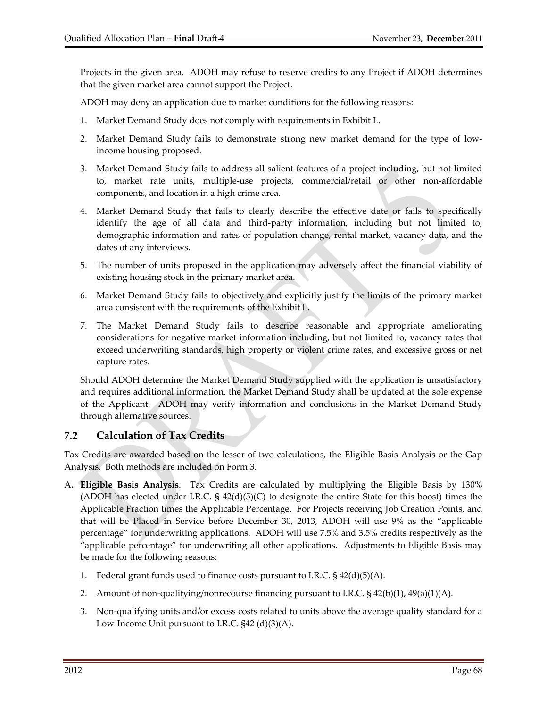Projects in the given area. ADOH may refuse to reserve credits to any Project if ADOH determines that the given market area cannot support the Project.

ADOH may deny an application due to market conditions for the following reasons:

- 1. Market Demand Study does not comply with requirements in Exhibit L.
- 2. Market Demand Study fails to demonstrate strong new market demand for the type of low‐ income housing proposed.
- 3. Market Demand Study fails to address all salient features of a project including, but not limited to, market rate units, multiple‐use projects, commercial/retail or other non‐affordable components, and location in a high crime area.
- 4. Market Demand Study that fails to clearly describe the effective date or fails to specifically identify the age of all data and third‐party information, including but not limited to, demographic information and rates of population change, rental market, vacancy data, and the dates of any interviews.
- 5. The number of units proposed in the application may adversely affect the financial viability of existing housing stock in the primary market area.
- 6. Market Demand Study fails to objectively and explicitly justify the limits of the primary market area consistent with the requirements of the Exhibit L.
- 7. The Market Demand Study fails to describe reasonable and appropriate ameliorating considerations for negative market information including, but not limited to, vacancy rates that exceed underwriting standards, high property or violent crime rates, and excessive gross or net capture rates.

Should ADOH determine the Market Demand Study supplied with the application is unsatisfactory and requires additional information, the Market Demand Study shall be updated at the sole expense of the Applicant. ADOH may verify information and conclusions in the Market Demand Study through alternative sources.

# **7.2 Calculation of Tax Credits**

Tax Credits are awarded based on the lesser of two calculations, the Eligible Basis Analysis or the Gap Analysis. Both methods are included on Form 3.

- A**. Eligible Basis Analysis**. Tax Credits are calculated by multiplying the Eligible Basis by 130% (ADOH has elected under I.R.C.  $\S 42(d)(5)(C)$  to designate the entire State for this boost) times the Applicable Fraction times the Applicable Percentage. For Projects receiving Job Creation Points, and that will be Placed in Service before December 30, 2013, ADOH will use 9% as the "applicable percentage" for underwriting applications. ADOH will use 7.5% and 3.5% credits respectively as the "applicable percentage" for underwriting all other applications. Adjustments to Eligible Basis may be made for the following reasons:
	- 1. Federal grant funds used to finance costs pursuant to I.R.C.  $\S$  42(d)(5)(A).
	- 2. Amount of non-qualifying/nonrecourse financing pursuant to I.R.C.  $\S$  42(b)(1), 49(a)(1)(A).
	- 3. Non‐qualifying units and/or excess costs related to units above the average quality standard for a Low‐Income Unit pursuant to I.R.C. §42 (d)(3)(A).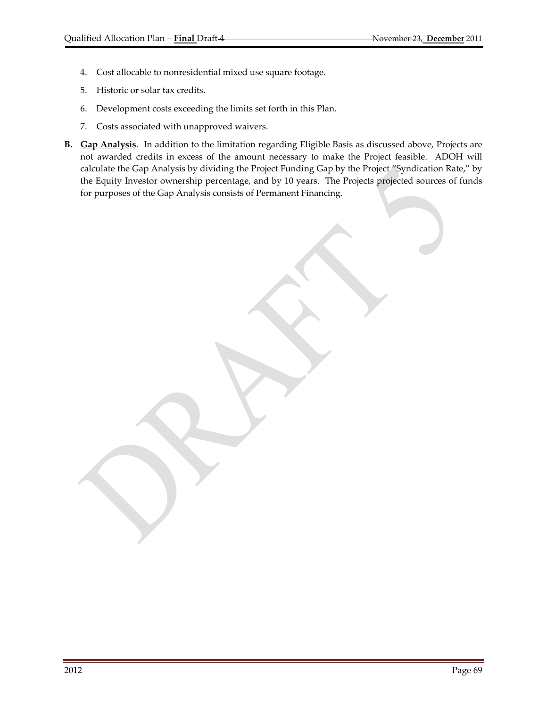- 4. Cost allocable to nonresidential mixed use square footage.
- 5. Historic or solar tax credits.
- 6. Development costs exceeding the limits set forth in this Plan.
- 7. Costs associated with unapproved waivers.
- **B. Gap Analysis**. In addition to the limitation regarding Eligible Basis as discussed above, Projects are not awarded credits in excess of the amount necessary to make the Project feasible. ADOH will calculate the Gap Analysis by dividing the Project Funding Gap by the Project "Syndication Rate," by the Equity Investor ownership percentage, and by 10 years. The Projects projected sources of funds for purposes of the Gap Analysis consists of Permanent Financing.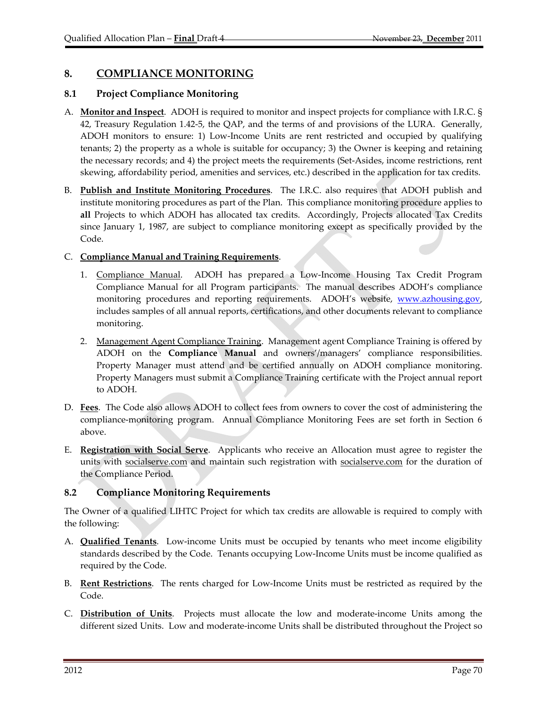# **8. COMPLIANCE MONITORING**

## **8.1 Project Compliance Monitoring**

- A. **Monitor and Inspect**. ADOH is required to monitor and inspect projects for compliance with I.R.C. § 42, Treasury Regulation 1.42‐5, the QAP, and the terms of and provisions of the LURA. Generally, ADOH monitors to ensure: 1) Low‐Income Units are rent restricted and occupied by qualifying tenants; 2) the property as a whole is suitable for occupancy; 3) the Owner is keeping and retaining the necessary records; and 4) the project meets the requirements (Set‐Asides, income restrictions, rent skewing, affordability period, amenities and services, etc.) described in the application for tax credits.
- B. **Publish and Institute Monitoring Procedures**. The I.R.C. also requires that ADOH publish and institute monitoring procedures as part of the Plan. This compliance monitoring procedure applies to **all** Projects to which ADOH has allocated tax credits. Accordingly, Projects allocated Tax Credits since January 1, 1987, are subject to compliance monitoring except as specifically provided by the Code.

## C. **Compliance Manual and Training Requirements**.

- 1. Compliance Manual. ADOH has prepared a Low-Income Housing Tax Credit Program Compliance Manual for all Program participants. The manual describes ADOH's compliance monitoring procedures and reporting requirements. ADOH's website, www.azhousing.gov, includes samples of all annual reports, certifications, and other documents relevant to compliance monitoring.
- 2. Management Agent Compliance Training. Management agent Compliance Training is offered by ADOH on the **Compliance Manual** and owners'/managers' compliance responsibilities. Property Manager must attend and be certified annually on ADOH compliance monitoring. Property Managers must submit a Compliance Training certificate with the Project annual report to ADOH.
- D. **Fees**. The Code also allows ADOH to collect fees from owners to cover the cost of administering the compliance-monitoring program. Annual Compliance Monitoring Fees are set forth in Section 6 above.
- E. **Registration with Social Serve**. Applicants who receive an Allocation must agree to register the units with socialserve.com and maintain such registration with socialserve.com for the duration of the Compliance Period.

## **8.2 Compliance Monitoring Requirements**

The Owner of a qualified LIHTC Project for which tax credits are allowable is required to comply with the following:

- A. **Qualified Tenants**. Low‐income Units must be occupied by tenants who meet income eligibility standards described by the Code. Tenants occupying Low‐Income Units must be income qualified as required by the Code.
- B. **Rent Restrictions**. The rents charged for Low‐Income Units must be restricted as required by the Code.
- C. **Distribution of Units**. Projects must allocate the low and moderate‐income Units among the different sized Units. Low and moderate‐income Units shall be distributed throughout the Project so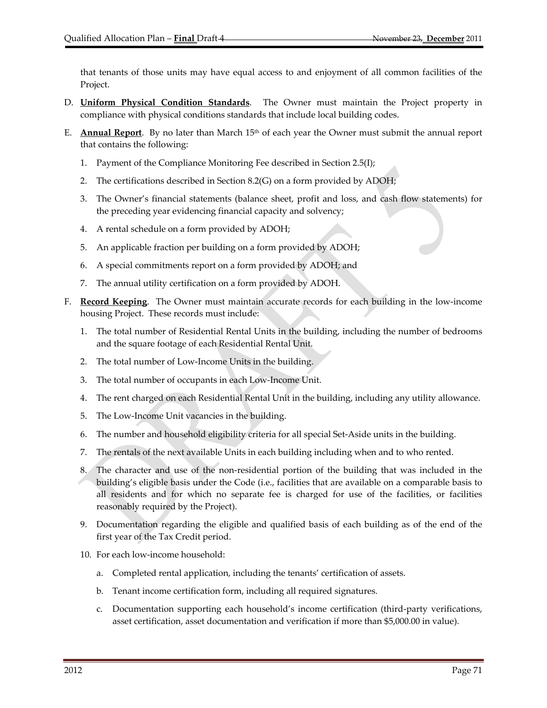that tenants of those units may have equal access to and enjoyment of all common facilities of the Project.

- D. **Uniform Physical Condition Standards**. The Owner must maintain the Project property in compliance with physical conditions standards that include local building codes.
- E. **Annual Report**. By no later than March 15th of each year the Owner must submit the annual report that contains the following:
	- 1. Payment of the Compliance Monitoring Fee described in Section 2.5(I);
	- 2. The certifications described in Section 8.2(G) on a form provided by ADOH;
	- 3. The Owner's financial statements (balance sheet, profit and loss, and cash flow statements) for the preceding year evidencing financial capacity and solvency;
	- 4. A rental schedule on a form provided by ADOH;
	- 5. An applicable fraction per building on a form provided by ADOH;
	- 6. A special commitments report on a form provided by ADOH; and
	- 7. The annual utility certification on a form provided by ADOH.
- F. **Record Keeping**. The Owner must maintain accurate records for each building in the low‐income housing Project. These records must include:
	- 1. The total number of Residential Rental Units in the building, including the number of bedrooms and the square footage of each Residential Rental Unit.
	- 2. The total number of Low‐Income Units in the building.
	- 3. The total number of occupants in each Low‐Income Unit.
	- 4. The rent charged on each Residential Rental Unit in the building, including any utility allowance.
	- 5. The Low‐Income Unit vacancies in the building.
	- 6. The number and household eligibility criteria for all special Set‐Aside units in the building.
	- 7. The rentals of the next available Units in each building including when and to who rented.
	- 8. The character and use of the non‐residential portion of the building that was included in the building's eligible basis under the Code (i.e., facilities that are available on a comparable basis to all residents and for which no separate fee is charged for use of the facilities, or facilities reasonably required by the Project).
	- 9. Documentation regarding the eligible and qualified basis of each building as of the end of the first year of the Tax Credit period.
	- 10. For each low‐income household:
		- a. Completed rental application, including the tenants' certification of assets.
		- b. Tenant income certification form, including all required signatures.
		- c. Documentation supporting each household's income certification (third‐party verifications, asset certification, asset documentation and verification if more than \$5,000.00 in value).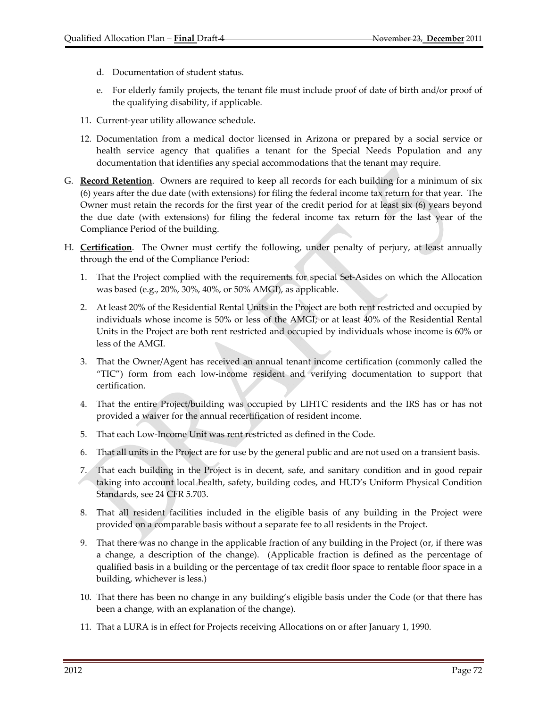- d. Documentation of student status.
- e. For elderly family projects, the tenant file must include proof of date of birth and/or proof of the qualifying disability, if applicable.
- 11. Current‐year utility allowance schedule.
- 12. Documentation from a medical doctor licensed in Arizona or prepared by a social service or health service agency that qualifies a tenant for the Special Needs Population and any documentation that identifies any special accommodations that the tenant may require.
- G. **Record Retention**. Owners are required to keep all records for each building for a minimum of six (6) years after the due date (with extensions) for filing the federal income tax return for that year. The Owner must retain the records for the first year of the credit period for at least six (6) years beyond the due date (with extensions) for filing the federal income tax return for the last year of the Compliance Period of the building.
- H. **Certification**. The Owner must certify the following, under penalty of perjury, at least annually through the end of the Compliance Period:
	- 1. That the Project complied with the requirements for special Set‐Asides on which the Allocation was based (e.g., 20%, 30%, 40%, or 50% AMGI), as applicable.
	- 2. At least 20% of the Residential Rental Units in the Project are both rent restricted and occupied by individuals whose income is 50% or less of the AMGI; or at least 40% of the Residential Rental Units in the Project are both rent restricted and occupied by individuals whose income is 60% or less of the AMGI.
	- 3. That the Owner/Agent has received an annual tenant income certification (commonly called the "TIC") form from each low‐income resident and verifying documentation to support that certification.
	- 4. That the entire Project/building was occupied by LIHTC residents and the IRS has or has not provided a waiver for the annual recertification of resident income.
	- 5. That each Low‐Income Unit was rent restricted as defined in the Code.
	- 6. That all units in the Project are for use by the general public and are not used on a transient basis.
	- 7. That each building in the Project is in decent, safe, and sanitary condition and in good repair taking into account local health, safety, building codes, and HUD's Uniform Physical Condition Standards, see 24 CFR 5.703.
	- 8. That all resident facilities included in the eligible basis of any building in the Project were provided on a comparable basis without a separate fee to all residents in the Project.
	- 9. That there was no change in the applicable fraction of any building in the Project (or, if there was a change, a description of the change). (Applicable fraction is defined as the percentage of qualified basis in a building or the percentage of tax credit floor space to rentable floor space in a building, whichever is less.)
	- 10. That there has been no change in any building's eligible basis under the Code (or that there has been a change, with an explanation of the change).
	- 11. That a LURA is in effect for Projects receiving Allocations on or after January 1, 1990.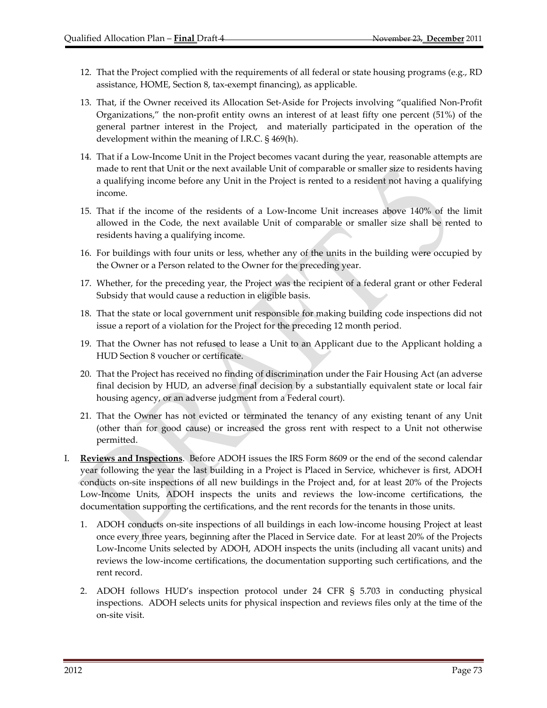- 12. That the Project complied with the requirements of all federal or state housing programs (e.g., RD assistance, HOME, Section 8, tax‐exempt financing), as applicable.
- 13. That, if the Owner received its Allocation Set‐Aside for Projects involving "qualified Non‐Profit Organizations," the non‐profit entity owns an interest of at least fifty one percent (51%) of the general partner interest in the Project, and materially participated in the operation of the development within the meaning of I.R.C. § 469(h).
- 14. That if a Low‐Income Unit in the Project becomes vacant during the year, reasonable attempts are made to rent that Unit or the next available Unit of comparable or smaller size to residents having a qualifying income before any Unit in the Project is rented to a resident not having a qualifying income.
- 15. That if the income of the residents of a Low‐Income Unit increases above 140% of the limit allowed in the Code, the next available Unit of comparable or smaller size shall be rented to residents having a qualifying income.
- 16. For buildings with four units or less, whether any of the units in the building were occupied by the Owner or a Person related to the Owner for the preceding year.
- 17. Whether, for the preceding year, the Project was the recipient of a federal grant or other Federal Subsidy that would cause a reduction in eligible basis.
- 18. That the state or local government unit responsible for making building code inspections did not issue a report of a violation for the Project for the preceding 12 month period.
- 19. That the Owner has not refused to lease a Unit to an Applicant due to the Applicant holding a HUD Section 8 voucher or certificate.
- 20. That the Project has received no finding of discrimination under the Fair Housing Act (an adverse final decision by HUD, an adverse final decision by a substantially equivalent state or local fair housing agency, or an adverse judgment from a Federal court).
- 21. That the Owner has not evicted or terminated the tenancy of any existing tenant of any Unit (other than for good cause) or increased the gross rent with respect to a Unit not otherwise permitted.
- I. **Reviews and Inspections**. Before ADOH issues the IRS Form 8609 or the end of the second calendar year following the year the last building in a Project is Placed in Service, whichever is first, ADOH conducts on‐site inspections of all new buildings in the Project and, for at least 20% of the Projects Low‐Income Units, ADOH inspects the units and reviews the low‐income certifications, the documentation supporting the certifications, and the rent records for the tenants in those units.
	- 1. ADOH conducts on‐site inspections of all buildings in each low‐income housing Project at least once every three years, beginning after the Placed in Service date. For at least 20% of the Projects Low‐Income Units selected by ADOH, ADOH inspects the units (including all vacant units) and reviews the low‐income certifications, the documentation supporting such certifications, and the rent record.
	- 2. ADOH follows HUD's inspection protocol under 24 CFR § 5.703 in conducting physical inspections. ADOH selects units for physical inspection and reviews files only at the time of the on‐site visit.